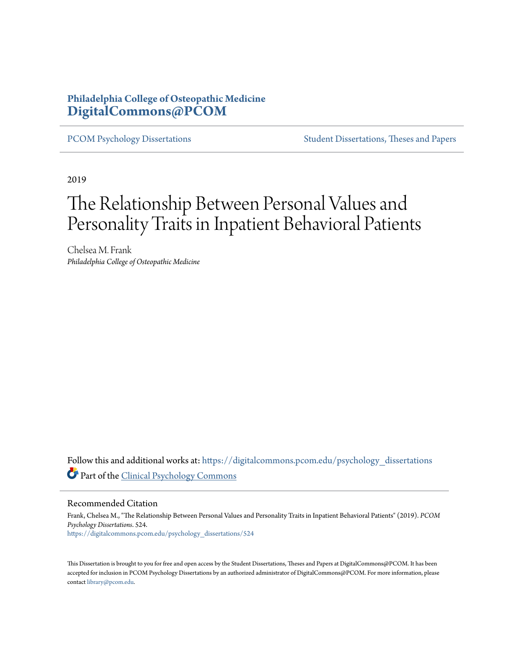## **Philadelphia College of Osteopathic Medicine [DigitalCommons@PCOM](https://digitalcommons.pcom.edu?utm_source=digitalcommons.pcom.edu%2Fpsychology_dissertations%2F524&utm_medium=PDF&utm_campaign=PDFCoverPages)**

[PCOM Psychology Dissertations](https://digitalcommons.pcom.edu/psychology_dissertations?utm_source=digitalcommons.pcom.edu%2Fpsychology_dissertations%2F524&utm_medium=PDF&utm_campaign=PDFCoverPages) [Student Dissertations, Theses and Papers](https://digitalcommons.pcom.edu/etds?utm_source=digitalcommons.pcom.edu%2Fpsychology_dissertations%2F524&utm_medium=PDF&utm_campaign=PDFCoverPages)

2019

# The Relationship Between Personal Values and Personality Traits in Inpatient Behavioral Patients

Chelsea M. Frank *Philadelphia College of Osteopathic Medicine*

Follow this and additional works at: [https://digitalcommons.pcom.edu/psychology\\_dissertations](https://digitalcommons.pcom.edu/psychology_dissertations?utm_source=digitalcommons.pcom.edu%2Fpsychology_dissertations%2F524&utm_medium=PDF&utm_campaign=PDFCoverPages) Part of the [Clinical Psychology Commons](http://network.bepress.com/hgg/discipline/406?utm_source=digitalcommons.pcom.edu%2Fpsychology_dissertations%2F524&utm_medium=PDF&utm_campaign=PDFCoverPages)

Recommended Citation

Frank, Chelsea M., "The Relationship Between Personal Values and Personality Traits in Inpatient Behavioral Patients" (2019). *PCOM Psychology Dissertations*. 524. [https://digitalcommons.pcom.edu/psychology\\_dissertations/524](https://digitalcommons.pcom.edu/psychology_dissertations/524?utm_source=digitalcommons.pcom.edu%2Fpsychology_dissertations%2F524&utm_medium=PDF&utm_campaign=PDFCoverPages)

This Dissertation is brought to you for free and open access by the Student Dissertations, Theses and Papers at DigitalCommons@PCOM. It has been accepted for inclusion in PCOM Psychology Dissertations by an authorized administrator of DigitalCommons@PCOM. For more information, please contact [library@pcom.edu.](mailto:library@pcom.edu)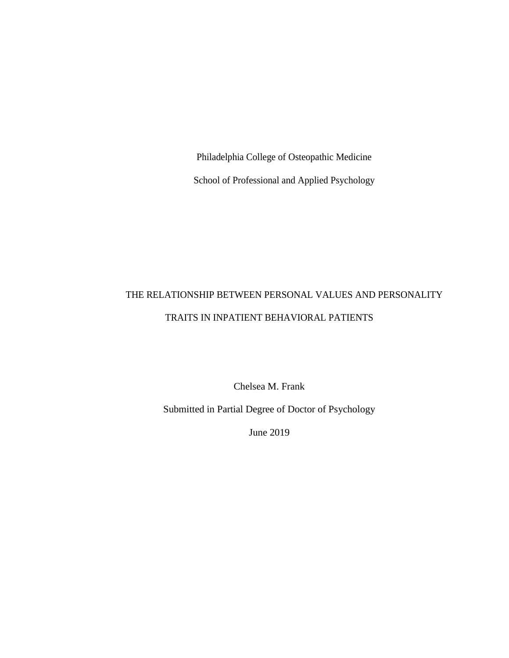Philadelphia College of Osteopathic Medicine School of Professional and Applied Psychology

## THE RELATIONSHIP BETWEEN PERSONAL VALUES AND PERSONALITY TRAITS IN INPATIENT BEHAVIORAL PATIENTS

Chelsea M. Frank

Submitted in Partial Degree of Doctor of Psychology

June 2019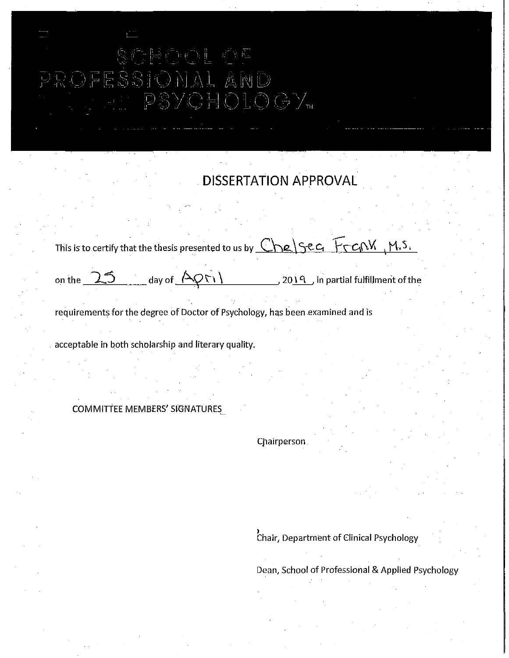## HOOL OF DFESSIONAL AND GHOLOGY<sub>M</sub>  $\overline{\bigcup}$

# . **DISSERTATION APPROVAL**

This is to certify that the thesis presented to us by  $Chel$   $Sec.$   $F$   $ChV$ ,  $M.5.$ 

on the <u>25 and and April</u> 2019 in partial fulfillment of the

requirements for the degree of Doctor of Psychology, has been examined and is

. acceptable in both scholarship and literary quality.

COMMITTEE MEMBERS' srGNATURES~

**Chairperson** 

<sup>&</sup>gt;Chair, Departm~nt of Clinical Psychology

Dean, School of Professional & Applied Psychology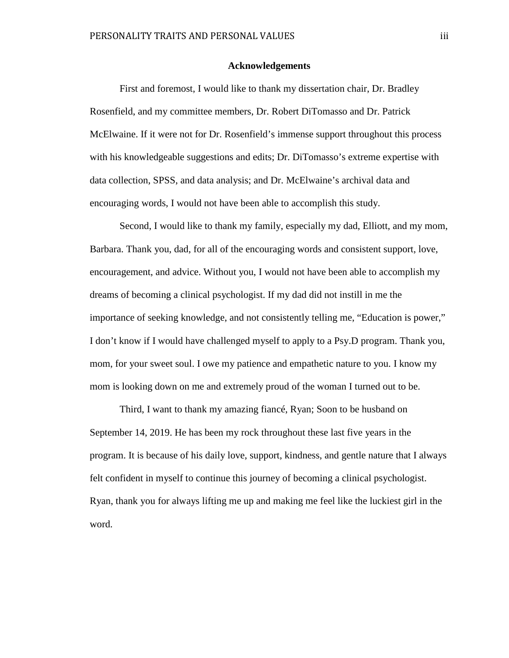### **Acknowledgements**

First and foremost, I would like to thank my dissertation chair, Dr. Bradley Rosenfield, and my committee members, Dr. Robert DiTomasso and Dr. Patrick McElwaine. If it were not for Dr. Rosenfield's immense support throughout this process with his knowledgeable suggestions and edits; Dr. DiTomasso's extreme expertise with data collection, SPSS, and data analysis; and Dr. McElwaine's archival data and encouraging words, I would not have been able to accomplish this study.

Second, I would like to thank my family, especially my dad, Elliott, and my mom, Barbara. Thank you, dad, for all of the encouraging words and consistent support, love, encouragement, and advice. Without you, I would not have been able to accomplish my dreams of becoming a clinical psychologist. If my dad did not instill in me the importance of seeking knowledge, and not consistently telling me, "Education is power," I don't know if I would have challenged myself to apply to a Psy.D program. Thank you, mom, for your sweet soul. I owe my patience and empathetic nature to you. I know my mom is looking down on me and extremely proud of the woman I turned out to be.

Third, I want to thank my amazing fiancé, Ryan; Soon to be husband on September 14, 2019. He has been my rock throughout these last five years in the program. It is because of his daily love, support, kindness, and gentle nature that I always felt confident in myself to continue this journey of becoming a clinical psychologist. Ryan, thank you for always lifting me up and making me feel like the luckiest girl in the word.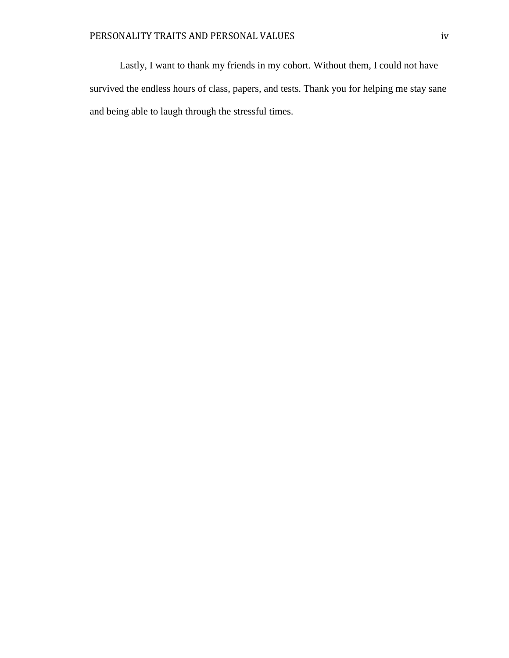Lastly, I want to thank my friends in my cohort. Without them, I could not have survived the endless hours of class, papers, and tests. Thank you for helping me stay sane and being able to laugh through the stressful times.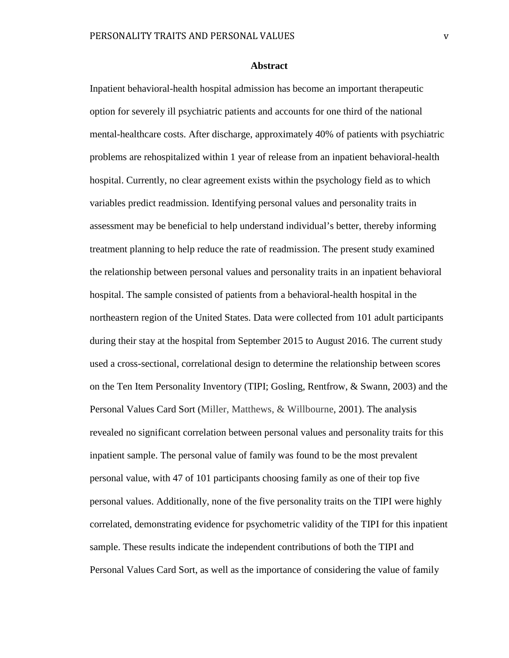### **Abstract**

Inpatient behavioral-health hospital admission has become an important therapeutic option for severely ill psychiatric patients and accounts for one third of the national mental-healthcare costs. After discharge, approximately 40% of patients with psychiatric problems are rehospitalized within 1 year of release from an inpatient behavioral-health hospital. Currently, no clear agreement exists within the psychology field as to which variables predict readmission. Identifying personal values and personality traits in assessment may be beneficial to help understand individual's better, thereby informing treatment planning to help reduce the rate of readmission. The present study examined the relationship between personal values and personality traits in an inpatient behavioral hospital. The sample consisted of patients from a behavioral-health hospital in the northeastern region of the United States. Data were collected from 101 adult participants during their stay at the hospital from September 2015 to August 2016. The current study used a cross-sectional, correlational design to determine the relationship between scores on the Ten Item Personality Inventory (TIPI; Gosling, Rentfrow, & Swann, 2003) and the Personal Values Card Sort (Miller, Matthews, & Willbourne, 2001). The analysis revealed no significant correlation between personal values and personality traits for this inpatient sample. The personal value of family was found to be the most prevalent personal value, with 47 of 101 participants choosing family as one of their top five personal values. Additionally, none of the five personality traits on the TIPI were highly correlated, demonstrating evidence for psychometric validity of the TIPI for this inpatient sample. These results indicate the independent contributions of both the TIPI and Personal Values Card Sort, as well as the importance of considering the value of family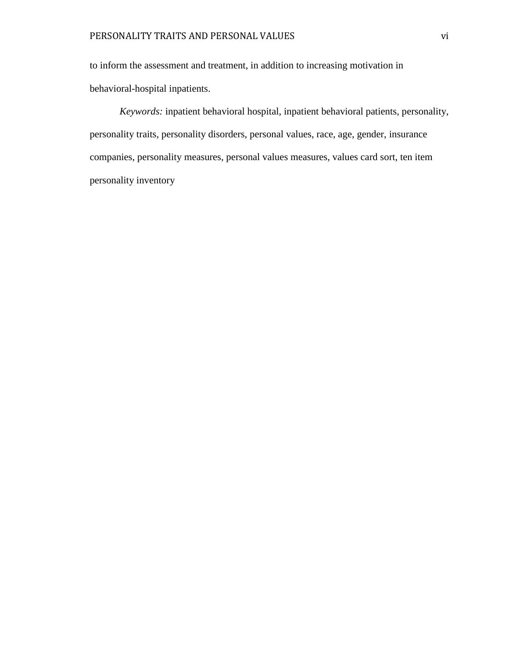to inform the assessment and treatment, in addition to increasing motivation in behavioral-hospital inpatients.

*Keywords:* inpatient behavioral hospital, inpatient behavioral patients, personality, personality traits, personality disorders, personal values, race, age, gender, insurance companies, personality measures, personal values measures, values card sort, ten item personality inventory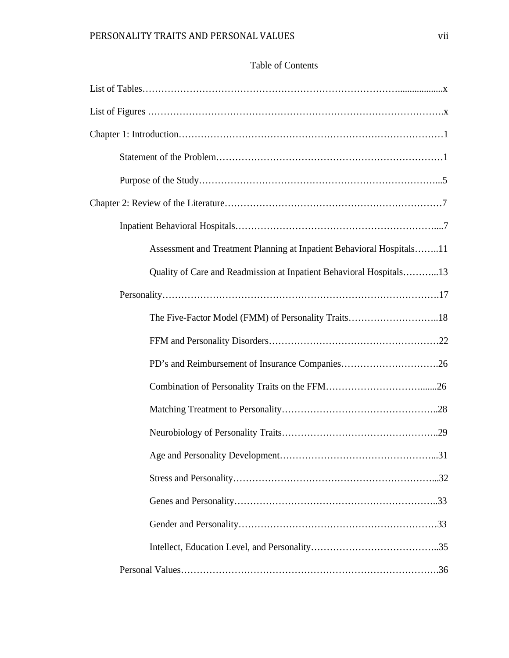### Table of Contents

| Assessment and Treatment Planning at Inpatient Behavioral Hospitals11 |
|-----------------------------------------------------------------------|
| Quality of Care and Readmission at Inpatient Behavioral Hospitals13   |
|                                                                       |
|                                                                       |
|                                                                       |
| PD's and Reimbursement of Insurance Companies26                       |
|                                                                       |
|                                                                       |
|                                                                       |
|                                                                       |
|                                                                       |
|                                                                       |
|                                                                       |
|                                                                       |
|                                                                       |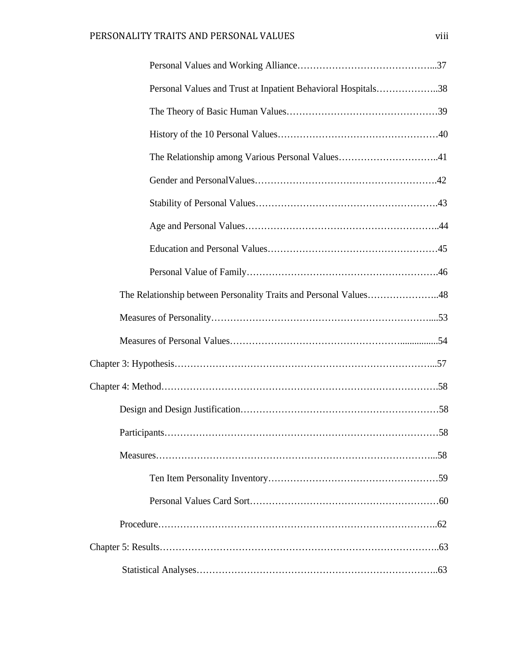| Personal Values and Trust at Inpatient Behavioral Hospitals38     |
|-------------------------------------------------------------------|
|                                                                   |
|                                                                   |
| The Relationship among Various Personal Values41                  |
|                                                                   |
|                                                                   |
|                                                                   |
|                                                                   |
|                                                                   |
| The Relationship between Personality Traits and Personal Values48 |
|                                                                   |
|                                                                   |
|                                                                   |
|                                                                   |
|                                                                   |
| . 58                                                              |
|                                                                   |
|                                                                   |
|                                                                   |
|                                                                   |
|                                                                   |
|                                                                   |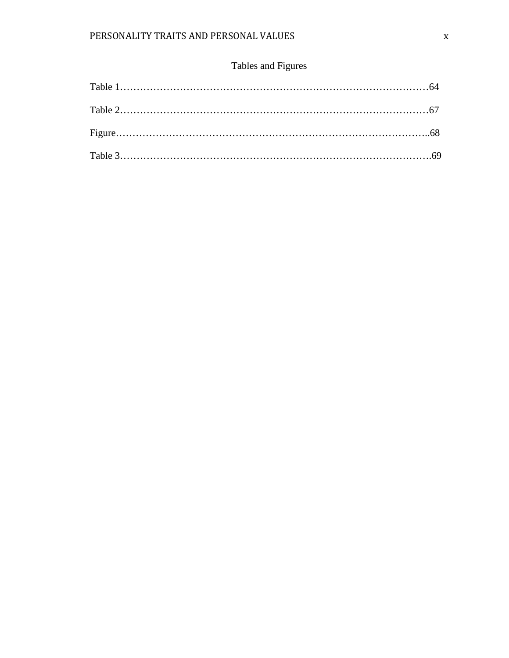## Tables and Figures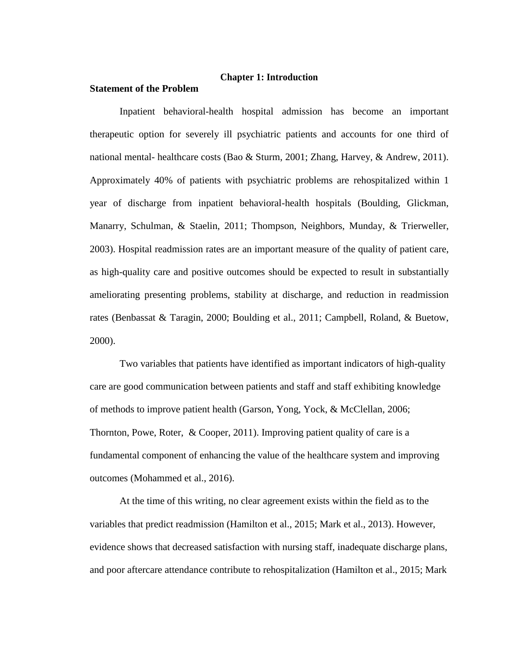### **Chapter 1: Introduction**

### **Statement of the Problem**

Inpatient behavioral-health hospital admission has become an important therapeutic option for severely ill psychiatric patients and accounts for one third of national mental- healthcare costs (Bao & Sturm, 2001; Zhang, Harvey, & Andrew, 2011). Approximately 40% of patients with psychiatric problems are rehospitalized within 1 year of discharge from inpatient behavioral-health hospitals (Boulding, Glickman, Manarry, Schulman, & Staelin, 2011; Thompson, Neighbors, Munday, & Trierweller, 2003). Hospital readmission rates are an important measure of the quality of patient care, as high-quality care and positive outcomes should be expected to result in substantially ameliorating presenting problems, stability at discharge, and reduction in readmission rates (Benbassat & Taragin, 2000; Boulding et al., 2011; Campbell, Roland, & Buetow, 2000).

Two variables that patients have identified as important indicators of high-quality care are good communication between patients and staff and staff exhibiting knowledge of methods to improve patient health (Garson, Yong, Yock, & McClellan, 2006; Thornton, Powe, Roter, & Cooper, 2011). Improving patient quality of care is a fundamental component of enhancing the value of the healthcare system and improving outcomes (Mohammed et al., 2016).

At the time of this writing, no clear agreement exists within the field as to the variables that predict readmission (Hamilton et al., 2015; Mark et al., 2013). However, evidence shows that decreased satisfaction with nursing staff, inadequate discharge plans, and poor aftercare attendance contribute to rehospitalization (Hamilton et al., 2015; Mark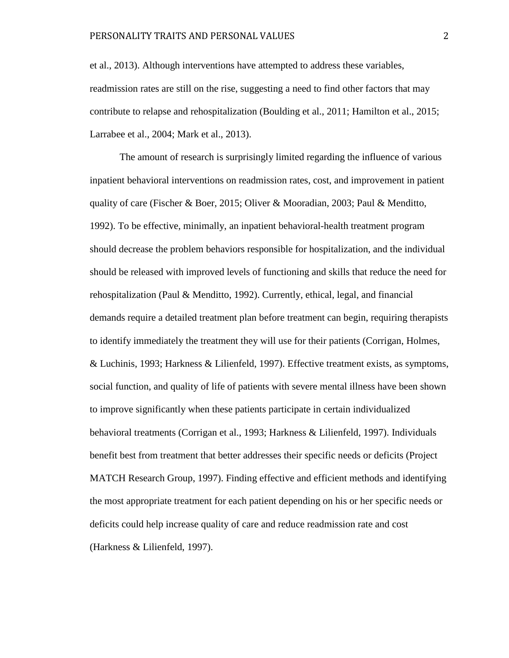et al., 2013). Although interventions have attempted to address these variables, readmission rates are still on the rise, suggesting a need to find other factors that may contribute to relapse and rehospitalization (Boulding et al., 2011; Hamilton et al., 2015; Larrabee et al., 2004; Mark et al., 2013).

The amount of research is surprisingly limited regarding the influence of various inpatient behavioral interventions on readmission rates, cost, and improvement in patient quality of care (Fischer & Boer, 2015; Oliver & Mooradian, 2003; Paul & Menditto, 1992). To be effective, minimally, an inpatient behavioral-health treatment program should decrease the problem behaviors responsible for hospitalization, and the individual should be released with improved levels of functioning and skills that reduce the need for rehospitalization (Paul & Menditto, 1992). Currently, ethical, legal, and financial demands require a detailed treatment plan before treatment can begin, requiring therapists to identify immediately the treatment they will use for their patients (Corrigan, Holmes, & Luchinis, 1993; Harkness & Lilienfeld, 1997). Effective treatment exists, as symptoms, social function, and quality of life of patients with severe mental illness have been shown to improve significantly when these patients participate in certain individualized behavioral treatments (Corrigan et al., 1993; Harkness & Lilienfeld, 1997). Individuals benefit best from treatment that better addresses their specific needs or deficits (Project MATCH Research Group, 1997). Finding effective and efficient methods and identifying the most appropriate treatment for each patient depending on his or her specific needs or deficits could help increase quality of care and reduce readmission rate and cost (Harkness & Lilienfeld, 1997).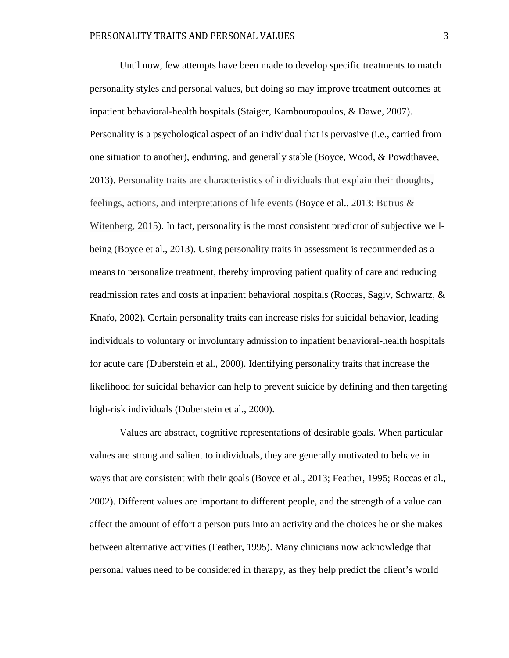Until now, few attempts have been made to develop specific treatments to match personality styles and personal values, but doing so may improve treatment outcomes at inpatient behavioral-health hospitals (Staiger, Kambouropoulos, & Dawe, 2007). Personality is a psychological aspect of an individual that is pervasive (i.e., carried from one situation to another), enduring, and generally stable (Boyce, Wood, & Powdthavee, 2013). Personality traits are characteristics of individuals that explain their thoughts, feelings, actions, and interpretations of life events (Boyce et al., 2013; Butrus & Witenberg, 2015). In fact, personality is the most consistent predictor of subjective wellbeing (Boyce et al., 2013). Using personality traits in assessment is recommended as a means to personalize treatment, thereby improving patient quality of care and reducing readmission rates and costs at inpatient behavioral hospitals (Roccas, Sagiv, Schwartz, & Knafo, 2002). Certain personality traits can increase risks for suicidal behavior, leading individuals to voluntary or involuntary admission to inpatient behavioral-health hospitals for acute care (Duberstein et al., 2000). Identifying personality traits that increase the likelihood for suicidal behavior can help to prevent suicide by defining and then targeting high-risk individuals (Duberstein et al., 2000).

Values are abstract, cognitive representations of desirable goals. When particular values are strong and salient to individuals, they are generally motivated to behave in ways that are consistent with their goals (Boyce et al., 2013; Feather, 1995; Roccas et al., 2002). Different values are important to different people, and the strength of a value can affect the amount of effort a person puts into an activity and the choices he or she makes between alternative activities (Feather, 1995). Many clinicians now acknowledge that personal values need to be considered in therapy, as they help predict the client's world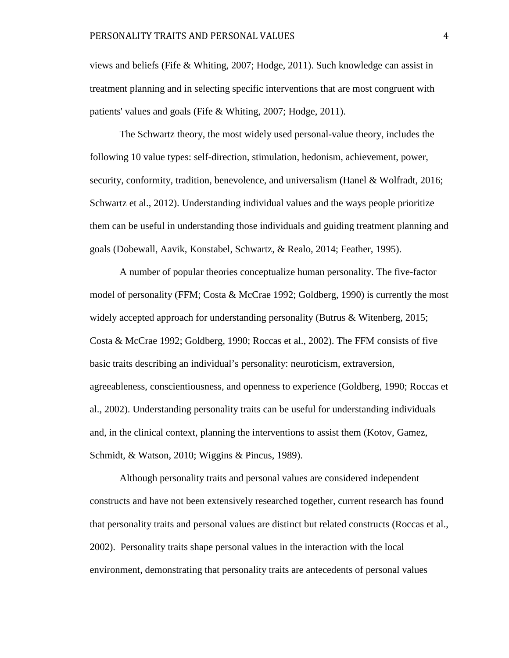views and beliefs (Fife & Whiting, 2007; Hodge, 2011). Such knowledge can assist in treatment planning and in selecting specific interventions that are most congruent with patients' values and goals (Fife & Whiting, 2007; Hodge, 2011).

The Schwartz theory, the most widely used personal-value theory, includes the following 10 value types: self-direction, stimulation, hedonism, achievement, power, security, conformity, tradition, benevolence, and universalism (Hanel & Wolfradt, 2016; Schwartz et al., 2012). Understanding individual values and the ways people prioritize them can be useful in understanding those individuals and guiding treatment planning and goals (Dobewall, Aavik, Konstabel, Schwartz, & Realo, 2014; Feather, 1995).

A number of popular theories conceptualize human personality. The five-factor model of personality (FFM; Costa & McCrae 1992; Goldberg, 1990) is currently the most widely accepted approach for understanding personality (Butrus & Witenberg, 2015; Costa & McCrae 1992; Goldberg, 1990; Roccas et al., 2002). The FFM consists of five basic traits describing an individual's personality: neuroticism, extraversion, agreeableness, conscientiousness, and openness to experience (Goldberg, 1990; Roccas et al., 2002). Understanding personality traits can be useful for understanding individuals and, in the clinical context, planning the interventions to assist them (Kotov, Gamez, Schmidt, & Watson, 2010; Wiggins & Pincus, 1989).

Although personality traits and personal values are considered independent constructs and have not been extensively researched together, current research has found that personality traits and personal values are distinct but related constructs (Roccas et al., 2002). Personality traits shape personal values in the interaction with the local environment, demonstrating that personality traits are antecedents of personal values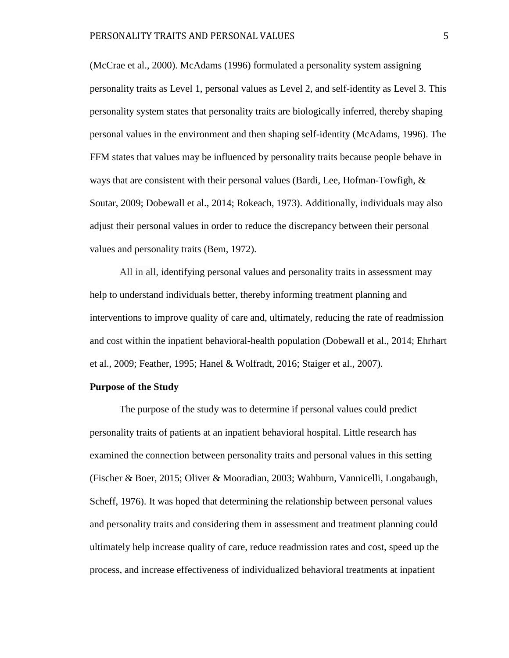(McCrae et al., 2000). McAdams (1996) formulated a personality system assigning personality traits as Level 1, personal values as Level 2, and self-identity as Level 3. This personality system states that personality traits are biologically inferred, thereby shaping personal values in the environment and then shaping self-identity (McAdams, 1996). The FFM states that values may be influenced by personality traits because people behave in ways that are consistent with their personal values (Bardi, Lee, Hofman-Towfigh, & Soutar, 2009; Dobewall et al., 2014; Rokeach, 1973). Additionally, individuals may also adjust their personal values in order to reduce the discrepancy between their personal values and personality traits (Bem, 1972).

All in all, identifying personal values and personality traits in assessment may help to understand individuals better, thereby informing treatment planning and interventions to improve quality of care and, ultimately, reducing the rate of readmission and cost within the inpatient behavioral-health population (Dobewall et al., 2014; Ehrhart et al., 2009; Feather, 1995; Hanel & Wolfradt, 2016; Staiger et al., 2007).

### **Purpose of the Study**

The purpose of the study was to determine if personal values could predict personality traits of patients at an inpatient behavioral hospital. Little research has examined the connection between personality traits and personal values in this setting (Fischer & Boer, 2015; Oliver & Mooradian, 2003; Wahburn, Vannicelli, Longabaugh, Scheff, 1976). It was hoped that determining the relationship between personal values and personality traits and considering them in assessment and treatment planning could ultimately help increase quality of care, reduce readmission rates and cost, speed up the process, and increase effectiveness of individualized behavioral treatments at inpatient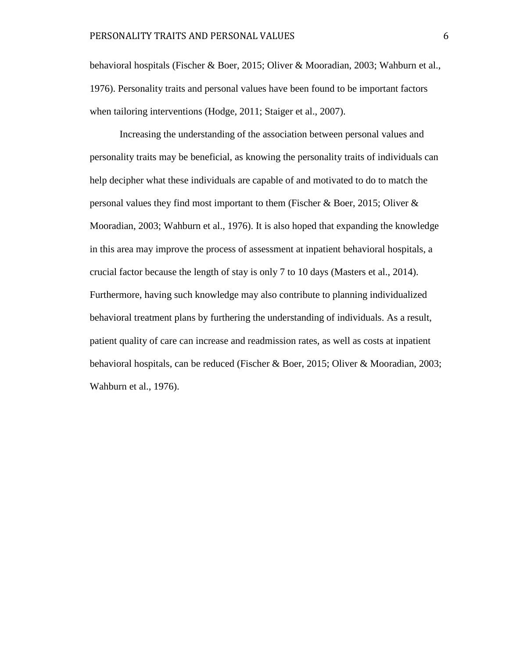behavioral hospitals (Fischer & Boer, 2015; Oliver & Mooradian, 2003; Wahburn et al., 1976). Personality traits and personal values have been found to be important factors when tailoring interventions (Hodge, 2011; Staiger et al., 2007).

Increasing the understanding of the association between personal values and personality traits may be beneficial, as knowing the personality traits of individuals can help decipher what these individuals are capable of and motivated to do to match the personal values they find most important to them (Fischer & Boer, 2015; Oliver & Mooradian, 2003; Wahburn et al., 1976). It is also hoped that expanding the knowledge in this area may improve the process of assessment at inpatient behavioral hospitals, a crucial factor because the length of stay is only 7 to 10 days (Masters et al., 2014). Furthermore, having such knowledge may also contribute to planning individualized behavioral treatment plans by furthering the understanding of individuals. As a result, patient quality of care can increase and readmission rates, as well as costs at inpatient behavioral hospitals, can be reduced (Fischer & Boer, 2015; Oliver & Mooradian, 2003; Wahburn et al., 1976).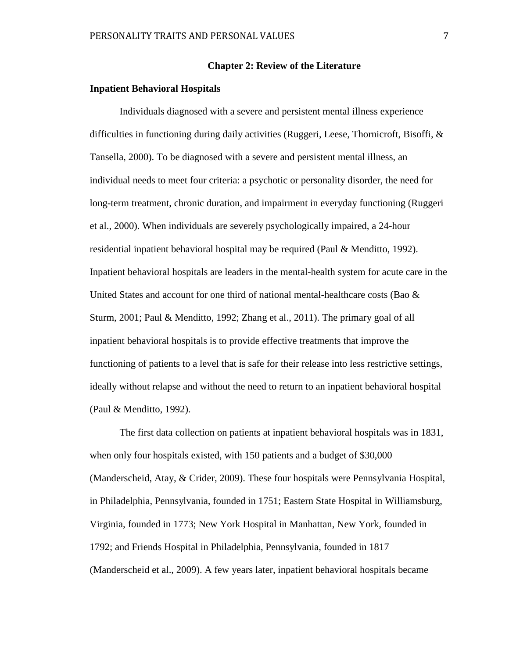### **Chapter 2: Review of the Literature**

### **Inpatient Behavioral Hospitals**

Individuals diagnosed with a severe and persistent mental illness experience difficulties in functioning during daily activities (Ruggeri, Leese, Thornicroft, Bisoffi,  $\&$ Tansella, 2000). To be diagnosed with a severe and persistent mental illness, an individual needs to meet four criteria: a psychotic or personality disorder, the need for long-term treatment, chronic duration, and impairment in everyday functioning (Ruggeri et al., 2000). When individuals are severely psychologically impaired, a 24-hour residential inpatient behavioral hospital may be required (Paul & Menditto, 1992). Inpatient behavioral hospitals are leaders in the mental-health system for acute care in the United States and account for one third of national mental-healthcare costs (Bao & Sturm, 2001; Paul & Menditto, 1992; Zhang et al., 2011). The primary goal of all inpatient behavioral hospitals is to provide effective treatments that improve the functioning of patients to a level that is safe for their release into less restrictive settings, ideally without relapse and without the need to return to an inpatient behavioral hospital (Paul & Menditto, 1992).

The first data collection on patients at inpatient behavioral hospitals was in 1831, when only four hospitals existed, with 150 patients and a budget of \$30,000 (Manderscheid, Atay, & Crider, 2009). These four hospitals were Pennsylvania Hospital, in Philadelphia, Pennsylvania, founded in 1751; Eastern State Hospital in Williamsburg, Virginia, founded in 1773; New York Hospital in Manhattan, New York, founded in 1792; and Friends Hospital in Philadelphia, Pennsylvania, founded in 1817 (Manderscheid et al., 2009). A few years later, inpatient behavioral hospitals became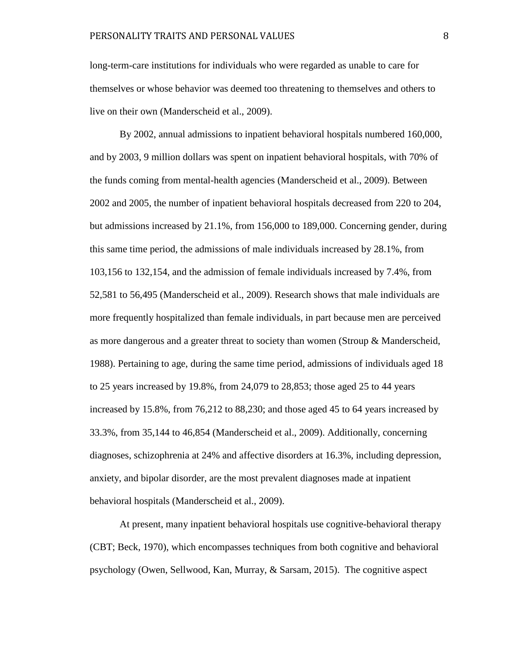long-term-care institutions for individuals who were regarded as unable to care for themselves or whose behavior was deemed too threatening to themselves and others to live on their own (Manderscheid et al., 2009).

By 2002, annual admissions to inpatient behavioral hospitals numbered 160,000, and by 2003, 9 million dollars was spent on inpatient behavioral hospitals, with 70% of the funds coming from mental-health agencies (Manderscheid et al., 2009). Between 2002 and 2005, the number of inpatient behavioral hospitals decreased from 220 to 204, but admissions increased by 21.1%, from 156,000 to 189,000. Concerning gender, during this same time period, the admissions of male individuals increased by 28.1%, from 103,156 to 132,154, and the admission of female individuals increased by 7.4%, from 52,581 to 56,495 (Manderscheid et al., 2009). Research shows that male individuals are more frequently hospitalized than female individuals, in part because men are perceived as more dangerous and a greater threat to society than women (Stroup & Manderscheid, 1988). Pertaining to age, during the same time period, admissions of individuals aged 18 to 25 years increased by 19.8%, from 24,079 to 28,853; those aged 25 to 44 years increased by 15.8%, from 76,212 to 88,230; and those aged 45 to 64 years increased by 33.3%, from 35,144 to 46,854 (Manderscheid et al., 2009). Additionally, concerning diagnoses, schizophrenia at 24% and affective disorders at 16.3%, including depression, anxiety, and bipolar disorder, are the most prevalent diagnoses made at inpatient behavioral hospitals (Manderscheid et al., 2009).

At present, many inpatient behavioral hospitals use cognitive-behavioral therapy (CBT; Beck, 1970), which encompasses techniques from both cognitive and behavioral psychology (Owen, Sellwood, Kan, Murray, & Sarsam, 2015). The cognitive aspect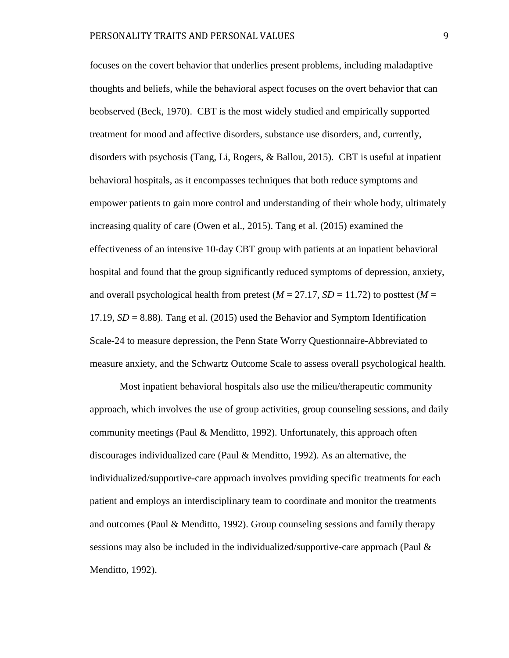focuses on the covert behavior that underlies present problems, including maladaptive thoughts and beliefs, while the behavioral aspect focuses on the overt behavior that can beobserved (Beck, 1970). CBT is the most widely studied and empirically supported treatment for mood and affective disorders, substance use disorders, and, currently, disorders with psychosis (Tang, Li, Rogers, & Ballou, 2015). CBT is useful at inpatient behavioral hospitals, as it encompasses techniques that both reduce symptoms and empower patients to gain more control and understanding of their whole body, ultimately increasing quality of care (Owen et al., 2015). Tang et al. (2015) examined the effectiveness of an intensive 10-day CBT group with patients at an inpatient behavioral hospital and found that the group significantly reduced symptoms of depression, anxiety, and overall psychological health from pretest ( $M = 27.17$ ,  $SD = 11.72$ ) to posttest ( $M =$ 17.19,  $SD = 8.88$ ). Tang et al. (2015) used the Behavior and Symptom Identification Scale-24 to measure depression, the Penn State Worry Questionnaire-Abbreviated to measure anxiety, and the Schwartz Outcome Scale to assess overall psychological health.

Most inpatient behavioral hospitals also use the milieu/therapeutic community approach, which involves the use of group activities, group counseling sessions, and daily community meetings (Paul & Menditto, 1992). Unfortunately, this approach often discourages individualized care (Paul & Menditto, 1992). As an alternative, the individualized/supportive-care approach involves providing specific treatments for each patient and employs an interdisciplinary team to coordinate and monitor the treatments and outcomes (Paul & Menditto, 1992). Group counseling sessions and family therapy sessions may also be included in the individualized/supportive-care approach (Paul & Menditto, 1992).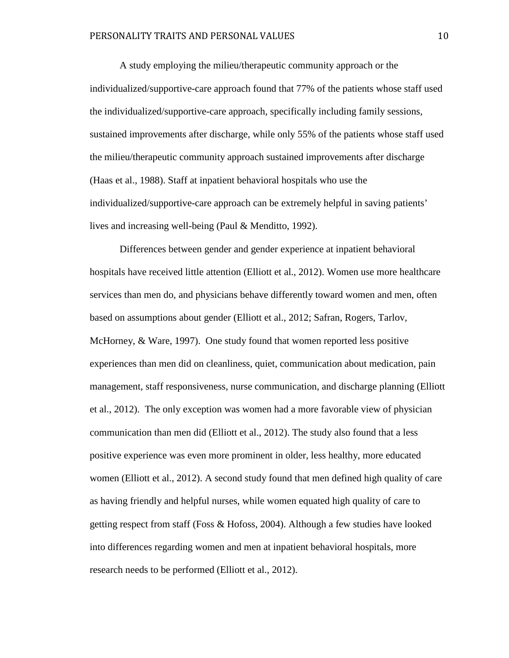A study employing the milieu/therapeutic community approach or the individualized/supportive-care approach found that 77% of the patients whose staff used the individualized/supportive-care approach, specifically including family sessions, sustained improvements after discharge, while only 55% of the patients whose staff used the milieu/therapeutic community approach sustained improvements after discharge (Haas et al., 1988). Staff at inpatient behavioral hospitals who use the individualized/supportive-care approach can be extremely helpful in saving patients' lives and increasing well-being (Paul & Menditto, 1992).

Differences between gender and gender experience at inpatient behavioral hospitals have received little attention (Elliott et al., 2012). Women use more healthcare services than men do, and physicians behave differently toward women and men, often based on assumptions about gender (Elliott et al., 2012; Safran, Rogers, Tarlov, McHorney, & Ware, 1997). One study found that women reported less positive experiences than men did on cleanliness, quiet, communication about medication, pain management, staff responsiveness, nurse communication, and discharge planning (Elliott et al., 2012). The only exception was women had a more favorable view of physician communication than men did (Elliott et al., 2012). The study also found that a less positive experience was even more prominent in older, less healthy, more educated women (Elliott et al., 2012). A second study found that men defined high quality of care as having friendly and helpful nurses, while women equated high quality of care to getting respect from staff (Foss & Hofoss, 2004). Although a few studies have looked into differences regarding women and men at inpatient behavioral hospitals, more research needs to be performed (Elliott et al., 2012).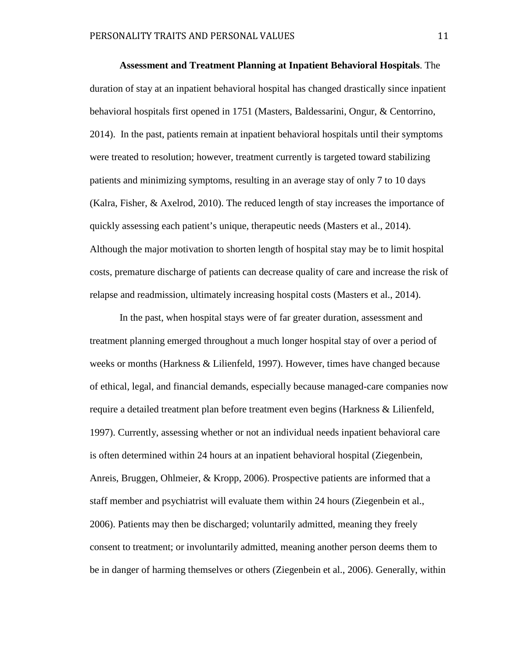**Assessment and Treatment Planning at Inpatient Behavioral Hospitals**. The duration of stay at an inpatient behavioral hospital has changed drastically since inpatient behavioral hospitals first opened in 1751 (Masters, Baldessarini, Ongur, & Centorrino, 2014). In the past, patients remain at inpatient behavioral hospitals until their symptoms were treated to resolution; however, treatment currently is targeted toward stabilizing patients and minimizing symptoms, resulting in an average stay of only 7 to 10 days (Kalra, Fisher, & Axelrod, 2010). The reduced length of stay increases the importance of quickly assessing each patient's unique, therapeutic needs (Masters et al., 2014). Although the major motivation to shorten length of hospital stay may be to limit hospital costs, premature discharge of patients can decrease quality of care and increase the risk of relapse and readmission, ultimately increasing hospital costs (Masters et al., 2014).

In the past, when hospital stays were of far greater duration, assessment and treatment planning emerged throughout a much longer hospital stay of over a period of weeks or months (Harkness & Lilienfeld, 1997). However, times have changed because of ethical, legal, and financial demands, especially because managed-care companies now require a detailed treatment plan before treatment even begins (Harkness & Lilienfeld, 1997). Currently, assessing whether or not an individual needs inpatient behavioral care is often determined within 24 hours at an inpatient behavioral hospital (Ziegenbein, Anreis, Bruggen, Ohlmeier, & Kropp, 2006). Prospective patients are informed that a staff member and psychiatrist will evaluate them within 24 hours (Ziegenbein et al., 2006). Patients may then be discharged; voluntarily admitted, meaning they freely consent to treatment; or involuntarily admitted, meaning another person deems them to be in danger of harming themselves or others (Ziegenbein et al., 2006). Generally, within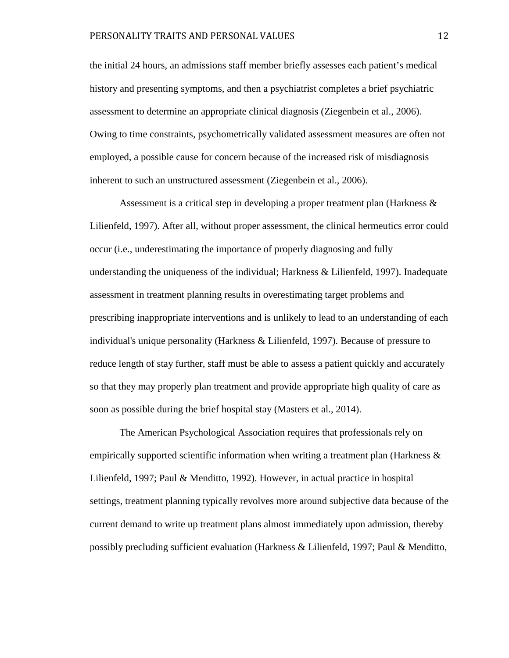the initial 24 hours, an admissions staff member briefly assesses each patient's medical history and presenting symptoms, and then a psychiatrist completes a brief psychiatric assessment to determine an appropriate clinical diagnosis (Ziegenbein et al., 2006). Owing to time constraints, psychometrically validated assessment measures are often not employed, a possible cause for concern because of the increased risk of misdiagnosis inherent to such an unstructured assessment (Ziegenbein et al., 2006).

Assessment is a critical step in developing a proper treatment plan (Harkness & Lilienfeld, 1997). After all, without proper assessment, the clinical hermeutics error could occur (i.e., underestimating the importance of properly diagnosing and fully understanding the uniqueness of the individual; Harkness & Lilienfeld, 1997). Inadequate assessment in treatment planning results in overestimating target problems and prescribing inappropriate interventions and is unlikely to lead to an understanding of each individual's unique personality (Harkness & Lilienfeld, 1997). Because of pressure to reduce length of stay further, staff must be able to assess a patient quickly and accurately so that they may properly plan treatment and provide appropriate high quality of care as soon as possible during the brief hospital stay (Masters et al., 2014).

The American Psychological Association requires that professionals rely on empirically supported scientific information when writing a treatment plan (Harkness  $\&$ Lilienfeld, 1997; Paul & Menditto, 1992). However, in actual practice in hospital settings, treatment planning typically revolves more around subjective data because of the current demand to write up treatment plans almost immediately upon admission, thereby possibly precluding sufficient evaluation (Harkness & Lilienfeld, 1997; Paul & Menditto,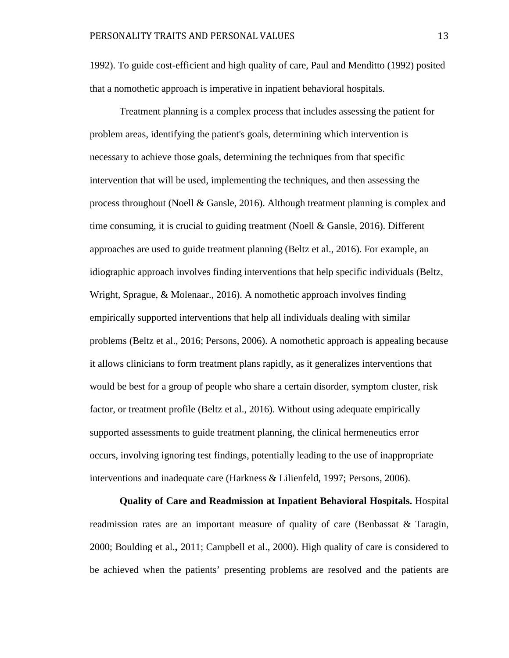1992). To guide cost-efficient and high quality of care, Paul and Menditto (1992) posited that a nomothetic approach is imperative in inpatient behavioral hospitals.

Treatment planning is a complex process that includes assessing the patient for problem areas, identifying the patient's goals, determining which intervention is necessary to achieve those goals, determining the techniques from that specific intervention that will be used, implementing the techniques, and then assessing the process throughout (Noell & Gansle, 2016). Although treatment planning is complex and time consuming, it is crucial to guiding treatment (Noell & Gansle, 2016). Different approaches are used to guide treatment planning (Beltz et al., 2016). For example, an idiographic approach involves finding interventions that help specific individuals (Beltz, Wright, Sprague, & Molenaar., 2016). A nomothetic approach involves finding empirically supported interventions that help all individuals dealing with similar problems (Beltz et al., 2016; Persons, 2006). A nomothetic approach is appealing because it allows clinicians to form treatment plans rapidly, as it generalizes interventions that would be best for a group of people who share a certain disorder, symptom cluster, risk factor, or treatment profile (Beltz et al., 2016). Without using adequate empirically supported assessments to guide treatment planning, the clinical hermeneutics error occurs, involving ignoring test findings, potentially leading to the use of inappropriate interventions and inadequate care (Harkness & Lilienfeld, 1997; Persons, 2006).

**Quality of Care and Readmission at Inpatient Behavioral Hospitals.** Hospital readmission rates are an important measure of quality of care (Benbassat & Taragin, 2000; Boulding et al.**,** 2011; Campbell et al., 2000). High quality of care is considered to be achieved when the patients' presenting problems are resolved and the patients are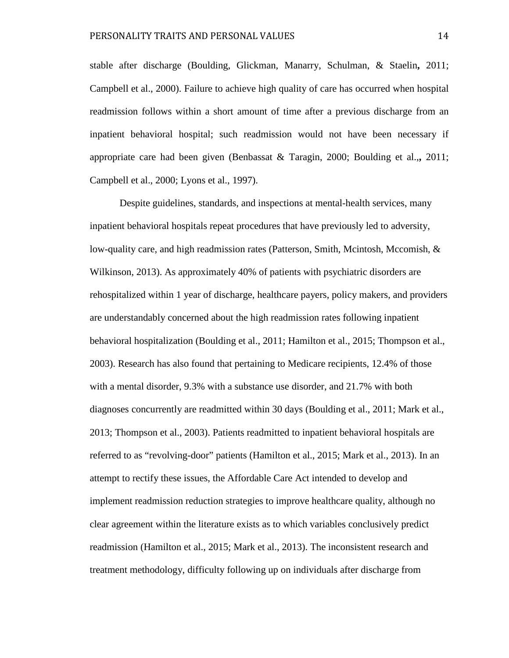stable after discharge (Boulding, Glickman, Manarry, Schulman, & Staelin**,** 2011; Campbell et al., 2000). Failure to achieve high quality of care has occurred when hospital readmission follows within a short amount of time after a previous discharge from an inpatient behavioral hospital; such readmission would not have been necessary if appropriate care had been given (Benbassat & Taragin, 2000; Boulding et al.,**,** 2011; Campbell et al., 2000; Lyons et al., 1997).

Despite guidelines, standards, and inspections at mental-health services, many inpatient behavioral hospitals repeat procedures that have previously led to adversity, low-quality care, and high readmission rates (Patterson, Smith, Mcintosh, Mccomish,  $\&$ Wilkinson, 2013). As approximately 40% of patients with psychiatric disorders are rehospitalized within 1 year of discharge, healthcare payers, policy makers, and providers are understandably concerned about the high readmission rates following inpatient behavioral hospitalization (Boulding et al., 2011; Hamilton et al., 2015; Thompson et al., 2003). Research has also found that pertaining to Medicare recipients, 12.4% of those with a mental disorder, 9.3% with a substance use disorder, and 21.7% with both diagnoses concurrently are readmitted within 30 days (Boulding et al., 2011; Mark et al., 2013; Thompson et al., 2003). Patients readmitted to inpatient behavioral hospitals are referred to as "revolving-door" patients (Hamilton et al., 2015; Mark et al., 2013). In an attempt to rectify these issues, the Affordable Care Act intended to develop and implement readmission reduction strategies to improve healthcare quality, although no clear agreement within the literature exists as to which variables conclusively predict readmission (Hamilton et al., 2015; Mark et al., 2013). The inconsistent research and treatment methodology, difficulty following up on individuals after discharge from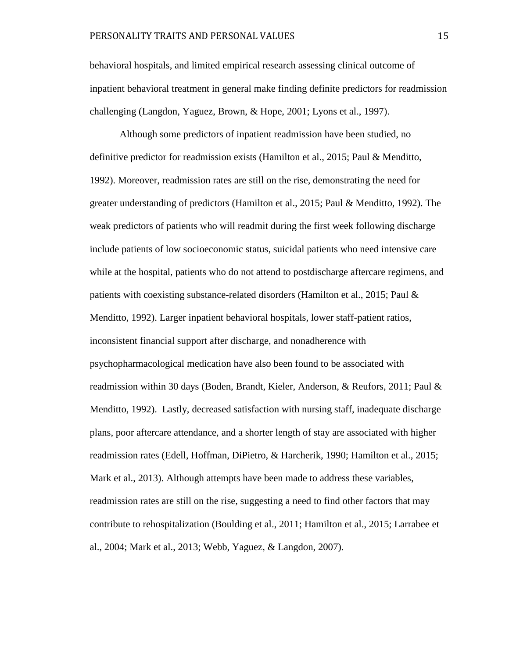behavioral hospitals, and limited empirical research assessing clinical outcome of inpatient behavioral treatment in general make finding definite predictors for readmission challenging (Langdon, Yaguez, Brown, & Hope, 2001; Lyons et al., 1997).

Although some predictors of inpatient readmission have been studied, no definitive predictor for readmission exists (Hamilton et al., 2015; Paul & Menditto, 1992). Moreover, readmission rates are still on the rise, demonstrating the need for greater understanding of predictors (Hamilton et al., 2015; Paul & Menditto, 1992). The weak predictors of patients who will readmit during the first week following discharge include patients of low socioeconomic status, suicidal patients who need intensive care while at the hospital, patients who do not attend to postdischarge aftercare regimens, and patients with coexisting substance-related disorders (Hamilton et al., 2015; Paul & Menditto, 1992). Larger inpatient behavioral hospitals, lower staff-patient ratios, inconsistent financial support after discharge, and nonadherence with psychopharmacological medication have also been found to be associated with readmission within 30 days (Boden, Brandt, Kieler, Anderson, & Reufors, 2011; Paul & Menditto, 1992). Lastly, decreased satisfaction with nursing staff, inadequate discharge plans, poor aftercare attendance, and a shorter length of stay are associated with higher readmission rates (Edell, Hoffman, DiPietro, & Harcherik, 1990; Hamilton et al., 2015; Mark et al., 2013). Although attempts have been made to address these variables, readmission rates are still on the rise, suggesting a need to find other factors that may contribute to rehospitalization (Boulding et al., 2011; Hamilton et al., 2015; Larrabee et al., 2004; Mark et al., 2013; Webb, Yaguez, & Langdon, 2007).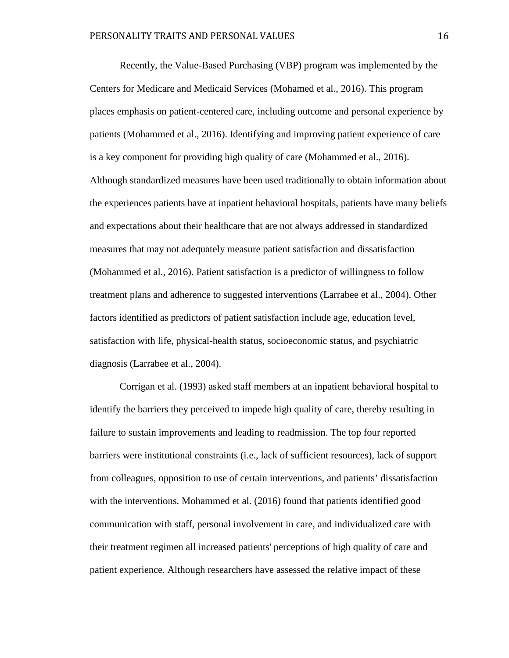Recently, the Value-Based Purchasing (VBP) program was implemented by the Centers for Medicare and Medicaid Services (Mohamed et al., 2016). This program places emphasis on patient-centered care, including outcome and personal experience by patients (Mohammed et al., 2016). Identifying and improving patient experience of care is a key component for providing high quality of care (Mohammed et al., 2016). Although standardized measures have been used traditionally to obtain information about the experiences patients have at inpatient behavioral hospitals, patients have many beliefs and expectations about their healthcare that are not always addressed in standardized measures that may not adequately measure patient satisfaction and dissatisfaction (Mohammed et al., 2016). Patient satisfaction is a predictor of willingness to follow treatment plans and adherence to suggested interventions (Larrabee et al., 2004). Other factors identified as predictors of patient satisfaction include age, education level, satisfaction with life, physical-health status, socioeconomic status, and psychiatric diagnosis (Larrabee et al., 2004).

Corrigan et al. (1993) asked staff members at an inpatient behavioral hospital to identify the barriers they perceived to impede high quality of care, thereby resulting in failure to sustain improvements and leading to readmission. The top four reported barriers were institutional constraints (i.e., lack of sufficient resources), lack of support from colleagues, opposition to use of certain interventions, and patients' dissatisfaction with the interventions. Mohammed et al. (2016) found that patients identified good communication with staff, personal involvement in care, and individualized care with their treatment regimen all increased patients' perceptions of high quality of care and patient experience. Although researchers have assessed the relative impact of these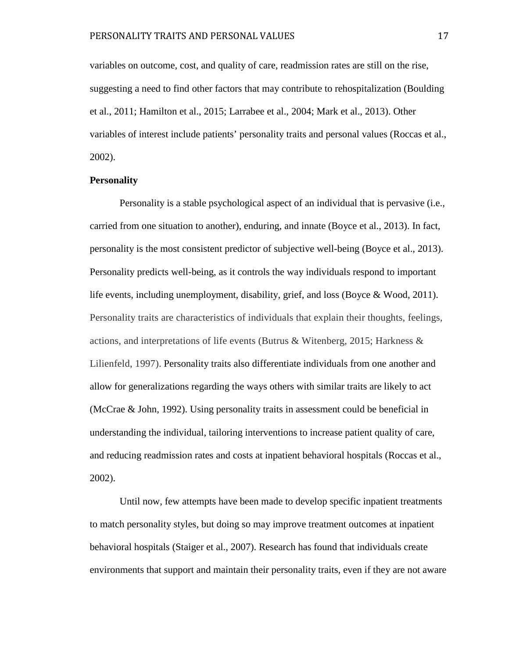variables on outcome, cost, and quality of care, readmission rates are still on the rise, suggesting a need to find other factors that may contribute to rehospitalization (Boulding et al., 2011; Hamilton et al., 2015; Larrabee et al., 2004; Mark et al., 2013). Other variables of interest include patients' personality traits and personal values (Roccas et al., 2002).

### **Personality**

Personality is a stable psychological aspect of an individual that is pervasive (i.e., carried from one situation to another), enduring, and innate (Boyce et al., 2013). In fact, personality is the most consistent predictor of subjective well-being (Boyce et al., 2013). Personality predicts well-being, as it controls the way individuals respond to important life events, including unemployment, disability, grief, and loss (Boyce & Wood, 2011). Personality traits are characteristics of individuals that explain their thoughts, feelings, actions, and interpretations of life events (Butrus & Witenberg, 2015; Harkness & Lilienfeld, 1997). Personality traits also differentiate individuals from one another and allow for generalizations regarding the ways others with similar traits are likely to act (McCrae & John, 1992). Using personality traits in assessment could be beneficial in understanding the individual, tailoring interventions to increase patient quality of care, and reducing readmission rates and costs at inpatient behavioral hospitals (Roccas et al., 2002).

Until now, few attempts have been made to develop specific inpatient treatments to match personality styles, but doing so may improve treatment outcomes at inpatient behavioral hospitals (Staiger et al., 2007). Research has found that individuals create environments that support and maintain their personality traits, even if they are not aware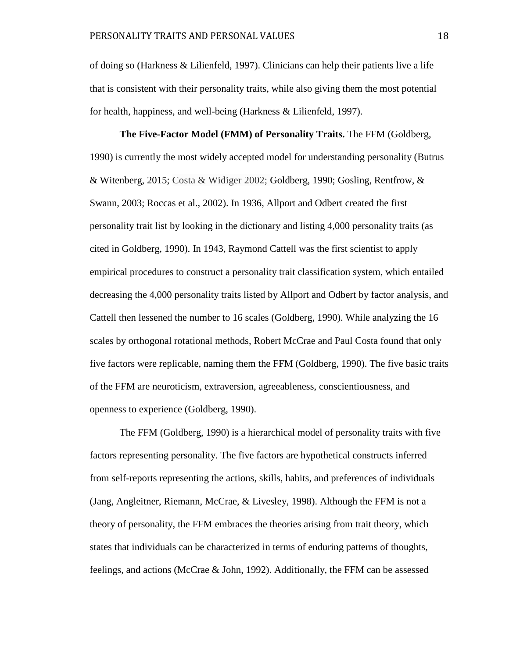of doing so (Harkness & Lilienfeld, 1997). Clinicians can help their patients live a life that is consistent with their personality traits, while also giving them the most potential for health, happiness, and well-being (Harkness & Lilienfeld, 1997).

**The Five-Factor Model (FMM) of Personality Traits.** The FFM (Goldberg, 1990) is currently the most widely accepted model for understanding personality (Butrus & Witenberg, 2015; Costa & Widiger 2002; Goldberg, 1990; Gosling, Rentfrow, & Swann, 2003; Roccas et al., 2002). In 1936, Allport and Odbert created the first personality trait list by looking in the dictionary and listing 4,000 personality traits (as cited in Goldberg, 1990). In 1943, Raymond Cattell was the first scientist to apply empirical procedures to construct a personality trait classification system, which entailed decreasing the 4,000 personality traits listed by Allport and Odbert by factor analysis, and Cattell then lessened the number to 16 scales (Goldberg, 1990). While analyzing the 16 scales by orthogonal rotational methods, Robert McCrae and Paul Costa found that only five factors were replicable, naming them the FFM (Goldberg, 1990). The five basic traits of the FFM are neuroticism, extraversion, agreeableness, conscientiousness, and openness to experience (Goldberg, 1990).

The FFM (Goldberg, 1990) is a hierarchical model of personality traits with five factors representing personality. The five factors are hypothetical constructs inferred from self-reports representing the actions, skills, habits, and preferences of individuals (Jang, Angleitner, Riemann, McCrae, & Livesley, 1998). Although the FFM is not a theory of personality, the FFM embraces the theories arising from trait theory, which states that individuals can be characterized in terms of enduring patterns of thoughts, feelings, and actions (McCrae & John, 1992). Additionally, the FFM can be assessed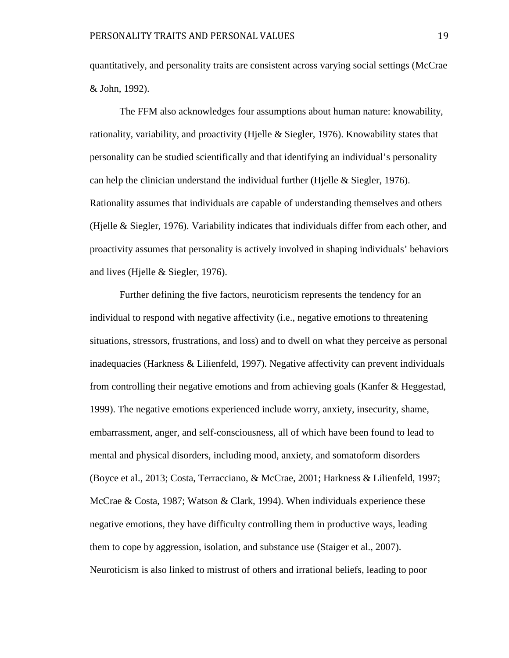quantitatively, and personality traits are consistent across varying social settings (McCrae & John, 1992).

The FFM also acknowledges four assumptions about human nature: knowability, rationality, variability, and proactivity (Hjelle & Siegler, 1976). Knowability states that personality can be studied scientifically and that identifying an individual's personality can help the clinician understand the individual further (Hjelle & Siegler, 1976). Rationality assumes that individuals are capable of understanding themselves and others (Hjelle & Siegler, 1976). Variability indicates that individuals differ from each other, and proactivity assumes that personality is actively involved in shaping individuals' behaviors and lives (Hjelle & Siegler, 1976).

Further defining the five factors, neuroticism represents the tendency for an individual to respond with negative affectivity (i.e., negative emotions to threatening situations, stressors, frustrations, and loss) and to dwell on what they perceive as personal inadequacies (Harkness & Lilienfeld, 1997). Negative affectivity can prevent individuals from controlling their negative emotions and from achieving goals (Kanfer & Heggestad, 1999). The negative emotions experienced include worry, anxiety, insecurity, shame, embarrassment, anger, and self-consciousness, all of which have been found to lead to mental and physical disorders, including mood, anxiety, and somatoform disorders (Boyce et al., 2013; Costa, Terracciano, & McCrae, 2001; Harkness & Lilienfeld, 1997; McCrae & Costa, 1987; Watson & Clark, 1994). When individuals experience these negative emotions, they have difficulty controlling them in productive ways, leading them to cope by aggression, isolation, and substance use (Staiger et al., 2007). Neuroticism is also linked to mistrust of others and irrational beliefs, leading to poor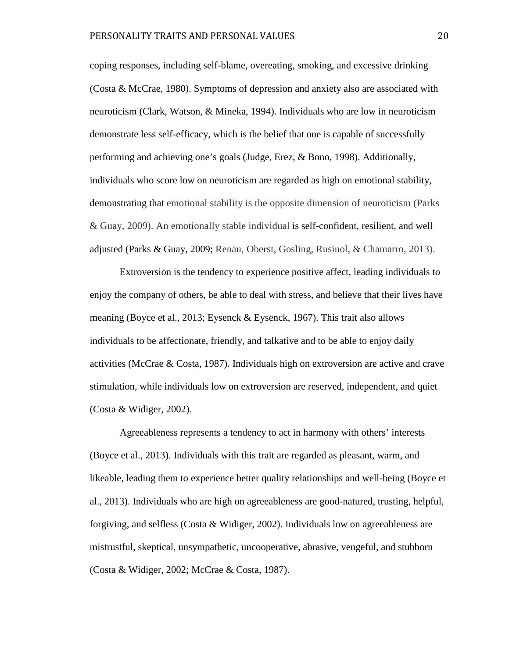coping responses, including self-blame, overeating, smoking, and excessive drinking (Costa & McCrae, 1980). Symptoms of depression and anxiety also are associated with neuroticism (Clark, Watson, & Mineka, 1994). Individuals who are low in neuroticism demonstrate less self-efficacy, which is the belief that one is capable of successfully performing and achieving one's goals (Judge, Erez, & Bono, 1998). Additionally, individuals who score low on neuroticism are regarded as high on emotional stability, demonstrating that emotional stability is the opposite dimension of neuroticism (Parks & Guay, 2009). An emotionally stable individual is self-confident, resilient, and well adjusted (Parks & Guay, 2009; Renau, Oberst, Gosling, Rusinol, & Chamarro, 2013).

Extroversion is the tendency to experience positive affect, leading individuals to enjoy the company of others, be able to deal with stress, and believe that their lives have meaning (Boyce et al., 2013; Eysenck & Eysenck, 1967). This trait also allows individuals to be affectionate, friendly, and talkative and to be able to enjoy daily activities (McCrae & Costa, 1987). Individuals high on extroversion are active and crave stimulation, while individuals low on extroversion are reserved, independent, and quiet (Costa & Widiger, 2002).

Agreeableness represents a tendency to act in harmony with others' interests (Boyce et al., 2013). Individuals with this trait are regarded as pleasant, warm, and likeable, leading them to experience better quality relationships and well-being (Boyce et al., 2013). Individuals who are high on agreeableness are good-natured, trusting, helpful, forgiving, and selfless (Costa & Widiger, 2002). Individuals low on agreeableness are mistrustful, skeptical, unsympathetic, uncooperative, abrasive, vengeful, and stubborn (Costa & Widiger, 2002; McCrae & Costa, 1987).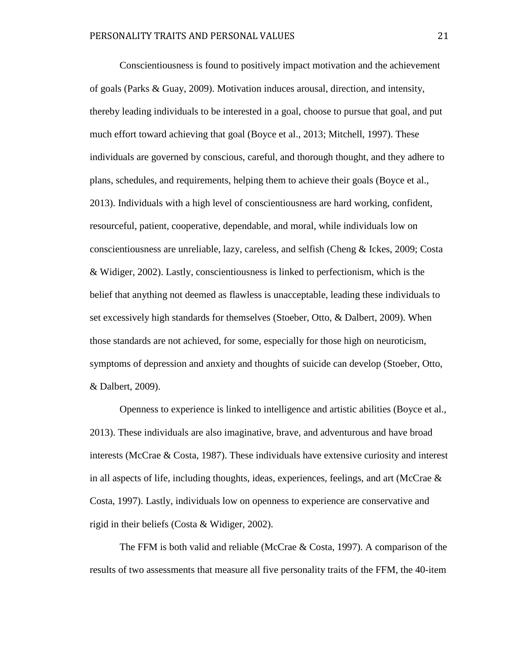Conscientiousness is found to positively impact motivation and the achievement of goals (Parks & Guay, 2009). Motivation induces arousal, direction, and intensity, thereby leading individuals to be interested in a goal, choose to pursue that goal, and put much effort toward achieving that goal (Boyce et al., 2013; Mitchell, 1997). These individuals are governed by conscious, careful, and thorough thought, and they adhere to plans, schedules, and requirements, helping them to achieve their goals (Boyce et al., 2013). Individuals with a high level of conscientiousness are hard working, confident, resourceful, patient, cooperative, dependable, and moral, while individuals low on conscientiousness are unreliable, lazy, careless, and selfish (Cheng & Ickes, 2009; Costa & Widiger, 2002). Lastly, conscientiousness is linked to perfectionism, which is the belief that anything not deemed as flawless is unacceptable, leading these individuals to set excessively high standards for themselves (Stoeber, Otto, & Dalbert, 2009). When those standards are not achieved, for some, especially for those high on neuroticism, symptoms of depression and anxiety and thoughts of suicide can develop (Stoeber, Otto, & Dalbert, 2009).

Openness to experience is linked to intelligence and artistic abilities (Boyce et al., 2013). These individuals are also imaginative, brave, and adventurous and have broad interests (McCrae & Costa, 1987). These individuals have extensive curiosity and interest in all aspects of life, including thoughts, ideas, experiences, feelings, and art (McCrae  $\&$ Costa, 1997). Lastly, individuals low on openness to experience are conservative and rigid in their beliefs (Costa & Widiger, 2002).

The FFM is both valid and reliable (McCrae & Costa, 1997). A comparison of the results of two assessments that measure all five personality traits of the FFM, the 40-item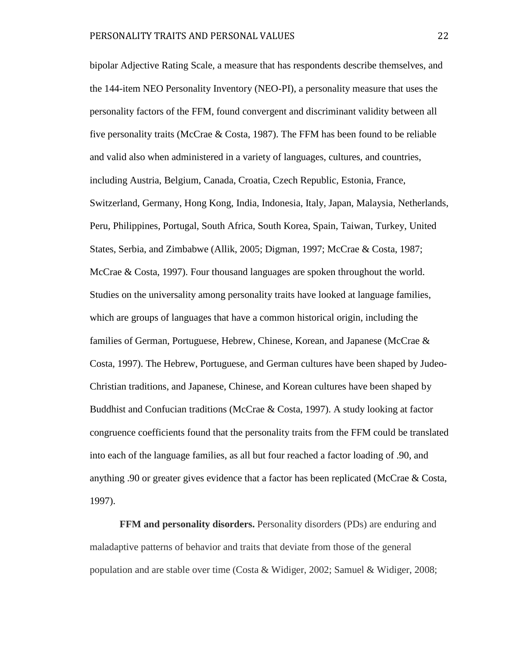bipolar Adjective Rating Scale, a measure that has respondents describe themselves, and the 144-item NEO Personality Inventory (NEO-PI), a personality measure that uses the personality factors of the FFM, found convergent and discriminant validity between all five personality traits (McCrae & Costa, 1987). The FFM has been found to be reliable and valid also when administered in a variety of languages, cultures, and countries, including Austria, Belgium, Canada, Croatia, Czech Republic, Estonia, France, Switzerland, Germany, Hong Kong, India, Indonesia, Italy, Japan, Malaysia, Netherlands, Peru, Philippines, Portugal, South Africa, South Korea, Spain, Taiwan, Turkey, United States, Serbia, and Zimbabwe (Allik, 2005; Digman, 1997; McCrae & Costa, 1987; McCrae & Costa, 1997). Four thousand languages are spoken throughout the world. Studies on the universality among personality traits have looked at language families, which are groups of languages that have a common historical origin, including the families of German, Portuguese, Hebrew, Chinese, Korean, and Japanese (McCrae & Costa, 1997). The Hebrew, Portuguese, and German cultures have been shaped by Judeo-Christian traditions, and Japanese, Chinese, and Korean cultures have been shaped by Buddhist and Confucian traditions (McCrae & Costa, 1997). A study looking at factor congruence coefficients found that the personality traits from the FFM could be translated into each of the language families, as all but four reached a factor loading of .90, and anything .90 or greater gives evidence that a factor has been replicated (McCrae & Costa, 1997).

**FFM and personality disorders.** Personality disorders (PDs) are enduring and maladaptive patterns of behavior and traits that deviate from those of the general population and are stable over time (Costa & Widiger, 2002; Samuel & Widiger, 2008;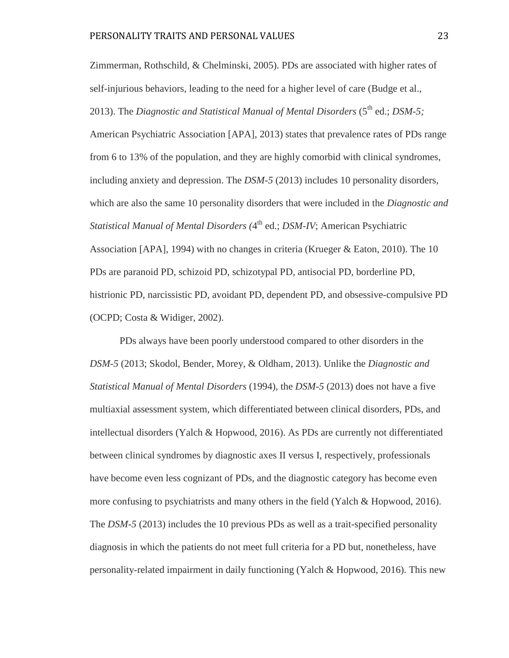Zimmerman, Rothschild, & Chelminski, 2005). PDs are associated with higher rates of self-injurious behaviors, leading to the need for a higher level of care (Budge et al., 2013). The *Diagnostic and Statistical Manual of Mental Disorders* (5th ed.; *DSM-5;*

American Psychiatric Association [APA], 2013) states that prevalence rates of PDs range from 6 to 13% of the population, and they are highly comorbid with clinical syndromes, including anxiety and depression. The *DSM-5* (2013) includes 10 personality disorders, which are also the same 10 personality disorders that were included in the *Diagnostic and Statistical Manual of Mental Disorders (*4th ed.; *DSM-IV*; American Psychiatric Association [APA], 1994) with no changes in criteria (Krueger & Eaton, 2010). The 10 PDs are paranoid PD, schizoid PD, schizotypal PD, antisocial PD, borderline PD, histrionic PD, narcissistic PD, avoidant PD, dependent PD, and obsessive-compulsive PD (OCPD; Costa & Widiger, 2002).

PDs always have been poorly understood compared to other disorders in the *DSM-5* (2013; Skodol, Bender, Morey, & Oldham, 2013). Unlike the *Diagnostic and Statistical Manual of Mental Disorders* (1994), the *DSM-5* (2013) does not have a five multiaxial assessment system, which differentiated between clinical disorders, PDs, and intellectual disorders (Yalch & Hopwood, 2016). As PDs are currently not differentiated between clinical syndromes by diagnostic axes II versus I, respectively, professionals have become even less cognizant of PDs, and the diagnostic category has become even more confusing to psychiatrists and many others in the field (Yalch & Hopwood, 2016). The *DSM-5* (2013) includes the 10 previous PDs as well as a trait-specified personality diagnosis in which the patients do not meet full criteria for a PD but, nonetheless, have personality-related impairment in daily functioning (Yalch & Hopwood, 2016). This new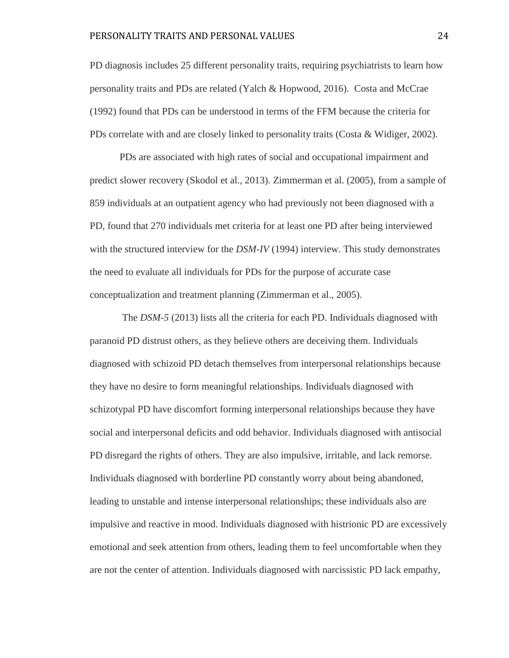PD diagnosis includes 25 different personality traits, requiring psychiatrists to learn how personality traits and PDs are related (Yalch & Hopwood, 2016). Costa and McCrae (1992) found that PDs can be understood in terms of the FFM because the criteria for PDs correlate with and are closely linked to personality traits (Costa & Widiger, 2002).

PDs are associated with high rates of social and occupational impairment and predict slower recovery (Skodol et al., 2013). Zimmerman et al. (2005), from a sample of 859 individuals at an outpatient agency who had previously not been diagnosed with a PD, found that 270 individuals met criteria for at least one PD after being interviewed with the structured interview for the *DSM-IV* (1994) interview. This study demonstrates the need to evaluate all individuals for PDs for the purpose of accurate case conceptualization and treatment planning (Zimmerman et al., 2005).

The *DSM-5* (2013) lists all the criteria for each PD. Individuals diagnosed with paranoid PD distrust others, as they believe others are deceiving them. Individuals diagnosed with schizoid PD detach themselves from interpersonal relationships because they have no desire to form meaningful relationships. Individuals diagnosed with schizotypal PD have discomfort forming interpersonal relationships because they have social and interpersonal deficits and odd behavior. Individuals diagnosed with antisocial PD disregard the rights of others. They are also impulsive, irritable, and lack remorse. Individuals diagnosed with borderline PD constantly worry about being abandoned, leading to unstable and intense interpersonal relationships; these individuals also are impulsive and reactive in mood. Individuals diagnosed with histrionic PD are excessively emotional and seek attention from others, leading them to feel uncomfortable when they are not the center of attention. Individuals diagnosed with narcissistic PD lack empathy,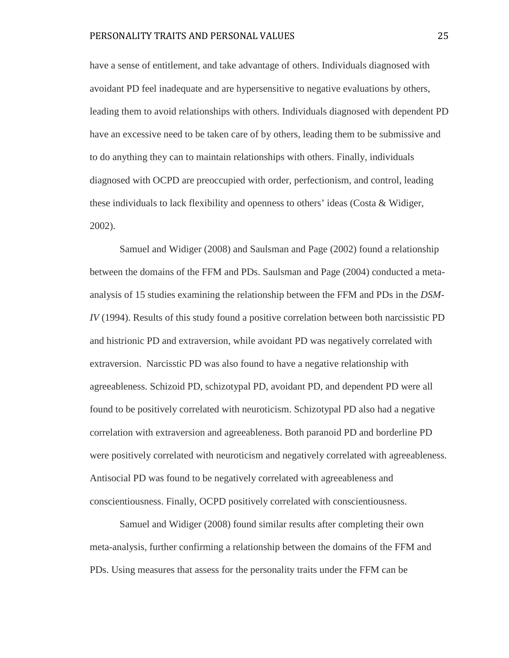have a sense of entitlement, and take advantage of others. Individuals diagnosed with avoidant PD feel inadequate and are hypersensitive to negative evaluations by others, leading them to avoid relationships with others. Individuals diagnosed with dependent PD have an excessive need to be taken care of by others, leading them to be submissive and to do anything they can to maintain relationships with others. Finally, individuals diagnosed with OCPD are preoccupied with order, perfectionism, and control, leading these individuals to lack flexibility and openness to others' ideas (Costa & Widiger, 2002).

Samuel and Widiger (2008) and Saulsman and Page (2002) found a relationship between the domains of the FFM and PDs. Saulsman and Page (2004) conducted a metaanalysis of 15 studies examining the relationship between the FFM and PDs in the *DSM-IV* (1994). Results of this study found a positive correlation between both narcissistic PD and histrionic PD and extraversion, while avoidant PD was negatively correlated with extraversion. Narcisstic PD was also found to have a negative relationship with agreeableness. Schizoid PD, schizotypal PD, avoidant PD, and dependent PD were all found to be positively correlated with neuroticism. Schizotypal PD also had a negative correlation with extraversion and agreeableness. Both paranoid PD and borderline PD were positively correlated with neuroticism and negatively correlated with agreeableness. Antisocial PD was found to be negatively correlated with agreeableness and conscientiousness. Finally, OCPD positively correlated with conscientiousness.

Samuel and Widiger (2008) found similar results after completing their own meta-analysis, further confirming a relationship between the domains of the FFM and PDs. Using measures that assess for the personality traits under the FFM can be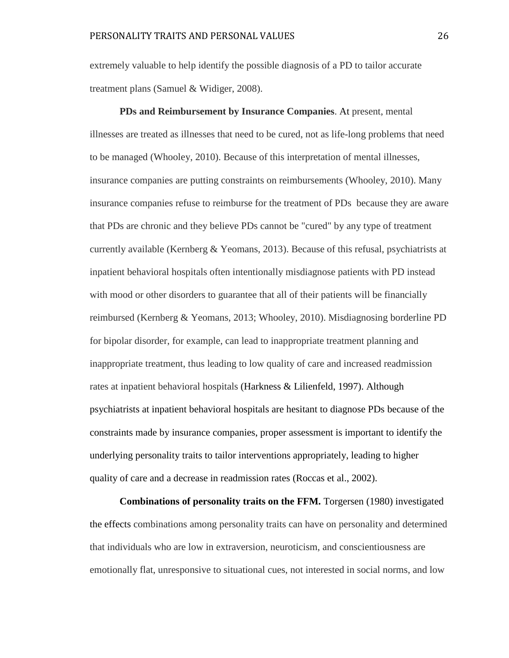extremely valuable to help identify the possible diagnosis of a PD to tailor accurate treatment plans (Samuel & Widiger, 2008).

**PDs and Reimbursement by Insurance Companies**. At present, mental illnesses are treated as illnesses that need to be cured, not as life-long problems that need to be managed (Whooley, 2010). Because of this interpretation of mental illnesses, insurance companies are putting constraints on reimbursements (Whooley, 2010). Many insurance companies refuse to reimburse for the treatment of PDs because they are aware that PDs are chronic and they believe PDs cannot be "cured" by any type of treatment currently available (Kernberg & Yeomans, 2013). Because of this refusal, psychiatrists at inpatient behavioral hospitals often intentionally misdiagnose patients with PD instead with mood or other disorders to guarantee that all of their patients will be financially reimbursed (Kernberg & Yeomans, 2013; Whooley, 2010). Misdiagnosing borderline PD for bipolar disorder, for example, can lead to inappropriate treatment planning and inappropriate treatment, thus leading to low quality of care and increased readmission rates at inpatient behavioral hospitals (Harkness & Lilienfeld, 1997). Although psychiatrists at inpatient behavioral hospitals are hesitant to diagnose PDs because of the constraints made by insurance companies, proper assessment is important to identify the underlying personality traits to tailor interventions appropriately, leading to higher quality of care and a decrease in readmission rates (Roccas et al., 2002).

**Combinations of personality traits on the FFM.** Torgersen (1980) investigated the effects combinations among personality traits can have on personality and determined that individuals who are low in extraversion, neuroticism, and conscientiousness are emotionally flat, unresponsive to situational cues, not interested in social norms, and low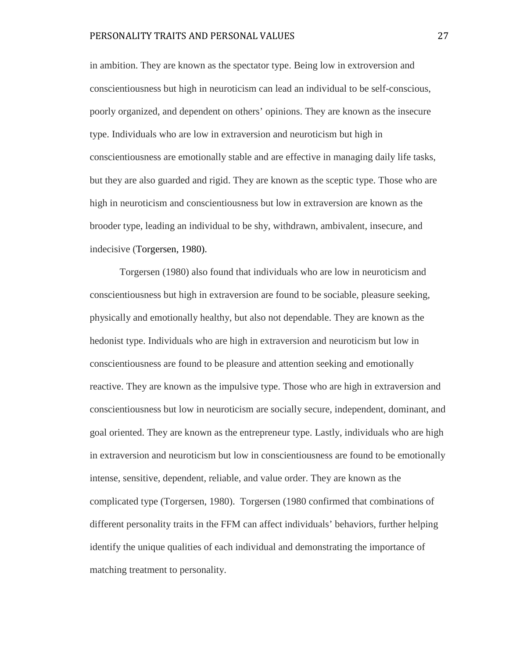in ambition. They are known as the spectator type. Being low in extroversion and conscientiousness but high in neuroticism can lead an individual to be self-conscious, poorly organized, and dependent on others' opinions. They are known as the insecure type. Individuals who are low in extraversion and neuroticism but high in conscientiousness are emotionally stable and are effective in managing daily life tasks, but they are also guarded and rigid. They are known as the sceptic type. Those who are high in neuroticism and conscientiousness but low in extraversion are known as the brooder type, leading an individual to be shy, withdrawn, ambivalent, insecure, and indecisive (Torgersen, 1980).

Torgersen (1980) also found that individuals who are low in neuroticism and conscientiousness but high in extraversion are found to be sociable, pleasure seeking, physically and emotionally healthy, but also not dependable. They are known as the hedonist type. Individuals who are high in extraversion and neuroticism but low in conscientiousness are found to be pleasure and attention seeking and emotionally reactive. They are known as the impulsive type. Those who are high in extraversion and conscientiousness but low in neuroticism are socially secure, independent, dominant, and goal oriented. They are known as the entrepreneur type. Lastly, individuals who are high in extraversion and neuroticism but low in conscientiousness are found to be emotionally intense, sensitive, dependent, reliable, and value order. They are known as the complicated type (Torgersen, 1980). Torgersen (1980 confirmed that combinations of different personality traits in the FFM can affect individuals' behaviors, further helping identify the unique qualities of each individual and demonstrating the importance of matching treatment to personality.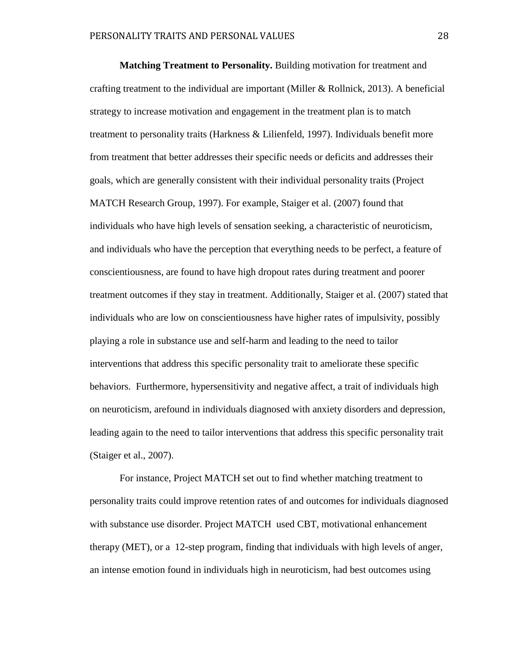**Matching Treatment to Personality.** Building motivation for treatment and crafting treatment to the individual are important (Miller & Rollnick, 2013). A beneficial strategy to increase motivation and engagement in the treatment plan is to match treatment to personality traits (Harkness & Lilienfeld, 1997). Individuals benefit more from treatment that better addresses their specific needs or deficits and addresses their goals, which are generally consistent with their individual personality traits (Project MATCH Research Group, 1997). For example, Staiger et al. (2007) found that individuals who have high levels of sensation seeking, a characteristic of neuroticism, and individuals who have the perception that everything needs to be perfect, a feature of conscientiousness, are found to have high dropout rates during treatment and poorer treatment outcomes if they stay in treatment. Additionally, Staiger et al. (2007) stated that individuals who are low on conscientiousness have higher rates of impulsivity, possibly playing a role in substance use and self-harm and leading to the need to tailor interventions that address this specific personality trait to ameliorate these specific behaviors. Furthermore, hypersensitivity and negative affect, a trait of individuals high on neuroticism, arefound in individuals diagnosed with anxiety disorders and depression, leading again to the need to tailor interventions that address this specific personality trait (Staiger et al., 2007).

For instance, Project MATCH set out to find whether matching treatment to personality traits could improve retention rates of and outcomes for individuals diagnosed with substance use disorder. Project MATCH used CBT, motivational enhancement therapy (MET), or a 12-step program, finding that individuals with high levels of anger, an intense emotion found in individuals high in neuroticism, had best outcomes using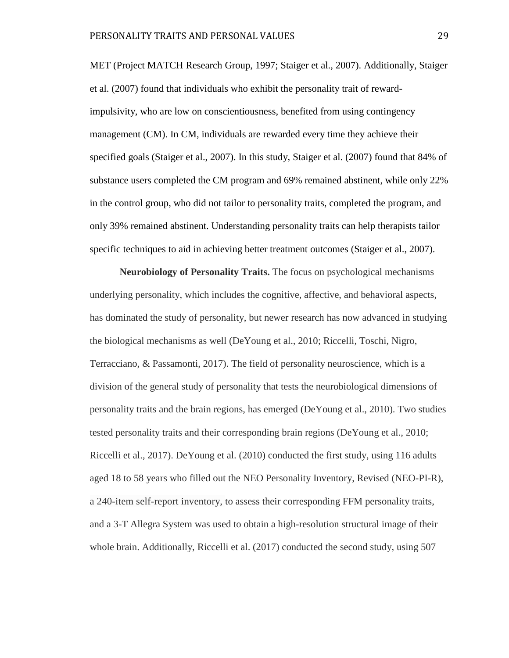MET (Project MATCH Research Group, 1997; Staiger et al., 2007). Additionally, Staiger et al. (2007) found that individuals who exhibit the personality trait of rewardimpulsivity, who are low on conscientiousness, benefited from using contingency management (CM). In CM, individuals are rewarded every time they achieve their specified goals (Staiger et al., 2007). In this study, Staiger et al. (2007) found that 84% of substance users completed the CM program and 69% remained abstinent, while only 22% in the control group, who did not tailor to personality traits, completed the program, and only 39% remained abstinent. Understanding personality traits can help therapists tailor specific techniques to aid in achieving better treatment outcomes (Staiger et al., 2007).

**Neurobiology of Personality Traits.** The focus on psychological mechanisms underlying personality, which includes the cognitive, affective, and behavioral aspects, has dominated the study of personality, but newer research has now advanced in studying the biological mechanisms as well (DeYoung et al., 2010; Riccelli, Toschi, Nigro, Terracciano, & Passamonti, 2017). The field of personality neuroscience, which is a division of the general study of personality that tests the neurobiological dimensions of personality traits and the brain regions, has emerged (DeYoung et al., 2010). Two studies tested personality traits and their corresponding brain regions (DeYoung et al., 2010; Riccelli et al., 2017). DeYoung et al. (2010) conducted the first study, using 116 adults aged 18 to 58 years who filled out the NEO Personality Inventory, Revised (NEO-PI-R), a 240-item self-report inventory, to assess their corresponding FFM personality traits, and a 3-T Allegra System was used to obtain a high-resolution structural image of their whole brain. Additionally, Riccelli et al. (2017) conducted the second study, using 507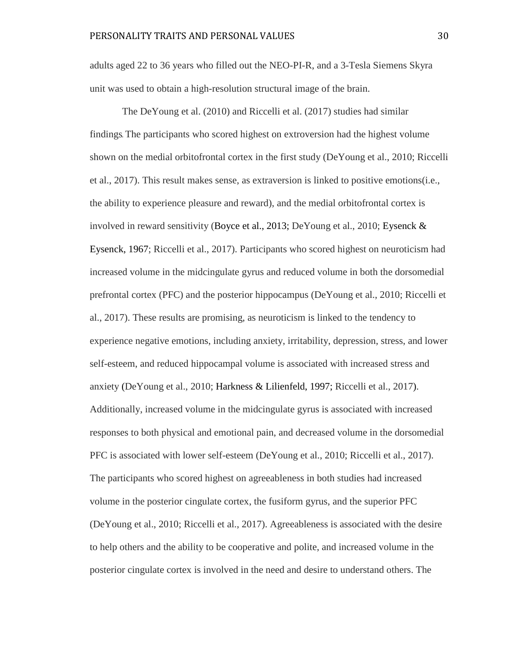adults aged 22 to 36 years who filled out the NEO-PI-R, and a 3-Tesla Siemens Skyra unit was used to obtain a high-resolution structural image of the brain.

The DeYoung et al. (2010) and Riccelli et al. (2017) studies had similar findings. The participants who scored highest on extroversion had the highest volume shown on the medial orbitofrontal cortex in the first study (DeYoung et al., 2010; Riccelli et al., 2017). This result makes sense, as extraversion is linked to positive emotions(i.e., the ability to experience pleasure and reward), and the medial orbitofrontal cortex is involved in reward sensitivity (Boyce et al., 2013; DeYoung et al., 2010; Eysenck  $\&$ Eysenck, 1967; Riccelli et al., 2017). Participants who scored highest on neuroticism had increased volume in the midcingulate gyrus and reduced volume in both the dorsomedial prefrontal cortex (PFC) and the posterior hippocampus (DeYoung et al., 2010; Riccelli et al., 2017). These results are promising, as neuroticism is linked to the tendency to experience negative emotions, including anxiety, irritability, depression, stress, and lower self-esteem, and reduced hippocampal volume is associated with increased stress and anxiety (DeYoung et al., 2010; Harkness & Lilienfeld, 1997; Riccelli et al., 2017). Additionally, increased volume in the midcingulate gyrus is associated with increased responses to both physical and emotional pain, and decreased volume in the dorsomedial PFC is associated with lower self-esteem (DeYoung et al., 2010; Riccelli et al., 2017). The participants who scored highest on agreeableness in both studies had increased volume in the posterior cingulate cortex, the fusiform gyrus, and the superior PFC (DeYoung et al., 2010; Riccelli et al., 2017). Agreeableness is associated with the desire to help others and the ability to be cooperative and polite, and increased volume in the posterior cingulate cortex is involved in the need and desire to understand others. The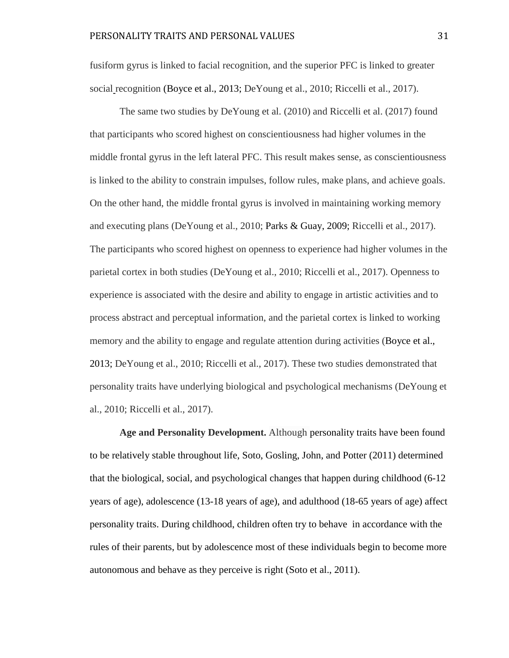fusiform gyrus is linked to facial recognition, and the superior PFC is linked to greater social recognition (Boyce et al., 2013; DeYoung et al., 2010; Riccelli et al., 2017).

The same two studies by DeYoung et al. (2010) and Riccelli et al. (2017) found that participants who scored highest on conscientiousness had higher volumes in the middle frontal gyrus in the left lateral PFC. This result makes sense, as conscientiousness is linked to the ability to constrain impulses, follow rules, make plans, and achieve goals. On the other hand, the middle frontal gyrus is involved in maintaining working memory and executing plans (DeYoung et al., 2010; Parks & Guay, 2009; Riccelli et al., 2017). The participants who scored highest on openness to experience had higher volumes in the parietal cortex in both studies (DeYoung et al., 2010; Riccelli et al., 2017). Openness to experience is associated with the desire and ability to engage in artistic activities and to process abstract and perceptual information, and the parietal cortex is linked to working memory and the ability to engage and regulate attention during activities (Boyce et al., 2013; DeYoung et al., 2010; Riccelli et al., 2017). These two studies demonstrated that personality traits have underlying biological and psychological mechanisms (DeYoung et al., 2010; Riccelli et al., 2017).

**Age and Personality Development.** Although personality traits have been found to be relatively stable throughout life, Soto, Gosling, John, and Potter (2011) determined that the biological, social, and psychological changes that happen during childhood (6-12 years of age), adolescence (13-18 years of age), and adulthood (18-65 years of age) affect personality traits. During childhood, children often try to behave in accordance with the rules of their parents, but by adolescence most of these individuals begin to become more autonomous and behave as they perceive is right (Soto et al., 2011).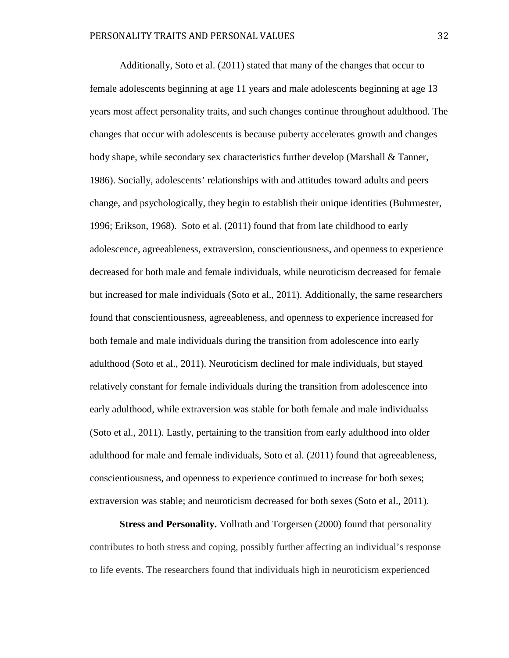Additionally, Soto et al. (2011) stated that many of the changes that occur to female adolescents beginning at age 11 years and male adolescents beginning at age 13 years most affect personality traits, and such changes continue throughout adulthood. The changes that occur with adolescents is because puberty accelerates growth and changes body shape, while secondary sex characteristics further develop (Marshall & Tanner, 1986). Socially, adolescents' relationships with and attitudes toward adults and peers change, and psychologically, they begin to establish their unique identities (Buhrmester, 1996; Erikson, 1968). Soto et al. (2011) found that from late childhood to early adolescence, agreeableness, extraversion, conscientiousness, and openness to experience decreased for both male and female individuals, while neuroticism decreased for female but increased for male individuals (Soto et al., 2011). Additionally, the same researchers found that conscientiousness, agreeableness, and openness to experience increased for both female and male individuals during the transition from adolescence into early adulthood (Soto et al., 2011). Neuroticism declined for male individuals, but stayed relatively constant for female individuals during the transition from adolescence into early adulthood, while extraversion was stable for both female and male individualss (Soto et al., 2011). Lastly, pertaining to the transition from early adulthood into older adulthood for male and female individuals, Soto et al. (2011) found that agreeableness, conscientiousness, and openness to experience continued to increase for both sexes; extraversion was stable; and neuroticism decreased for both sexes (Soto et al., 2011).

**Stress and Personality.** Vollrath and Torgersen (2000) found that personality contributes to both stress and coping, possibly further affecting an individual's response to life events. The researchers found that individuals high in neuroticism experienced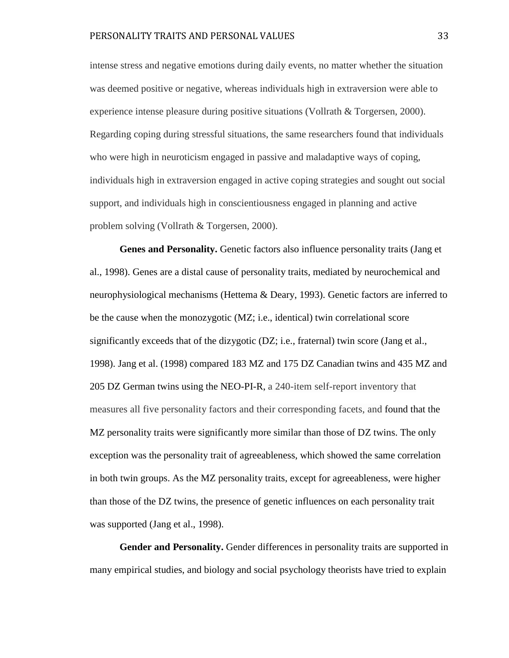intense stress and negative emotions during daily events, no matter whether the situation was deemed positive or negative, whereas individuals high in extraversion were able to experience intense pleasure during positive situations (Vollrath & Torgersen, 2000). Regarding coping during stressful situations, the same researchers found that individuals who were high in neuroticism engaged in passive and maladaptive ways of coping, individuals high in extraversion engaged in active coping strategies and sought out social support, and individuals high in conscientiousness engaged in planning and active problem solving (Vollrath & Torgersen, 2000).

**Genes and Personality.** Genetic factors also influence personality traits (Jang et al., 1998). Genes are a distal cause of personality traits, mediated by neurochemical and neurophysiological mechanisms (Hettema & Deary, 1993). Genetic factors are inferred to be the cause when the monozygotic (MZ; i.e., identical) twin correlational score significantly exceeds that of the dizygotic (DZ; i.e., fraternal) twin score (Jang et al., 1998). Jang et al. (1998) compared 183 MZ and 175 DZ Canadian twins and 435 MZ and 205 DZ German twins using the NEO-PI-R, a 240-item self-report inventory that measures all five personality factors and their corresponding facets, and found that the MZ personality traits were significantly more similar than those of DZ twins. The only exception was the personality trait of agreeableness, which showed the same correlation in both twin groups. As the MZ personality traits, except for agreeableness, were higher than those of the DZ twins, the presence of genetic influences on each personality trait was supported (Jang et al., 1998).

**Gender and Personality.** Gender differences in personality traits are supported in many empirical studies, and biology and social psychology theorists have tried to explain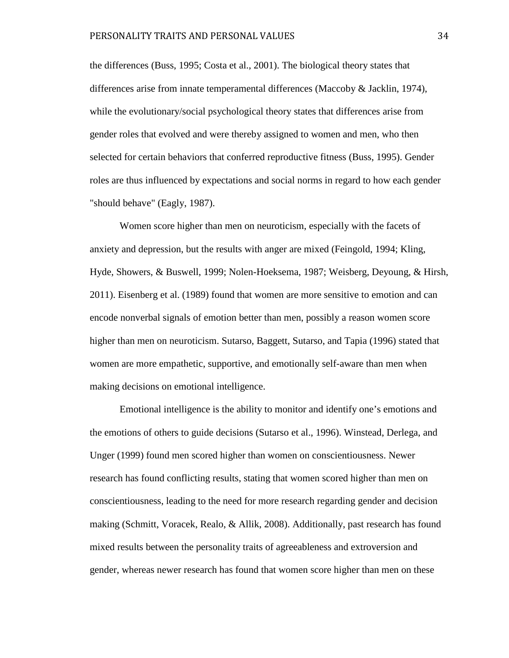the differences (Buss, 1995; Costa et al., 2001). The biological theory states that differences arise from innate temperamental differences (Maccoby & Jacklin, 1974), while the evolutionary/social psychological theory states that differences arise from gender roles that evolved and were thereby assigned to women and men, who then selected for certain behaviors that conferred reproductive fitness (Buss, 1995). Gender roles are thus influenced by expectations and social norms in regard to how each gender "should behave" (Eagly, 1987).

Women score higher than men on neuroticism, especially with the facets of anxiety and depression, but the results with anger are mixed (Feingold, 1994; Kling, Hyde, Showers, & Buswell, 1999; Nolen-Hoeksema, 1987; Weisberg, Deyoung, & Hirsh, 2011). Eisenberg et al. (1989) found that women are more sensitive to emotion and can encode nonverbal signals of emotion better than men, possibly a reason women score higher than men on neuroticism. Sutarso, Baggett, Sutarso, and Tapia (1996) stated that women are more empathetic, supportive, and emotionally self-aware than men when making decisions on emotional intelligence.

Emotional intelligence is the ability to monitor and identify one's emotions and the emotions of others to guide decisions (Sutarso et al., 1996). Winstead, Derlega, and Unger (1999) found men scored higher than women on conscientiousness. Newer research has found conflicting results, stating that women scored higher than men on conscientiousness, leading to the need for more research regarding gender and decision making (Schmitt, Voracek, Realo, & Allik, 2008). Additionally, past research has found mixed results between the personality traits of agreeableness and extroversion and gender, whereas newer research has found that women score higher than men on these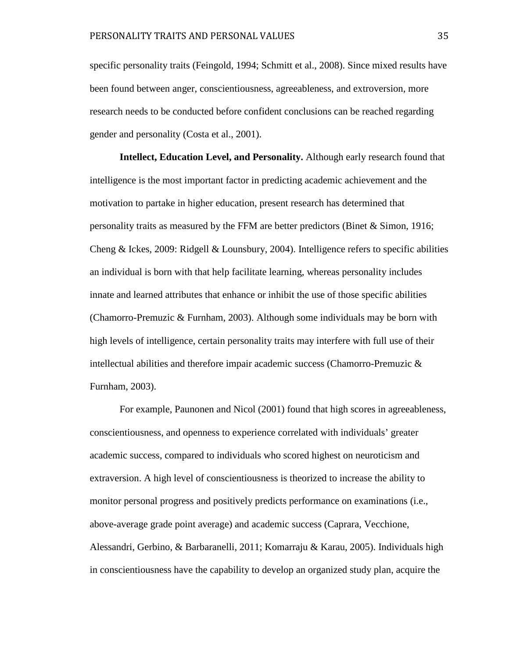specific personality traits (Feingold, 1994; Schmitt et al., 2008). Since mixed results have been found between anger, conscientiousness, agreeableness, and extroversion, more research needs to be conducted before confident conclusions can be reached regarding gender and personality (Costa et al., 2001).

**Intellect, Education Level, and Personality.** Although early research found that intelligence is the most important factor in predicting academic achievement and the motivation to partake in higher education, present research has determined that personality traits as measured by the FFM are better predictors (Binet  $\&$  Simon, 1916; Cheng & Ickes, 2009: Ridgell & Lounsbury, 2004). Intelligence refers to specific abilities an individual is born with that help facilitate learning, whereas personality includes innate and learned attributes that enhance or inhibit the use of those specific abilities (Chamorro-Premuzic & Furnham, 2003). Although some individuals may be born with high levels of intelligence, certain personality traits may interfere with full use of their intellectual abilities and therefore impair academic success (Chamorro-Premuzic & Furnham, 2003).

For example, Paunonen and Nicol (2001) found that high scores in agreeableness, conscientiousness, and openness to experience correlated with individuals' greater academic success, compared to individuals who scored highest on neuroticism and extraversion. A high level of conscientiousness is theorized to increase the ability to monitor personal progress and positively predicts performance on examinations (i.e., above-average grade point average) and academic success (Caprara, Vecchione, Alessandri, Gerbino, & Barbaranelli, 2011; Komarraju & Karau, 2005). Individuals high in conscientiousness have the capability to develop an organized study plan, acquire the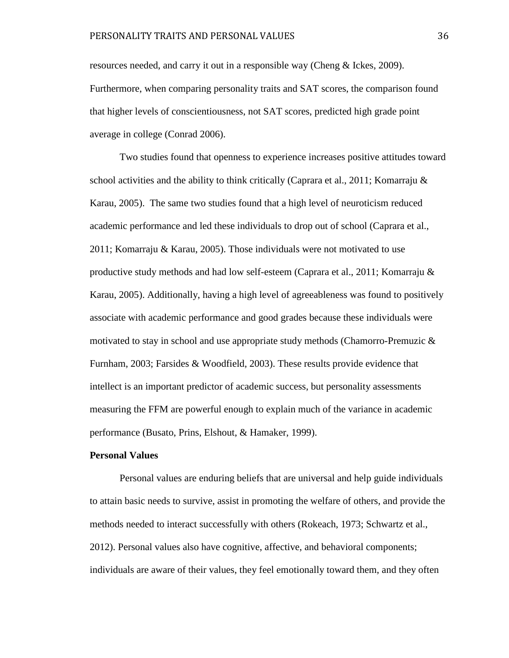resources needed, and carry it out in a responsible way (Cheng & Ickes, 2009). Furthermore, when comparing personality traits and SAT scores, the comparison found that higher levels of conscientiousness, not SAT scores, predicted high grade point average in college (Conrad 2006).

Two studies found that openness to experience increases positive attitudes toward school activities and the ability to think critically (Caprara et al., 2011; Komarraju & Karau, 2005). The same two studies found that a high level of neuroticism reduced academic performance and led these individuals to drop out of school (Caprara et al., 2011; Komarraju & Karau, 2005). Those individuals were not motivated to use productive study methods and had low self-esteem (Caprara et al., 2011; Komarraju & Karau, 2005). Additionally, having a high level of agreeableness was found to positively associate with academic performance and good grades because these individuals were motivated to stay in school and use appropriate study methods (Chamorro-Premuzic  $\&$ Furnham, 2003; Farsides & Woodfield, 2003). These results provide evidence that intellect is an important predictor of academic success, but personality assessments measuring the FFM are powerful enough to explain much of the variance in academic performance (Busato, Prins, Elshout, & Hamaker, 1999).

## **Personal Values**

Personal values are enduring beliefs that are universal and help guide individuals to attain basic needs to survive, assist in promoting the welfare of others, and provide the methods needed to interact successfully with others (Rokeach, 1973; Schwartz et al., 2012). Personal values also have cognitive, affective, and behavioral components; individuals are aware of their values, they feel emotionally toward them, and they often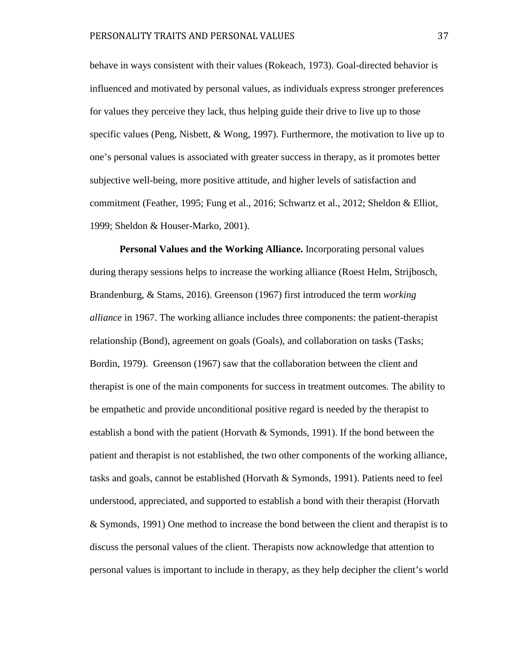behave in ways consistent with their values (Rokeach, 1973). Goal-directed behavior is influenced and motivated by personal values, as individuals express stronger preferences for values they perceive they lack, thus helping guide their drive to live up to those specific values (Peng, Nisbett, & Wong, 1997). Furthermore, the motivation to live up to one's personal values is associated with greater success in therapy, as it promotes better subjective well-being, more positive attitude, and higher levels of satisfaction and commitment (Feather, 1995; Fung et al., 2016; Schwartz et al., 2012; Sheldon & Elliot, 1999; Sheldon & Houser-Marko, 2001).

**Personal Values and the Working Alliance.** Incorporating personal values during therapy sessions helps to increase the working alliance (Roest Helm, Strijbosch, Brandenburg, & Stams, 2016). Greenson (1967) first introduced the term *working alliance* in 1967. The working alliance includes three components: the patient-therapist relationship (Bond), agreement on goals (Goals), and collaboration on tasks (Tasks; Bordin, 1979). Greenson (1967) saw that the collaboration between the client and therapist is one of the main components for success in treatment outcomes. The ability to be empathetic and provide unconditional positive regard is needed by the therapist to establish a bond with the patient (Horvath  $\&$  Symonds, 1991). If the bond between the patient and therapist is not established, the two other components of the working alliance, tasks and goals, cannot be established (Horvath & Symonds, 1991). Patients need to feel understood, appreciated, and supported to establish a bond with their therapist (Horvath & Symonds, 1991) One method to increase the bond between the client and therapist is to discuss the personal values of the client. Therapists now acknowledge that attention to personal values is important to include in therapy, as they help decipher the client's world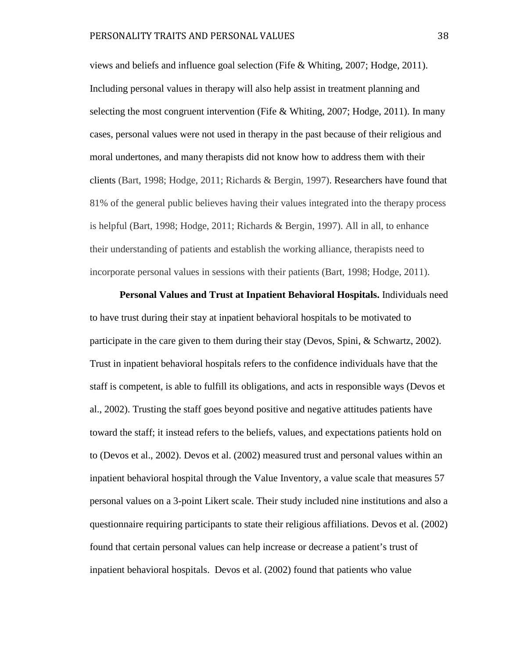views and beliefs and influence goal selection (Fife & Whiting, 2007; Hodge, 2011). Including personal values in therapy will also help assist in treatment planning and selecting the most congruent intervention (Fife & Whiting, 2007; Hodge, 2011). In many cases, personal values were not used in therapy in the past because of their religious and moral undertones, and many therapists did not know how to address them with their clients (Bart, 1998; Hodge, 2011; Richards & Bergin, 1997). Researchers have found that 81% of the general public believes having their values integrated into the therapy process is helpful (Bart, 1998; Hodge, 2011; Richards & Bergin, 1997). All in all, to enhance their understanding of patients and establish the working alliance, therapists need to incorporate personal values in sessions with their patients (Bart, 1998; Hodge, 2011).

**Personal Values and Trust at Inpatient Behavioral Hospitals.** Individuals need to have trust during their stay at inpatient behavioral hospitals to be motivated to participate in the care given to them during their stay (Devos, Spini, & Schwartz, 2002). Trust in inpatient behavioral hospitals refers to the confidence individuals have that the staff is competent, is able to fulfill its obligations, and acts in responsible ways (Devos et al., 2002). Trusting the staff goes beyond positive and negative attitudes patients have toward the staff; it instead refers to the beliefs, values, and expectations patients hold on to (Devos et al., 2002). Devos et al. (2002) measured trust and personal values within an inpatient behavioral hospital through the Value Inventory, a value scale that measures 57 personal values on a 3-point Likert scale. Their study included nine institutions and also a questionnaire requiring participants to state their religious affiliations. Devos et al. (2002) found that certain personal values can help increase or decrease a patient's trust of inpatient behavioral hospitals. Devos et al. (2002) found that patients who value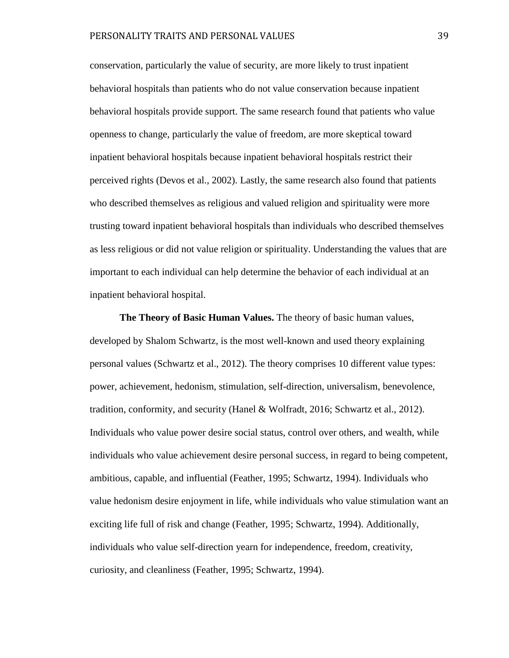conservation, particularly the value of security, are more likely to trust inpatient behavioral hospitals than patients who do not value conservation because inpatient behavioral hospitals provide support. The same research found that patients who value openness to change, particularly the value of freedom, are more skeptical toward inpatient behavioral hospitals because inpatient behavioral hospitals restrict their perceived rights (Devos et al., 2002). Lastly, the same research also found that patients who described themselves as religious and valued religion and spirituality were more trusting toward inpatient behavioral hospitals than individuals who described themselves as less religious or did not value religion or spirituality. Understanding the values that are important to each individual can help determine the behavior of each individual at an inpatient behavioral hospital.

**The Theory of Basic Human Values.** The theory of basic human values, developed by Shalom Schwartz, is the most well-known and used theory explaining personal values (Schwartz et al., 2012). The theory comprises 10 different value types: power, achievement, hedonism, stimulation, self-direction, universalism, benevolence, tradition, conformity, and security (Hanel & Wolfradt, 2016; Schwartz et al., 2012). Individuals who value power desire social status, control over others, and wealth, while individuals who value achievement desire personal success, in regard to being competent, ambitious, capable, and influential (Feather, 1995; Schwartz, 1994). Individuals who value hedonism desire enjoyment in life, while individuals who value stimulation want an exciting life full of risk and change (Feather, 1995; Schwartz, 1994). Additionally, individuals who value self-direction yearn for independence, freedom, creativity, curiosity, and cleanliness (Feather, 1995; Schwartz, 1994).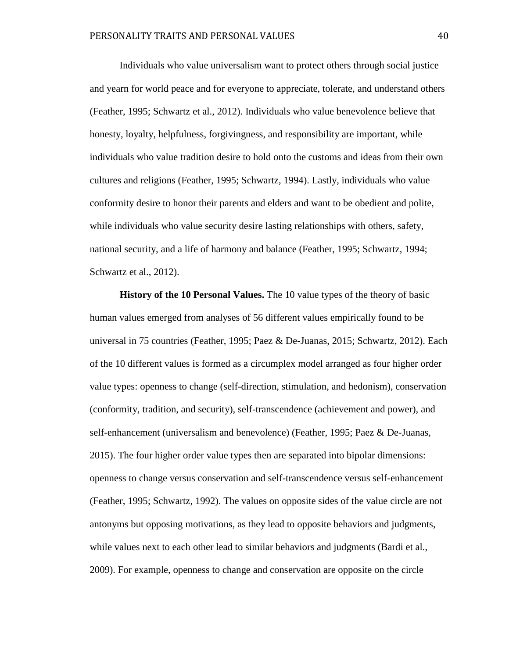Individuals who value universalism want to protect others through social justice and yearn for world peace and for everyone to appreciate, tolerate, and understand others (Feather, 1995; Schwartz et al., 2012). Individuals who value benevolence believe that honesty, loyalty, helpfulness, forgivingness, and responsibility are important, while individuals who value tradition desire to hold onto the customs and ideas from their own cultures and religions (Feather, 1995; Schwartz, 1994). Lastly, individuals who value conformity desire to honor their parents and elders and want to be obedient and polite, while individuals who value security desire lasting relationships with others, safety, national security, and a life of harmony and balance (Feather, 1995; Schwartz, 1994; Schwartz et al., 2012).

**History of the 10 Personal Values.** The 10 value types of the theory of basic human values emerged from analyses of 56 different values empirically found to be universal in 75 countries (Feather, 1995; Paez & De-Juanas, 2015; Schwartz, 2012). Each of the 10 different values is formed as a circumplex model arranged as four higher order value types: openness to change (self-direction, stimulation, and hedonism), conservation (conformity, tradition, and security), self-transcendence (achievement and power), and self-enhancement (universalism and benevolence) (Feather, 1995; Paez & De-Juanas, 2015). The four higher order value types then are separated into bipolar dimensions: openness to change versus conservation and self-transcendence versus self-enhancement (Feather, 1995; Schwartz, 1992). The values on opposite sides of the value circle are not antonyms but opposing motivations, as they lead to opposite behaviors and judgments, while values next to each other lead to similar behaviors and judgments (Bardi et al., 2009). For example, openness to change and conservation are opposite on the circle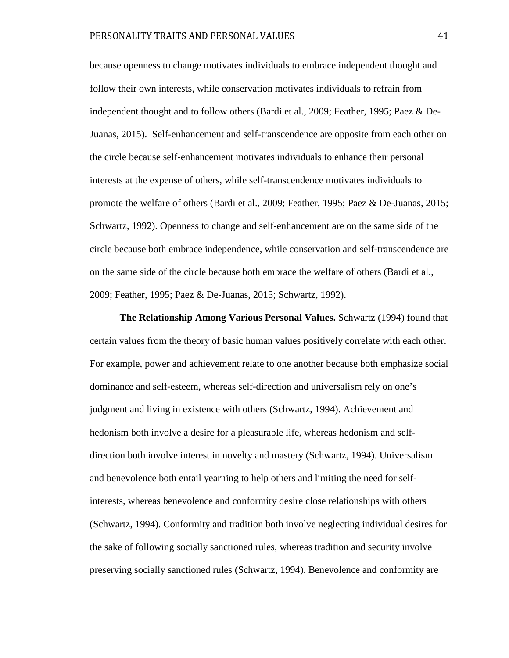because openness to change motivates individuals to embrace independent thought and follow their own interests, while conservation motivates individuals to refrain from independent thought and to follow others (Bardi et al., 2009; Feather, 1995; Paez & De-Juanas, 2015). Self-enhancement and self-transcendence are opposite from each other on the circle because self-enhancement motivates individuals to enhance their personal interests at the expense of others, while self-transcendence motivates individuals to promote the welfare of others (Bardi et al., 2009; Feather, 1995; Paez & De-Juanas, 2015; Schwartz, 1992). Openness to change and self-enhancement are on the same side of the circle because both embrace independence, while conservation and self-transcendence are on the same side of the circle because both embrace the welfare of others (Bardi et al., 2009; Feather, 1995; Paez & De-Juanas, 2015; Schwartz, 1992).

**The Relationship Among Various Personal Values.** Schwartz (1994) found that certain values from the theory of basic human values positively correlate with each other. For example, power and achievement relate to one another because both emphasize social dominance and self-esteem, whereas self-direction and universalism rely on one's judgment and living in existence with others (Schwartz, 1994). Achievement and hedonism both involve a desire for a pleasurable life, whereas hedonism and selfdirection both involve interest in novelty and mastery (Schwartz, 1994). Universalism and benevolence both entail yearning to help others and limiting the need for selfinterests, whereas benevolence and conformity desire close relationships with others (Schwartz, 1994). Conformity and tradition both involve neglecting individual desires for the sake of following socially sanctioned rules, whereas tradition and security involve preserving socially sanctioned rules (Schwartz, 1994). Benevolence and conformity are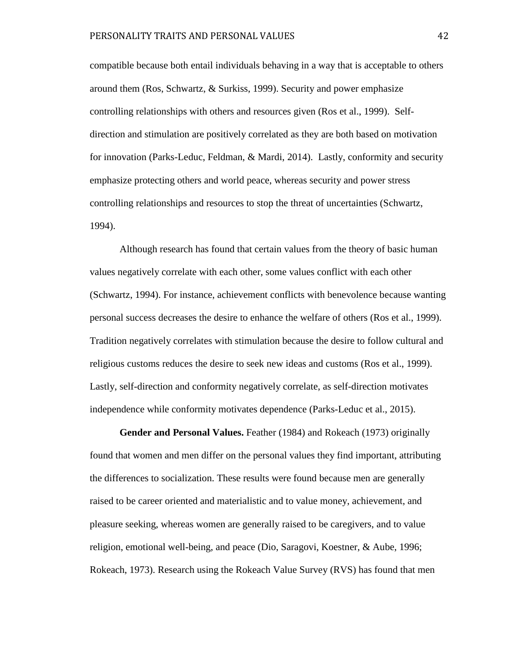compatible because both entail individuals behaving in a way that is acceptable to others around them (Ros, Schwartz, & Surkiss, 1999). Security and power emphasize controlling relationships with others and resources given (Ros et al., 1999). Selfdirection and stimulation are positively correlated as they are both based on motivation for innovation (Parks-Leduc, Feldman, & Mardi, 2014). Lastly, conformity and security emphasize protecting others and world peace, whereas security and power stress controlling relationships and resources to stop the threat of uncertainties (Schwartz, 1994).

Although research has found that certain values from the theory of basic human values negatively correlate with each other, some values conflict with each other (Schwartz, 1994). For instance, achievement conflicts with benevolence because wanting personal success decreases the desire to enhance the welfare of others (Ros et al., 1999). Tradition negatively correlates with stimulation because the desire to follow cultural and religious customs reduces the desire to seek new ideas and customs (Ros et al., 1999). Lastly, self-direction and conformity negatively correlate, as self-direction motivates independence while conformity motivates dependence (Parks-Leduc et al., 2015).

**Gender and Personal Values.** Feather (1984) and Rokeach (1973) originally found that women and men differ on the personal values they find important, attributing the differences to socialization. These results were found because men are generally raised to be career oriented and materialistic and to value money, achievement, and pleasure seeking, whereas women are generally raised to be caregivers, and to value religion, emotional well-being, and peace (Dio, Saragovi, Koestner, & Aube, 1996; Rokeach, 1973). Research using the Rokeach Value Survey (RVS) has found that men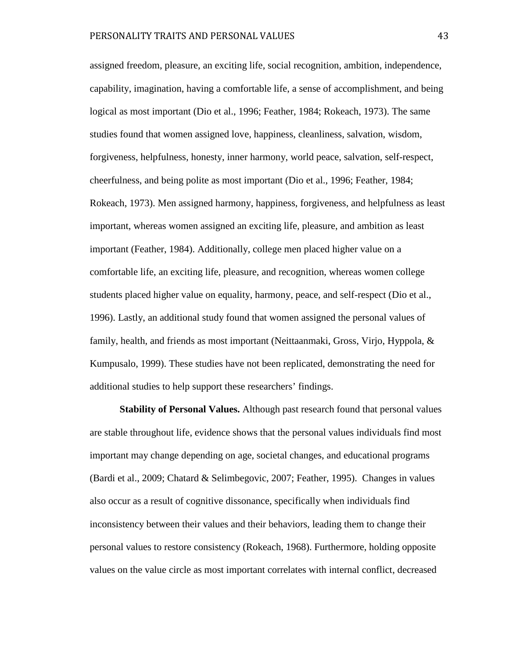assigned freedom, pleasure, an exciting life, social recognition, ambition, independence, capability, imagination, having a comfortable life, a sense of accomplishment, and being logical as most important (Dio et al., 1996; Feather, 1984; Rokeach, 1973). The same studies found that women assigned love, happiness, cleanliness, salvation, wisdom, forgiveness, helpfulness, honesty, inner harmony, world peace, salvation, self-respect, cheerfulness, and being polite as most important (Dio et al., 1996; Feather, 1984; Rokeach, 1973). Men assigned harmony, happiness, forgiveness, and helpfulness as least important, whereas women assigned an exciting life, pleasure, and ambition as least important (Feather, 1984). Additionally, college men placed higher value on a comfortable life, an exciting life, pleasure, and recognition, whereas women college students placed higher value on equality, harmony, peace, and self-respect (Dio et al., 1996). Lastly, an additional study found that women assigned the personal values of family, health, and friends as most important (Neittaanmaki, Gross, Virjo, Hyppola, & Kumpusalo, 1999). These studies have not been replicated, demonstrating the need for additional studies to help support these researchers' findings.

**Stability of Personal Values.** Although past research found that personal values are stable throughout life, evidence shows that the personal values individuals find most important may change depending on age, societal changes, and educational programs (Bardi et al., 2009; Chatard & Selimbegovic, 2007; Feather, 1995). Changes in values also occur as a result of cognitive dissonance, specifically when individuals find inconsistency between their values and their behaviors, leading them to change their personal values to restore consistency (Rokeach, 1968). Furthermore, holding opposite values on the value circle as most important correlates with internal conflict, decreased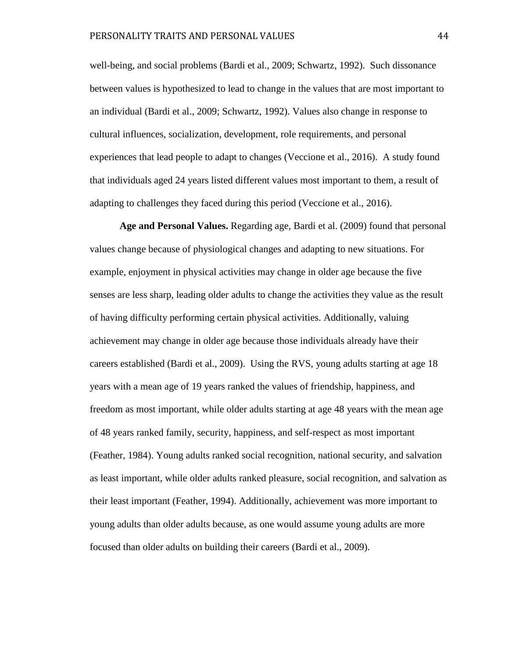well-being, and social problems (Bardi et al., 2009; Schwartz, 1992). Such dissonance between values is hypothesized to lead to change in the values that are most important to an individual (Bardi et al., 2009; Schwartz, 1992). Values also change in response to cultural influences, socialization, development, role requirements, and personal experiences that lead people to adapt to changes (Veccione et al., 2016). A study found that individuals aged 24 years listed different values most important to them, a result of adapting to challenges they faced during this period (Veccione et al., 2016).

**Age and Personal Values.** Regarding age, Bardi et al. (2009) found that personal values change because of physiological changes and adapting to new situations. For example, enjoyment in physical activities may change in older age because the five senses are less sharp, leading older adults to change the activities they value as the result of having difficulty performing certain physical activities. Additionally, valuing achievement may change in older age because those individuals already have their careers established (Bardi et al., 2009). Using the RVS, young adults starting at age 18 years with a mean age of 19 years ranked the values of friendship, happiness, and freedom as most important, while older adults starting at age 48 years with the mean age of 48 years ranked family, security, happiness, and self-respect as most important (Feather, 1984). Young adults ranked social recognition, national security, and salvation as least important, while older adults ranked pleasure, social recognition, and salvation as their least important (Feather, 1994). Additionally, achievement was more important to young adults than older adults because, as one would assume young adults are more focused than older adults on building their careers (Bardi et al., 2009).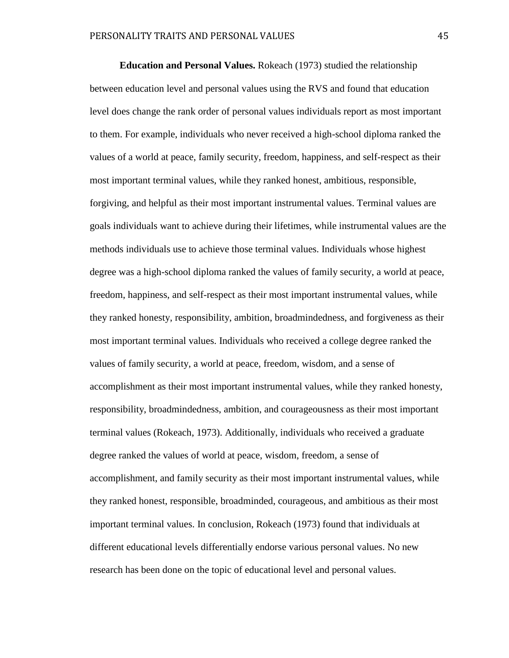**Education and Personal Values.** Rokeach (1973) studied the relationship between education level and personal values using the RVS and found that education level does change the rank order of personal values individuals report as most important to them. For example, individuals who never received a high-school diploma ranked the values of a world at peace, family security, freedom, happiness, and self-respect as their most important terminal values, while they ranked honest, ambitious, responsible, forgiving, and helpful as their most important instrumental values. Terminal values are goals individuals want to achieve during their lifetimes, while instrumental values are the methods individuals use to achieve those terminal values. Individuals whose highest degree was a high-school diploma ranked the values of family security, a world at peace, freedom, happiness, and self-respect as their most important instrumental values, while they ranked honesty, responsibility, ambition, broadmindedness, and forgiveness as their most important terminal values. Individuals who received a college degree ranked the values of family security, a world at peace, freedom, wisdom, and a sense of accomplishment as their most important instrumental values, while they ranked honesty, responsibility, broadmindedness, ambition, and courageousness as their most important terminal values (Rokeach, 1973). Additionally, individuals who received a graduate degree ranked the values of world at peace, wisdom, freedom, a sense of accomplishment, and family security as their most important instrumental values, while they ranked honest, responsible, broadminded, courageous, and ambitious as their most important terminal values. In conclusion, Rokeach (1973) found that individuals at different educational levels differentially endorse various personal values. No new research has been done on the topic of educational level and personal values.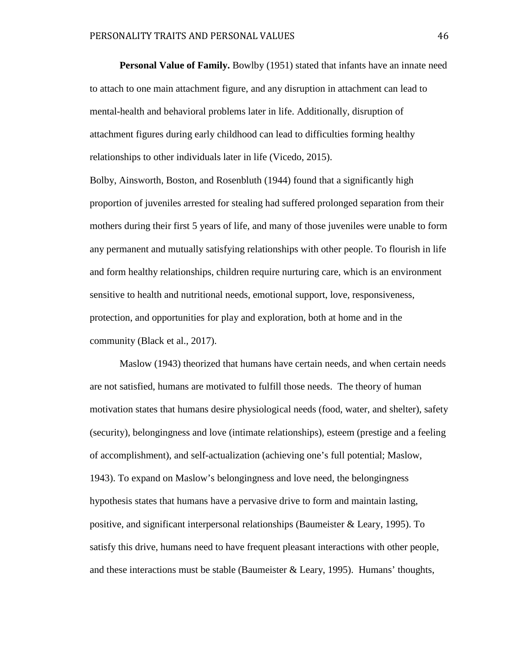**Personal Value of Family.** Bowlby (1951) stated that infants have an innate need to attach to one main attachment figure, and any disruption in attachment can lead to mental-health and behavioral problems later in life. Additionally, disruption of attachment figures during early childhood can lead to difficulties forming healthy relationships to other individuals later in life (Vicedo, 2015).

Bolby, Ainsworth, Boston, and Rosenbluth (1944) found that a significantly high proportion of juveniles arrested for stealing had suffered prolonged separation from their mothers during their first 5 years of life, and many of those juveniles were unable to form any permanent and mutually satisfying relationships with other people. To flourish in life and form healthy relationships, children require nurturing care, which is an environment sensitive to health and nutritional needs, emotional support, love, responsiveness, protection, and opportunities for play and exploration, both at home and in the community (Black et al., 2017).

Maslow (1943) theorized that humans have certain needs, and when certain needs are not satisfied, humans are motivated to fulfill those needs. The theory of human motivation states that humans desire physiological needs (food, water, and shelter), safety (security), belongingness and love (intimate relationships), esteem (prestige and a feeling of accomplishment), and self-actualization (achieving one's full potential; Maslow, 1943). To expand on Maslow's belongingness and love need, the belongingness hypothesis states that humans have a pervasive drive to form and maintain lasting, positive, and significant interpersonal relationships (Baumeister & Leary, 1995). To satisfy this drive, humans need to have frequent pleasant interactions with other people, and these interactions must be stable (Baumeister  $&$  Leary, 1995). Humans' thoughts,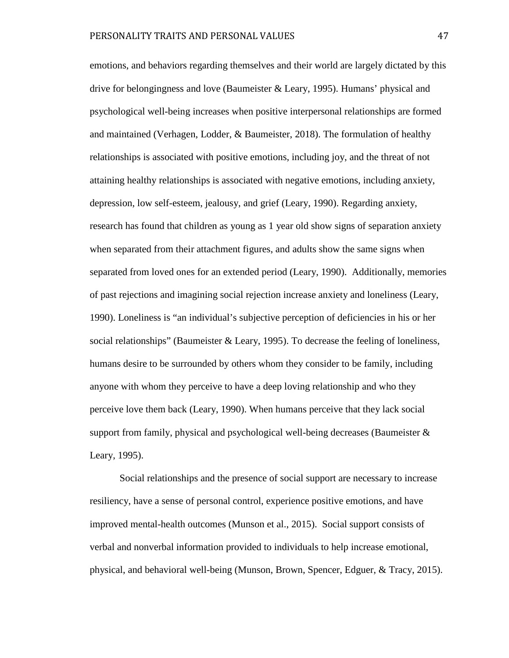emotions, and behaviors regarding themselves and their world are largely dictated by this drive for belongingness and love (Baumeister & Leary, 1995). Humans' physical and psychological well-being increases when positive interpersonal relationships are formed and maintained (Verhagen, Lodder, & Baumeister, 2018). The formulation of healthy relationships is associated with positive emotions, including joy, and the threat of not attaining healthy relationships is associated with negative emotions, including anxiety, depression, low self-esteem, jealousy, and grief (Leary, 1990). Regarding anxiety, research has found that children as young as 1 year old show signs of separation anxiety when separated from their attachment figures, and adults show the same signs when separated from loved ones for an extended period (Leary, 1990). Additionally, memories of past rejections and imagining social rejection increase anxiety and loneliness (Leary, 1990). Loneliness is "an individual's subjective perception of deficiencies in his or her social relationships" (Baumeister & Leary, 1995). To decrease the feeling of loneliness, humans desire to be surrounded by others whom they consider to be family, including anyone with whom they perceive to have a deep loving relationship and who they perceive love them back (Leary, 1990). When humans perceive that they lack social support from family, physical and psychological well-being decreases (Baumeister  $\&$ Leary, 1995).

Social relationships and the presence of social support are necessary to increase resiliency, have a sense of personal control, experience positive emotions, and have improved mental-health outcomes (Munson et al., 2015). Social support consists of verbal and nonverbal information provided to individuals to help increase emotional, physical, and behavioral well-being (Munson, Brown, Spencer, Edguer, & Tracy, 2015).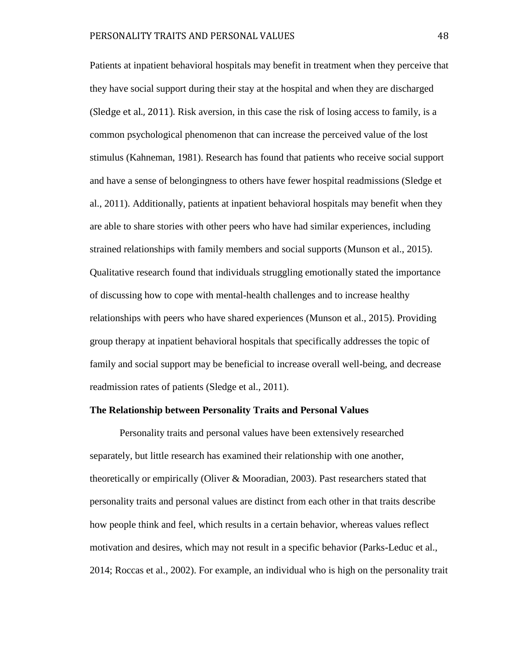Patients at inpatient behavioral hospitals may benefit in treatment when they perceive that they have social support during their stay at the hospital and when they are discharged (Sledge et al., 2011). Risk aversion, in this case the risk of losing access to family, is a common psychological phenomenon that can increase the perceived value of the lost stimulus (Kahneman, 1981). Research has found that patients who receive social support and have a sense of belongingness to others have fewer hospital readmissions (Sledge et al., 2011). Additionally, patients at inpatient behavioral hospitals may benefit when they are able to share stories with other peers who have had similar experiences, including strained relationships with family members and social supports (Munson et al., 2015). Qualitative research found that individuals struggling emotionally stated the importance of discussing how to cope with mental-health challenges and to increase healthy relationships with peers who have shared experiences (Munson et al., 2015). Providing group therapy at inpatient behavioral hospitals that specifically addresses the topic of family and social support may be beneficial to increase overall well-being, and decrease readmission rates of patients (Sledge et al., 2011).

### **The Relationship between Personality Traits and Personal Values**

Personality traits and personal values have been extensively researched separately, but little research has examined their relationship with one another, theoretically or empirically (Oliver & Mooradian, 2003). Past researchers stated that personality traits and personal values are distinct from each other in that traits describe how people think and feel, which results in a certain behavior, whereas values reflect motivation and desires, which may not result in a specific behavior (Parks-Leduc et al., 2014; Roccas et al., 2002). For example, an individual who is high on the personality trait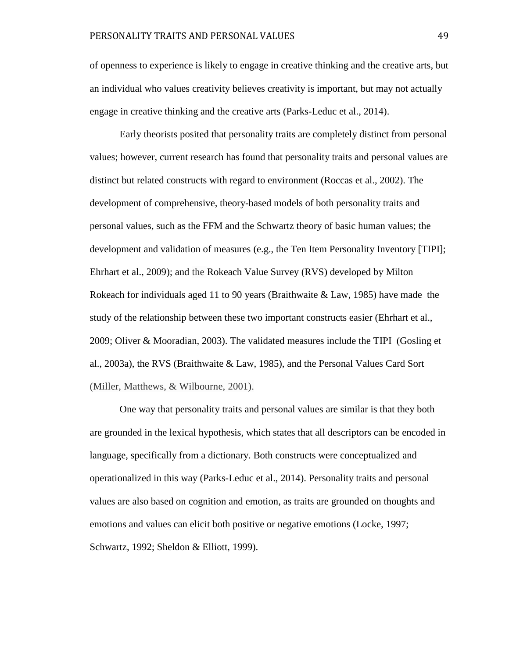of openness to experience is likely to engage in creative thinking and the creative arts, but an individual who values creativity believes creativity is important, but may not actually engage in creative thinking and the creative arts (Parks-Leduc et al., 2014).

Early theorists posited that personality traits are completely distinct from personal values; however, current research has found that personality traits and personal values are distinct but related constructs with regard to environment (Roccas et al., 2002). The development of comprehensive, theory-based models of both personality traits and personal values, such as the FFM and the Schwartz theory of basic human values; the development and validation of measures (e.g., the Ten Item Personality Inventory [TIPI]; Ehrhart et al., 2009); and the Rokeach Value Survey (RVS) developed by Milton Rokeach for individuals aged 11 to 90 years (Braithwaite & Law, 1985) have made the study of the relationship between these two important constructs easier (Ehrhart et al., 2009; Oliver & Mooradian, 2003). The validated measures include the TIPI (Gosling et al., 2003a), the RVS (Braithwaite & Law, 1985), and the Personal Values Card Sort (Miller, Matthews, & Wilbourne, 2001).

One way that personality traits and personal values are similar is that they both are grounded in the lexical hypothesis, which states that all descriptors can be encoded in language, specifically from a dictionary. Both constructs were conceptualized and operationalized in this way (Parks-Leduc et al., 2014). Personality traits and personal values are also based on cognition and emotion, as traits are grounded on thoughts and emotions and values can elicit both positive or negative emotions (Locke, 1997; Schwartz, 1992; Sheldon & Elliott, 1999).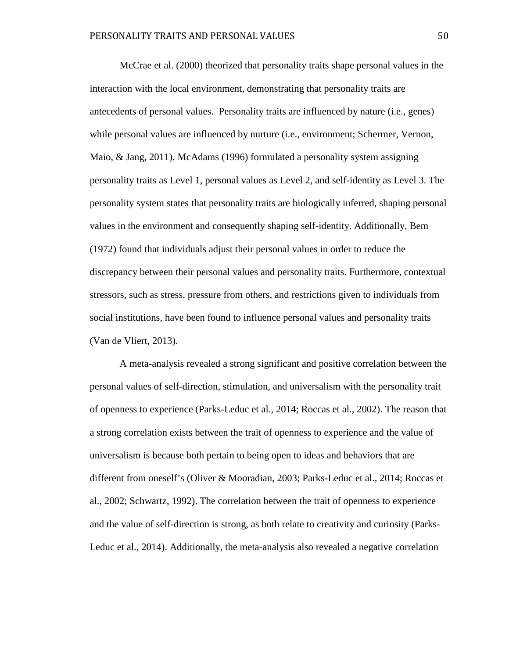McCrae et al. (2000) theorized that personality traits shape personal values in the interaction with the local environment, demonstrating that personality traits are antecedents of personal values. Personality traits are influenced by nature (i.e., genes) while personal values are influenced by nurture (i.e., environment; Schermer, Vernon, Maio, & Jang, 2011). McAdams (1996) formulated a personality system assigning personality traits as Level 1, personal values as Level 2, and self-identity as Level 3. The personality system states that personality traits are biologically inferred, shaping personal values in the environment and consequently shaping self-identity. Additionally, Bem (1972) found that individuals adjust their personal values in order to reduce the discrepancy between their personal values and personality traits. Furthermore, contextual stressors, such as stress, pressure from others, and restrictions given to individuals from social institutions, have been found to influence personal values and personality traits (Van de Vliert, 2013).

A meta-analysis revealed a strong significant and positive correlation between the personal values of self-direction, stimulation, and universalism with the personality trait of openness to experience (Parks-Leduc et al., 2014; Roccas et al., 2002). The reason that a strong correlation exists between the trait of openness to experience and the value of universalism is because both pertain to being open to ideas and behaviors that are different from oneself's (Oliver & Mooradian, 2003; Parks-Leduc et al., 2014; Roccas et al., 2002; Schwartz, 1992). The correlation between the trait of openness to experience and the value of self-direction is strong, as both relate to creativity and curiosity (Parks-Leduc et al., 2014). Additionally, the meta-analysis also revealed a negative correlation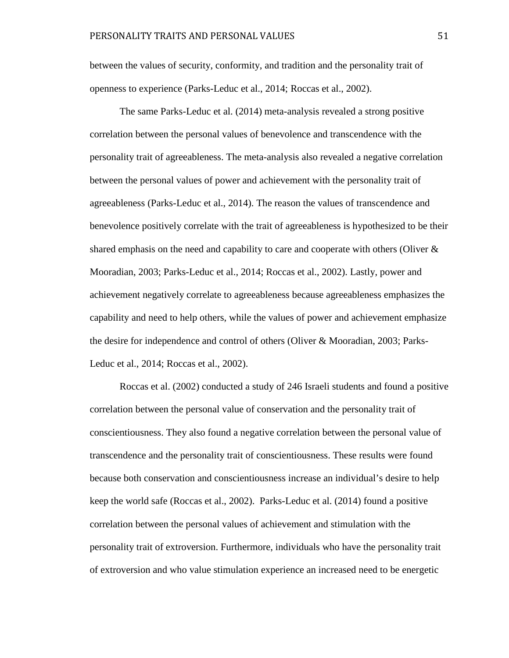between the values of security, conformity, and tradition and the personality trait of openness to experience (Parks-Leduc et al., 2014; Roccas et al., 2002).

The same Parks-Leduc et al. (2014) meta-analysis revealed a strong positive correlation between the personal values of benevolence and transcendence with the personality trait of agreeableness. The meta-analysis also revealed a negative correlation between the personal values of power and achievement with the personality trait of agreeableness (Parks-Leduc et al., 2014). The reason the values of transcendence and benevolence positively correlate with the trait of agreeableness is hypothesized to be their shared emphasis on the need and capability to care and cooperate with others (Oliver  $\&$ Mooradian, 2003; Parks-Leduc et al., 2014; Roccas et al., 2002). Lastly, power and achievement negatively correlate to agreeableness because agreeableness emphasizes the capability and need to help others, while the values of power and achievement emphasize the desire for independence and control of others (Oliver & Mooradian, 2003; Parks-Leduc et al., 2014; Roccas et al., 2002).

Roccas et al. (2002) conducted a study of 246 Israeli students and found a positive correlation between the personal value of conservation and the personality trait of conscientiousness. They also found a negative correlation between the personal value of transcendence and the personality trait of conscientiousness. These results were found because both conservation and conscientiousness increase an individual's desire to help keep the world safe (Roccas et al., 2002). Parks-Leduc et al. (2014) found a positive correlation between the personal values of achievement and stimulation with the personality trait of extroversion. Furthermore, individuals who have the personality trait of extroversion and who value stimulation experience an increased need to be energetic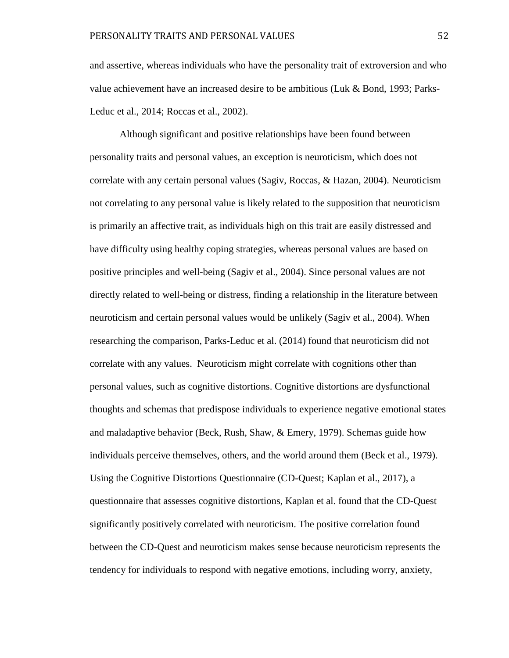and assertive, whereas individuals who have the personality trait of extroversion and who value achievement have an increased desire to be ambitious (Luk & Bond, 1993; Parks-Leduc et al., 2014; Roccas et al., 2002).

Although significant and positive relationships have been found between personality traits and personal values, an exception is neuroticism, which does not correlate with any certain personal values (Sagiv, Roccas, & Hazan, 2004). Neuroticism not correlating to any personal value is likely related to the supposition that neuroticism is primarily an affective trait, as individuals high on this trait are easily distressed and have difficulty using healthy coping strategies, whereas personal values are based on positive principles and well-being (Sagiv et al., 2004). Since personal values are not directly related to well-being or distress, finding a relationship in the literature between neuroticism and certain personal values would be unlikely (Sagiv et al., 2004). When researching the comparison, Parks-Leduc et al. (2014) found that neuroticism did not correlate with any values. Neuroticism might correlate with cognitions other than personal values, such as cognitive distortions. Cognitive distortions are dysfunctional thoughts and schemas that predispose individuals to experience negative emotional states and maladaptive behavior (Beck, Rush, Shaw, & Emery, 1979). Schemas guide how individuals perceive themselves, others, and the world around them (Beck et al., 1979). Using the Cognitive Distortions Questionnaire (CD-Quest; Kaplan et al., 2017), a questionnaire that assesses cognitive distortions, Kaplan et al. found that the CD-Quest significantly positively correlated with neuroticism. The positive correlation found between the CD-Quest and neuroticism makes sense because neuroticism represents the tendency for individuals to respond with negative emotions, including worry, anxiety,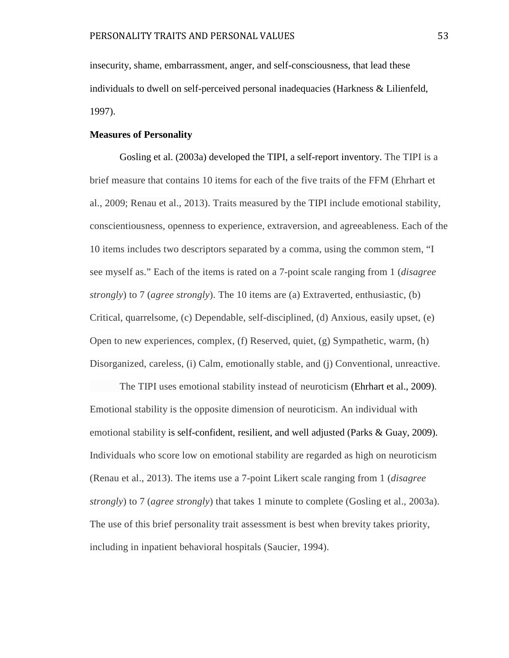insecurity, shame, embarrassment, anger, and self-consciousness, that lead these individuals to dwell on self-perceived personal inadequacies (Harkness & Lilienfeld, 1997).

# **Measures of Personality**

Gosling et al. (2003a) developed the TIPI, a self-report inventory. The TIPI is a brief measure that contains 10 items for each of the five traits of the FFM (Ehrhart et al., 2009; Renau et al., 2013). Traits measured by the TIPI include emotional stability, conscientiousness, openness to experience, extraversion, and agreeableness. Each of the 10 items includes two descriptors separated by a comma, using the common stem, "I see myself as." Each of the items is rated on a 7-point scale ranging from 1 (*disagree strongly*) to 7 (*agree strongly*). The 10 items are (a) Extraverted, enthusiastic, (b) Critical, quarrelsome, (c) Dependable, self-disciplined, (d) Anxious, easily upset, (e) Open to new experiences, complex, (f) Reserved, quiet, (g) Sympathetic, warm, (h) Disorganized, careless, (i) Calm, emotionally stable, and (j) Conventional, unreactive.

The TIPI uses emotional stability instead of neuroticism (Ehrhart et al., 2009). Emotional stability is the opposite dimension of neuroticism. An individual with emotional stability is self-confident, resilient, and well adjusted (Parks & Guay, 2009). Individuals who score low on emotional stability are regarded as high on neuroticism (Renau et al., 2013). The items use a 7-point Likert scale ranging from 1 (*disagree strongly*) to 7 (*agree strongly*) that takes 1 minute to complete (Gosling et al., 2003a). The use of this brief personality trait assessment is best when brevity takes priority, including in inpatient behavioral hospitals (Saucier, 1994).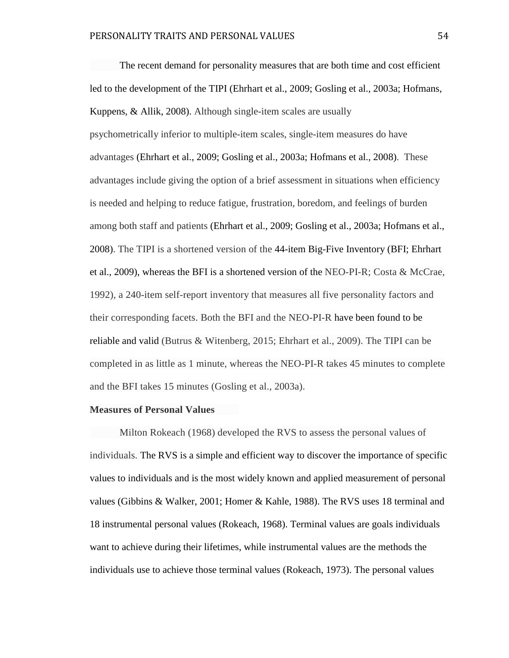The recent demand for personality measures that are both time and cost efficient led to the development of the TIPI (Ehrhart et al., 2009; Gosling et al., 2003a; Hofmans, Kuppens, & Allik, 2008). Although single-item scales are usually psychometrically inferior to multiple-item scales, single-item measures do have advantages (Ehrhart et al., 2009; Gosling et al., 2003a; Hofmans et al., 2008). These advantages include giving the option of a brief assessment in situations when efficiency is needed and helping to reduce fatigue, frustration, boredom, and feelings of burden among both staff and patients (Ehrhart et al., 2009; Gosling et al., 2003a; Hofmans et al., 2008). The TIPI is a shortened version of the 44-item Big-Five Inventory (BFI; Ehrhart et al., 2009), whereas the BFI is a shortened version of the NEO-PI-R; Costa & McCrae, 1992), a 240-item self-report inventory that measures all five personality factors and their corresponding facets. Both the BFI and the NEO-PI-R have been found to be reliable and valid (Butrus & Witenberg, 2015; Ehrhart et al., 2009). The TIPI can be completed in as little as 1 minute, whereas the NEO-PI-R takes 45 minutes to complete and the BFI takes 15 minutes (Gosling et al., 2003a).

### **Measures of Personal Values**

Milton Rokeach (1968) developed the RVS to assess the personal values of individuals. The RVS is a simple and efficient way to discover the importance of specific values to individuals and is the most widely known and applied measurement of personal values (Gibbins & Walker, 2001; Homer & Kahle, 1988). The RVS uses 18 terminal and 18 instrumental personal values (Rokeach, 1968). Terminal values are goals individuals want to achieve during their lifetimes, while instrumental values are the methods the individuals use to achieve those terminal values (Rokeach, 1973). The personal values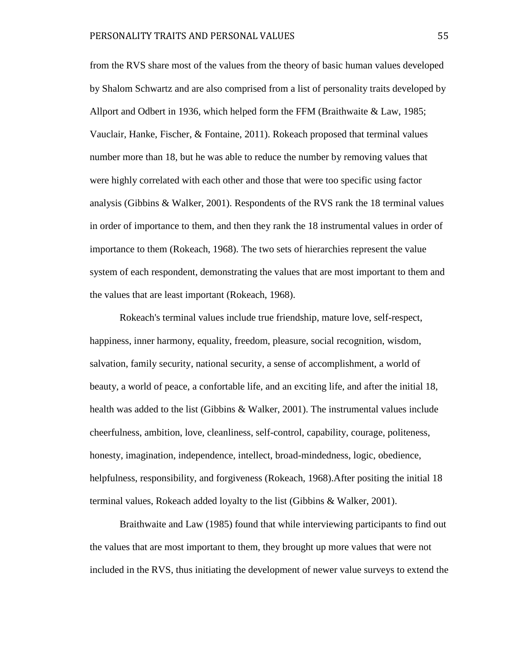from the RVS share most of the values from the theory of basic human values developed by Shalom Schwartz and are also comprised from a list of personality traits developed by Allport and Odbert in 1936, which helped form the FFM (Braithwaite & Law, 1985; Vauclair, Hanke, Fischer, & Fontaine, 2011). Rokeach proposed that terminal values number more than 18, but he was able to reduce the number by removing values that were highly correlated with each other and those that were too specific using factor analysis (Gibbins & Walker, 2001). Respondents of the RVS rank the 18 terminal values in order of importance to them, and then they rank the 18 instrumental values in order of importance to them (Rokeach, 1968). The two sets of hierarchies represent the value system of each respondent, demonstrating the values that are most important to them and the values that are least important (Rokeach, 1968).

Rokeach's terminal values include true friendship, mature love, self-respect, happiness, inner harmony, equality, freedom, pleasure, social recognition, wisdom, salvation, family security, national security, a sense of accomplishment, a world of beauty, a world of peace, a confortable life, and an exciting life, and after the initial 18, health was added to the list (Gibbins & Walker, 2001). The instrumental values include cheerfulness, ambition, love, cleanliness, self-control, capability, courage, politeness, honesty, imagination, independence, intellect, broad-mindedness, logic, obedience, helpfulness, responsibility, and forgiveness (Rokeach, 1968).After positing the initial 18 terminal values, Rokeach added loyalty to the list (Gibbins & Walker, 2001).

Braithwaite and Law (1985) found that while interviewing participants to find out the values that are most important to them, they brought up more values that were not included in the RVS, thus initiating the development of newer value surveys to extend the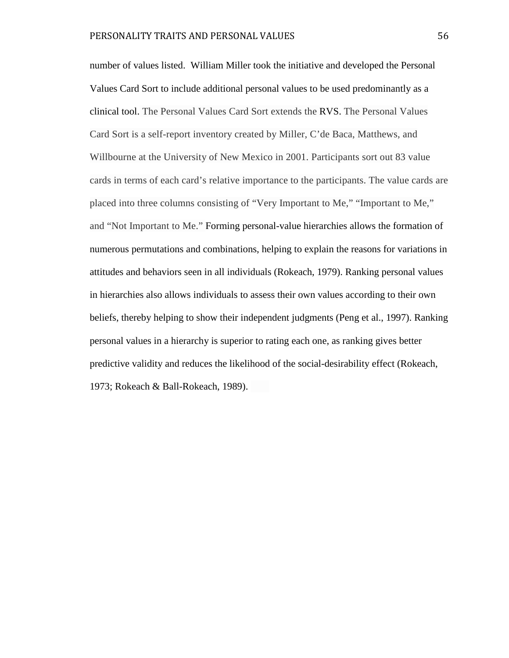number of values listed. William Miller took the initiative and developed the Personal Values Card Sort to include additional personal values to be used predominantly as a clinical tool. The Personal Values Card Sort extends the RVS. The Personal Values Card Sort is a self-report inventory created by Miller, C'de Baca, Matthews, and Willbourne at the University of New Mexico in 2001. Participants sort out 83 value cards in terms of each card's relative importance to the participants. The value cards are placed into three columns consisting of "Very Important to Me," "Important to Me," and "Not Important to Me." Forming personal-value hierarchies allows the formation of numerous permutations and combinations, helping to explain the reasons for variations in attitudes and behaviors seen in all individuals (Rokeach, 1979). Ranking personal values in hierarchies also allows individuals to assess their own values according to their own beliefs, thereby helping to show their independent judgments (Peng et al., 1997). Ranking personal values in a hierarchy is superior to rating each one, as ranking gives better predictive validity and reduces the likelihood of the social-desirability effect (Rokeach, 1973; Rokeach & Ball-Rokeach, 1989).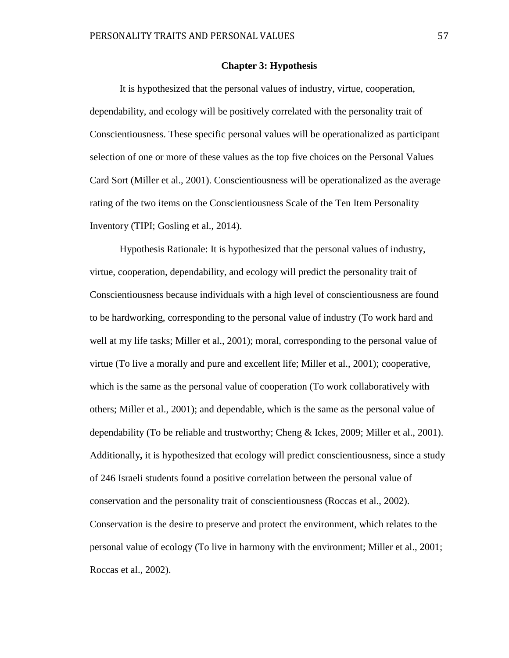## **Chapter 3: Hypothesis**

It is hypothesized that the personal values of industry, virtue, cooperation, dependability, and ecology will be positively correlated with the personality trait of Conscientiousness. These specific personal values will be operationalized as participant selection of one or more of these values as the top five choices on the Personal Values Card Sort (Miller et al., 2001). Conscientiousness will be operationalized as the average rating of the two items on the Conscientiousness Scale of the Ten Item Personality Inventory (TIPI; Gosling et al., 2014).

Hypothesis Rationale: It is hypothesized that the personal values of industry, virtue, cooperation, dependability, and ecology will predict the personality trait of Conscientiousness because individuals with a high level of conscientiousness are found to be hardworking, corresponding to the personal value of industry (To work hard and well at my life tasks; Miller et al., 2001); moral, corresponding to the personal value of virtue (To live a morally and pure and excellent life; Miller et al., 2001); cooperative, which is the same as the personal value of cooperation (To work collaboratively with others; Miller et al., 2001); and dependable, which is the same as the personal value of dependability (To be reliable and trustworthy; Cheng & Ickes, 2009; Miller et al., 2001). Additionally**,** it is hypothesized that ecology will predict conscientiousness, since a study of 246 Israeli students found a positive correlation between the personal value of conservation and the personality trait of conscientiousness (Roccas et al., 2002). Conservation is the desire to preserve and protect the environment, which relates to the personal value of ecology (To live in harmony with the environment; Miller et al., 2001; Roccas et al., 2002).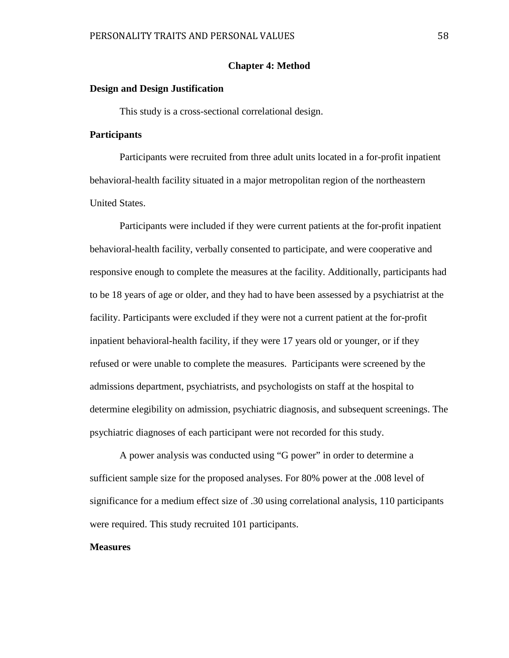# **Chapter 4: Method**

## **Design and Design Justification**

This study is a cross-sectional correlational design.

## **Participants**

Participants were recruited from three adult units located in a for-profit inpatient behavioral-health facility situated in a major metropolitan region of the northeastern United States.

Participants were included if they were current patients at the for-profit inpatient behavioral-health facility, verbally consented to participate, and were cooperative and responsive enough to complete the measures at the facility. Additionally, participants had to be 18 years of age or older, and they had to have been assessed by a psychiatrist at the facility. Participants were excluded if they were not a current patient at the for-profit inpatient behavioral-health facility, if they were 17 years old or younger, or if they refused or were unable to complete the measures. Participants were screened by the admissions department, psychiatrists, and psychologists on staff at the hospital to determine elegibility on admission, psychiatric diagnosis, and subsequent screenings. The psychiatric diagnoses of each participant were not recorded for this study.

A power analysis was conducted using "G power" in order to determine a sufficient sample size for the proposed analyses. For 80% power at the .008 level of significance for a medium effect size of .30 using correlational analysis, 110 participants were required. This study recruited 101 participants.

# **Measures**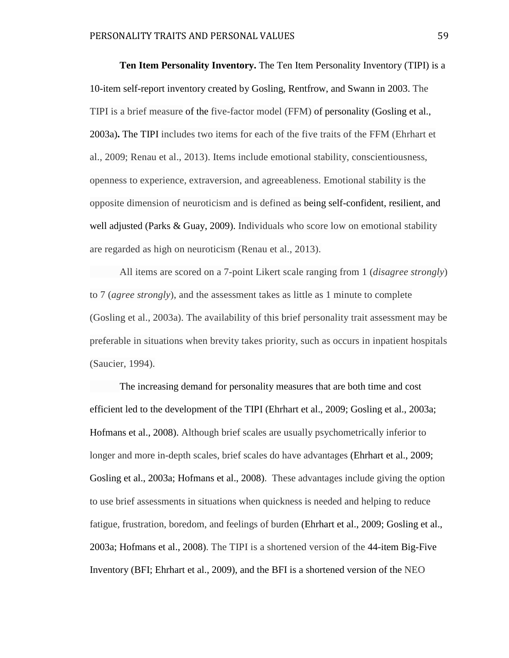**Ten Item Personality Inventory.** The Ten Item Personality Inventory (TIPI) is a 10-item self-report inventory created by Gosling, Rentfrow, and Swann in 2003. The TIPI is a brief measure of the five-factor model (FFM) of personality (Gosling et al., 2003a)**.** The TIPI includes two items for each of the five traits of the FFM (Ehrhart et al., 2009; Renau et al., 2013). Items include emotional stability, conscientiousness, openness to experience, extraversion, and agreeableness. Emotional stability is the opposite dimension of neuroticism and is defined as being self-confident, resilient, and well adjusted (Parks & Guay, 2009). Individuals who score low on emotional stability are regarded as high on neuroticism (Renau et al., 2013).

All items are scored on a 7-point Likert scale ranging from 1 (*disagree strongly*) to 7 (*agree strongly*), and the assessment takes as little as 1 minute to complete (Gosling et al., 2003a). The availability of this brief personality trait assessment may be preferable in situations when brevity takes priority, such as occurs in inpatient hospitals (Saucier, 1994).

The increasing demand for personality measures that are both time and cost efficient led to the development of the TIPI (Ehrhart et al., 2009; Gosling et al., 2003a; Hofmans et al., 2008). Although brief scales are usually psychometrically inferior to longer and more in-depth scales, brief scales do have advantages (Ehrhart et al., 2009; Gosling et al., 2003a; Hofmans et al., 2008). These advantages include giving the option to use brief assessments in situations when quickness is needed and helping to reduce fatigue, frustration, boredom, and feelings of burden (Ehrhart et al., 2009; Gosling et al., 2003a; Hofmans et al., 2008). The TIPI is a shortened version of the 44-item Big-Five Inventory (BFI; Ehrhart et al., 2009), and the BFI is a shortened version of the NEO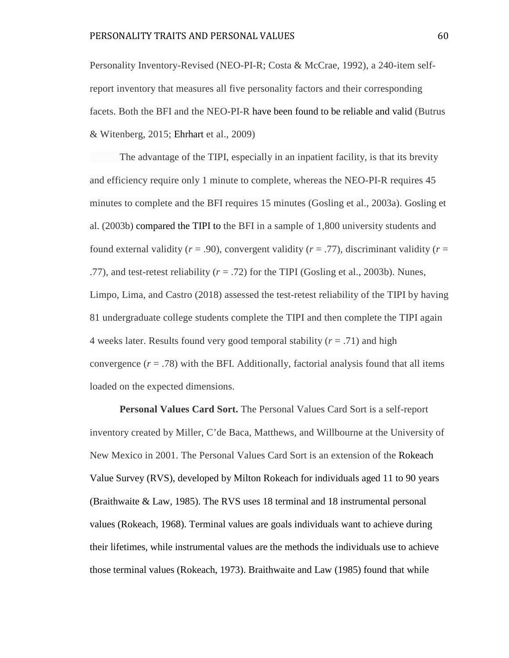Personality Inventory-Revised (NEO-PI-R; Costa & McCrae, 1992), a 240-item selfreport inventory that measures all five personality factors and their corresponding facets. Both the BFI and the NEO-PI-R have been found to be reliable and valid (Butrus & Witenberg, 2015; Ehrhart et al., 2009)

The advantage of the TIPI, especially in an inpatient facility, is that its brevity and efficiency require only 1 minute to complete, whereas the NEO-PI-R requires 45 minutes to complete and the BFI requires 15 minutes (Gosling et al., 2003a). Gosling et al. (2003b) compared the TIPI to the BFI in a sample of 1,800 university students and found external validity  $(r = .90)$ , convergent validity  $(r = .77)$ , discriminant validity  $(r = .90)$ .77), and test-retest reliability  $(r = .72)$  for the TIPI (Gosling et al., 2003b). Nunes, Limpo, Lima, and Castro (2018) assessed the test-retest reliability of the TIPI by having 81 undergraduate college students complete the TIPI and then complete the TIPI again 4 weeks later. Results found very good temporal stability (*r* = .71) and high convergence  $(r = .78)$  with the BFI. Additionally, factorial analysis found that all items loaded on the expected dimensions.

**Personal Values Card Sort.** The Personal Values Card Sort is a self-report inventory created by Miller, C'de Baca, Matthews, and Willbourne at the University of New Mexico in 2001. The Personal Values Card Sort is an extension of the Rokeach Value Survey (RVS), developed by Milton Rokeach for individuals aged 11 to 90 years (Braithwaite & Law, 1985). The RVS uses 18 terminal and 18 instrumental personal values (Rokeach, 1968). Terminal values are goals individuals want to achieve during their lifetimes, while instrumental values are the methods the individuals use to achieve those terminal values (Rokeach, 1973). Braithwaite and Law (1985) found that while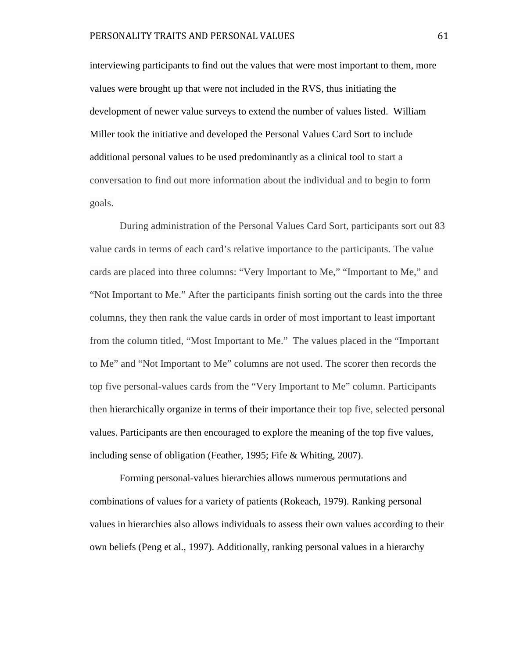interviewing participants to find out the values that were most important to them, more values were brought up that were not included in the RVS, thus initiating the development of newer value surveys to extend the number of values listed. William Miller took the initiative and developed the Personal Values Card Sort to include additional personal values to be used predominantly as a clinical tool to start a conversation to find out more information about the individual and to begin to form goals.

During administration of the Personal Values Card Sort, participants sort out 83 value cards in terms of each card's relative importance to the participants. The value cards are placed into three columns: "Very Important to Me," "Important to Me," and "Not Important to Me." After the participants finish sorting out the cards into the three columns, they then rank the value cards in order of most important to least important from the column titled, "Most Important to Me." The values placed in the "Important to Me" and "Not Important to Me" columns are not used. The scorer then records the top five personal-values cards from the "Very Important to Me" column. Participants then hierarchically organize in terms of their importance their top five, selected personal values. Participants are then encouraged to explore the meaning of the top five values, including sense of obligation (Feather, 1995; Fife & Whiting, 2007).

Forming personal-values hierarchies allows numerous permutations and combinations of values for a variety of patients (Rokeach, 1979). Ranking personal values in hierarchies also allows individuals to assess their own values according to their own beliefs (Peng et al., 1997). Additionally, ranking personal values in a hierarchy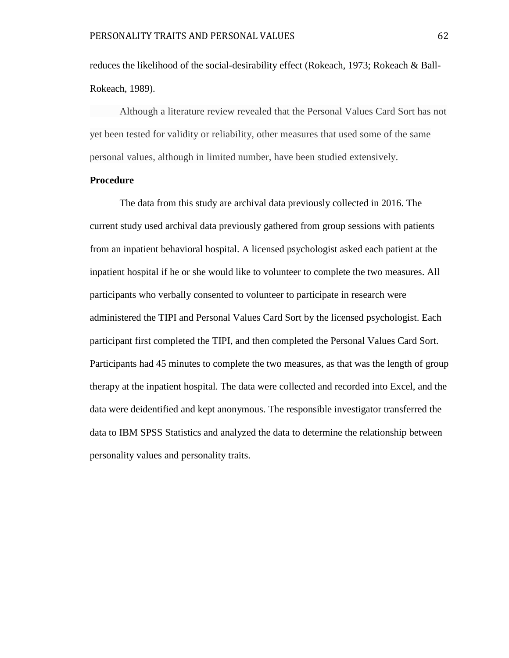reduces the likelihood of the social-desirability effect (Rokeach, 1973; Rokeach & Ball-Rokeach, 1989).

Although a literature review revealed that the Personal Values Card Sort has not yet been tested for validity or reliability, other measures that used some of the same personal values, although in limited number, have been studied extensively.

## **Procedure**

The data from this study are archival data previously collected in 2016. The current study used archival data previously gathered from group sessions with patients from an inpatient behavioral hospital. A licensed psychologist asked each patient at the inpatient hospital if he or she would like to volunteer to complete the two measures. All participants who verbally consented to volunteer to participate in research were administered the TIPI and Personal Values Card Sort by the licensed psychologist. Each participant first completed the TIPI, and then completed the Personal Values Card Sort. Participants had 45 minutes to complete the two measures, as that was the length of group therapy at the inpatient hospital. The data were collected and recorded into Excel, and the data were deidentified and kept anonymous. The responsible investigator transferred the data to IBM SPSS Statistics and analyzed the data to determine the relationship between personality values and personality traits.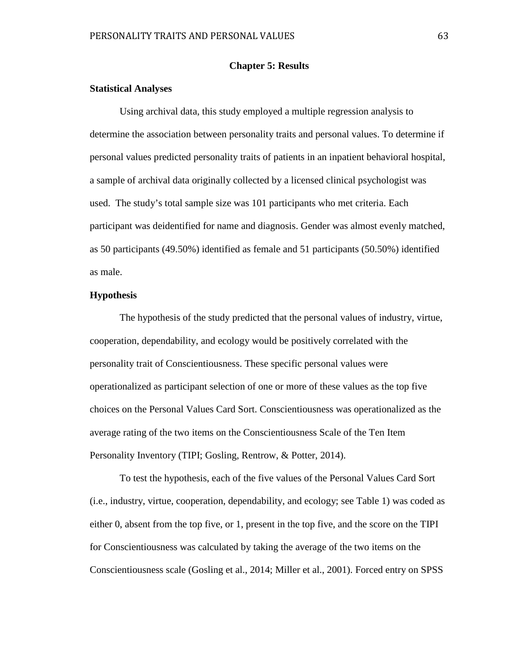## **Chapter 5: Results**

## **Statistical Analyses**

Using archival data, this study employed a multiple regression analysis to determine the association between personality traits and personal values. To determine if personal values predicted personality traits of patients in an inpatient behavioral hospital, a sample of archival data originally collected by a licensed clinical psychologist was used. The study's total sample size was 101 participants who met criteria. Each participant was deidentified for name and diagnosis. Gender was almost evenly matched, as 50 participants (49.50%) identified as female and 51 participants (50.50%) identified as male.

## **Hypothesis**

The hypothesis of the study predicted that the personal values of industry, virtue, cooperation, dependability, and ecology would be positively correlated with the personality trait of Conscientiousness. These specific personal values were operationalized as participant selection of one or more of these values as the top five choices on the Personal Values Card Sort. Conscientiousness was operationalized as the average rating of the two items on the Conscientiousness Scale of the Ten Item Personality Inventory (TIPI; Gosling, Rentrow, & Potter, 2014).

To test the hypothesis, each of the five values of the Personal Values Card Sort (i.e., industry, virtue, cooperation, dependability, and ecology; see Table 1) was coded as either 0, absent from the top five, or 1, present in the top five, and the score on the TIPI for Conscientiousness was calculated by taking the average of the two items on the Conscientiousness scale (Gosling et al., 2014; Miller et al., 2001). Forced entry on SPSS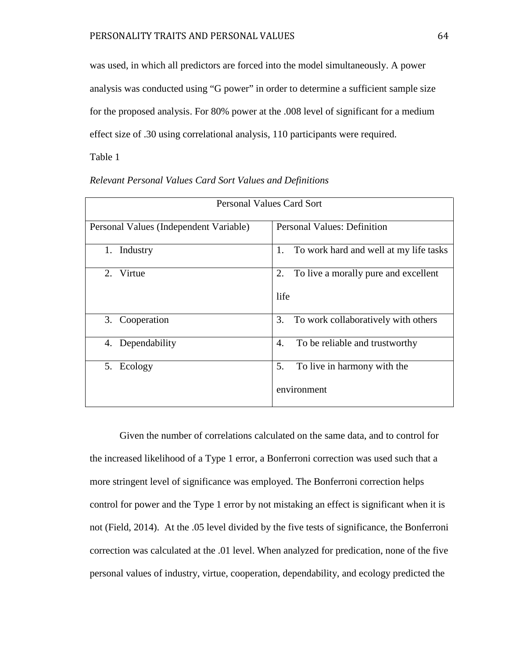was used, in which all predictors are forced into the model simultaneously. A power analysis was conducted using "G power" in order to determine a sufficient sample size for the proposed analysis. For 80% power at the .008 level of significant for a medium effect size of .30 using correlational analysis, 110 participants were required.

Table 1

| <b>Personal Values Card Sort</b>       |                                              |  |  |  |  |
|----------------------------------------|----------------------------------------------|--|--|--|--|
| Personal Values (Independent Variable) | <b>Personal Values: Definition</b>           |  |  |  |  |
| 1.<br>Industry                         | 1.<br>To work hard and well at my life tasks |  |  |  |  |
| 2.<br>Virtue                           | 2.<br>To live a morally pure and excellent   |  |  |  |  |
|                                        | life                                         |  |  |  |  |
| 3. Cooperation                         | 3.<br>To work collaboratively with others    |  |  |  |  |
| 4. Dependability                       | 4.<br>To be reliable and trustworthy         |  |  |  |  |
| 5. Ecology                             | 5.<br>To live in harmony with the            |  |  |  |  |
|                                        | environment                                  |  |  |  |  |

*Relevant Personal Values Card Sort Values and Definitions*

Given the number of correlations calculated on the same data, and to control for the increased likelihood of a Type 1 error, a Bonferroni correction was used such that a more stringent level of significance was employed. The Bonferroni correction helps control for power and the Type 1 error by not mistaking an effect is significant when it is not (Field, 2014). At the .05 level divided by the five tests of significance, the Bonferroni correction was calculated at the .01 level. When analyzed for predication, none of the five personal values of industry, virtue, cooperation, dependability, and ecology predicted the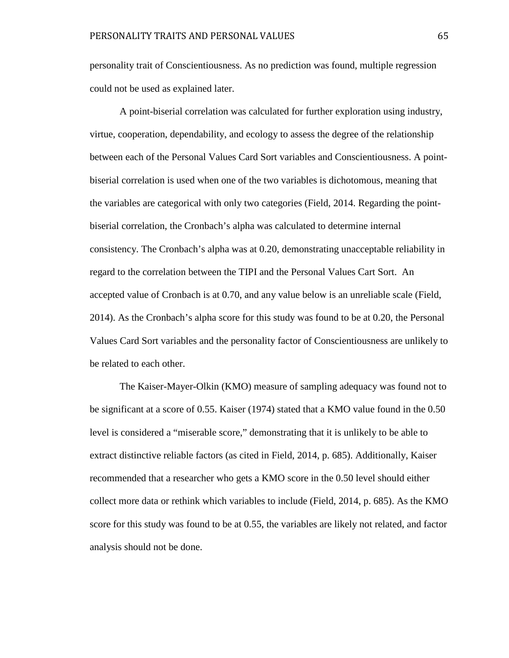personality trait of Conscientiousness. As no prediction was found, multiple regression could not be used as explained later.

A point-biserial correlation was calculated for further exploration using industry, virtue, cooperation, dependability, and ecology to assess the degree of the relationship between each of the Personal Values Card Sort variables and Conscientiousness. A pointbiserial correlation is used when one of the two variables is dichotomous, meaning that the variables are categorical with only two categories (Field, 2014. Regarding the pointbiserial correlation, the Cronbach's alpha was calculated to determine internal consistency. The Cronbach's alpha was at 0.20, demonstrating unacceptable reliability in regard to the correlation between the TIPI and the Personal Values Cart Sort. An accepted value of Cronbach is at 0.70, and any value below is an unreliable scale (Field, 2014). As the Cronbach's alpha score for this study was found to be at 0.20, the Personal Values Card Sort variables and the personality factor of Conscientiousness are unlikely to be related to each other.

The Kaiser-Mayer-Olkin (KMO) measure of sampling adequacy was found not to be significant at a score of 0.55. Kaiser (1974) stated that a KMO value found in the 0.50 level is considered a "miserable score," demonstrating that it is unlikely to be able to extract distinctive reliable factors (as cited in Field, 2014, p. 685). Additionally, Kaiser recommended that a researcher who gets a KMO score in the 0.50 level should either collect more data or rethink which variables to include (Field, 2014, p. 685). As the KMO score for this study was found to be at 0.55, the variables are likely not related, and factor analysis should not be done.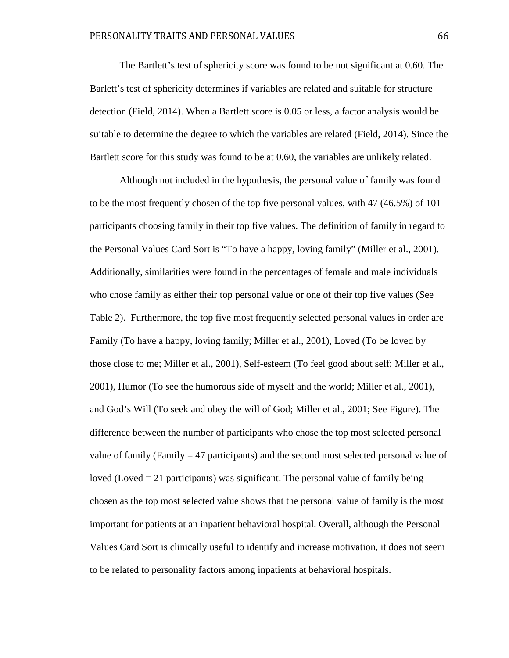The Bartlett's test of sphericity score was found to be not significant at 0.60. The Barlett's test of sphericity determines if variables are related and suitable for structure detection (Field, 2014). When a Bartlett score is 0.05 or less, a factor analysis would be suitable to determine the degree to which the variables are related (Field, 2014). Since the Bartlett score for this study was found to be at 0.60, the variables are unlikely related.

Although not included in the hypothesis, the personal value of family was found to be the most frequently chosen of the top five personal values, with 47 (46.5%) of 101 participants choosing family in their top five values. The definition of family in regard to the Personal Values Card Sort is "To have a happy, loving family" (Miller et al., 2001). Additionally, similarities were found in the percentages of female and male individuals who chose family as either their top personal value or one of their top five values (See Table 2). Furthermore, the top five most frequently selected personal values in order are Family (To have a happy, loving family; Miller et al., 2001), Loved (To be loved by those close to me; Miller et al., 2001), Self-esteem (To feel good about self; Miller et al., 2001), Humor (To see the humorous side of myself and the world; Miller et al., 2001), and God's Will (To seek and obey the will of God; Miller et al., 2001; See Figure). The difference between the number of participants who chose the top most selected personal value of family (Family  $= 47$  participants) and the second most selected personal value of loved (Loved  $= 21$  participants) was significant. The personal value of family being chosen as the top most selected value shows that the personal value of family is the most important for patients at an inpatient behavioral hospital. Overall, although the Personal Values Card Sort is clinically useful to identify and increase motivation, it does not seem to be related to personality factors among inpatients at behavioral hospitals.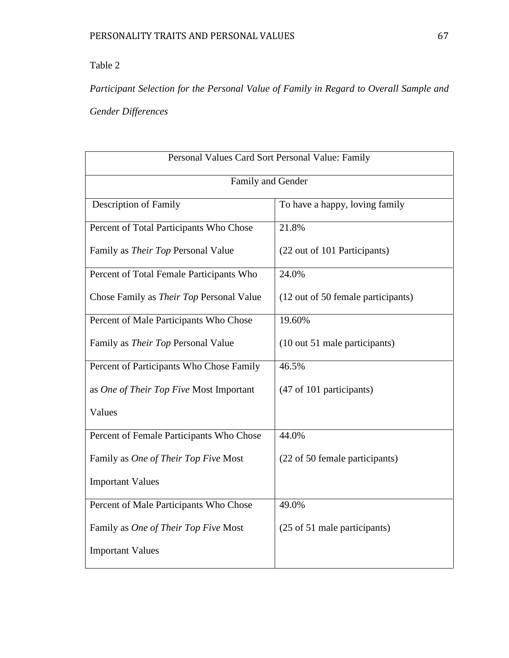## Table 2

*Participant Selection for the Personal Value of Family in Regard to Overall Sample and Gender Differences* 

| Personal Values Card Sort Personal Value: Family |                                    |  |  |  |  |
|--------------------------------------------------|------------------------------------|--|--|--|--|
| Family and Gender                                |                                    |  |  |  |  |
| <b>Description of Family</b>                     | To have a happy, loving family     |  |  |  |  |
| Percent of Total Participants Who Chose          | 21.8%                              |  |  |  |  |
| Family as <i>Their Top</i> Personal Value        | (22 out of 101 Participants)       |  |  |  |  |
| Percent of Total Female Participants Who         | 24.0%                              |  |  |  |  |
| Chose Family as <i>Their Top</i> Personal Value  | (12 out of 50 female participants) |  |  |  |  |
| Percent of Male Participants Who Chose           | 19.60%                             |  |  |  |  |
| Family as <i>Their Top</i> Personal Value        | (10 out 51 male participants)      |  |  |  |  |
| Percent of Participants Who Chose Family         | 46.5%                              |  |  |  |  |
| as <i>One of Their Top Five</i> Most Important   | (47 of 101 participants)           |  |  |  |  |
| Values                                           |                                    |  |  |  |  |
| Percent of Female Participants Who Chose         | 44.0%                              |  |  |  |  |
| Family as One of Their Top Five Most             | (22 of 50 female participants)     |  |  |  |  |
| <b>Important Values</b>                          |                                    |  |  |  |  |
| Percent of Male Participants Who Chose           | 49.0%                              |  |  |  |  |
| Family as One of Their Top Five Most             | (25 of 51 male participants)       |  |  |  |  |
| <b>Important Values</b>                          |                                    |  |  |  |  |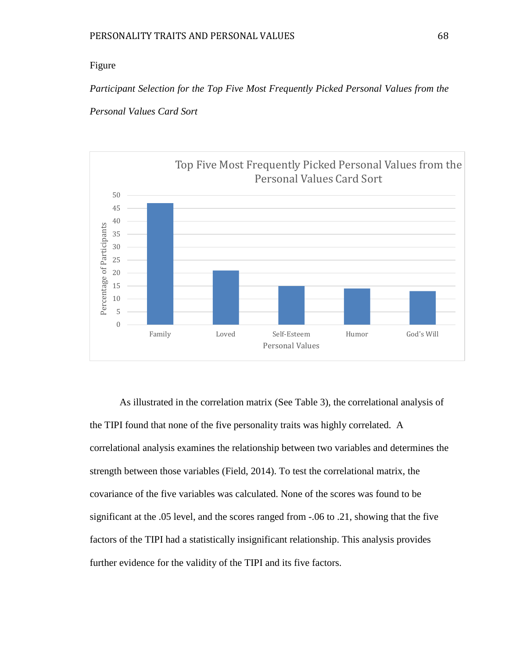## Figure

*Participant Selection for the Top Five Most Frequently Picked Personal Values from the* 

*Personal Values Card Sort*



As illustrated in the correlation matrix (See Table 3), the correlational analysis of the TIPI found that none of the five personality traits was highly correlated. A correlational analysis examines the relationship between two variables and determines the strength between those variables (Field, 2014). To test the correlational matrix, the covariance of the five variables was calculated. None of the scores was found to be significant at the .05 level, and the scores ranged from -.06 to .21, showing that the five factors of the TIPI had a statistically insignificant relationship. This analysis provides further evidence for the validity of the TIPI and its five factors.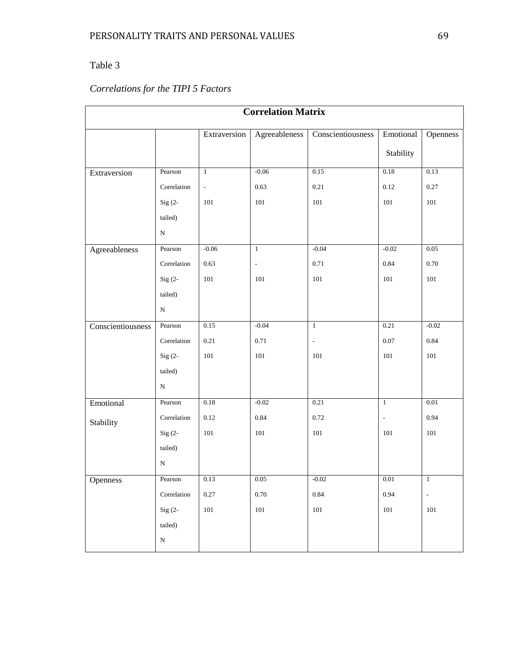## Table 3

# *Correlations for the TIPI 5 Factors*

| <b>Correlation Matrix</b> |             |                          |                |                          |                          |          |  |  |
|---------------------------|-------------|--------------------------|----------------|--------------------------|--------------------------|----------|--|--|
|                           |             | Extraversion             | Agreeableness  | Conscientiousness        | Emotional                | Openness |  |  |
|                           |             |                          |                |                          | Stability                |          |  |  |
| Extraversion              | Pearson     | $\mathbf{1}$             | $-0.06$        | 0.15                     | 0.18                     | 0.13     |  |  |
|                           | Correlation | $\overline{\phantom{a}}$ | 0.63           | 0.21                     | 0.12                     | 0.27     |  |  |
|                           | $Sig(2-$    | 101                      | $101\,$        | 101                      | $101\,$                  | 101      |  |  |
|                           | tailed)     |                          |                |                          |                          |          |  |  |
|                           | ${\bf N}$   |                          |                |                          |                          |          |  |  |
| Agreeableness             | Pearson     | $-0.06$                  | $\overline{1}$ | $-0.04$                  | $-0.02$                  | 0.05     |  |  |
|                           | Correlation | 0.63                     | $\Box$         | 0.71                     | 0.84                     | 0.70     |  |  |
|                           | $Sig(2-$    | 101                      | 101            | 101                      | 101                      | 101      |  |  |
|                           | tailed)     |                          |                |                          |                          |          |  |  |
|                           | ${\bf N}$   |                          |                |                          |                          |          |  |  |
| Conscientiousness         | Pearson     | 0.15                     | $-0.04$        | $\mathbf{1}$             | 0.21                     | $-0.02$  |  |  |
|                           | Correlation | 0.21                     | 0.71           | $\overline{\phantom{a}}$ | $0.07\,$                 | 0.84     |  |  |
|                           | $Sig(2-$    | $101\,$                  | 101            | 101                      | $101\,$                  | $101\,$  |  |  |
|                           | tailed)     |                          |                |                          |                          |          |  |  |
|                           | ${\bf N}$   |                          |                |                          |                          |          |  |  |
| Emotional                 | Pearson     | 0.18                     | $-0.02$        | 0.21                     | $\mathbf{1}$             | 0.01     |  |  |
| Stability                 | Correlation | 0.12                     | 0.84           | 0.72                     | $\overline{\phantom{0}}$ | 0.94     |  |  |
|                           | $Sig(2-$    | $101\,$                  | $101\,$        | $101\,$                  | 101                      | 101      |  |  |
|                           | tailed)     |                          |                |                          |                          |          |  |  |
|                           | ${\bf N}$   |                          |                |                          |                          |          |  |  |
| Openness                  | Pearson     | 0.13                     | 0.05           | $-0.02$                  | 0.01                     | 1        |  |  |
|                           | Correlation | 0.27                     | $0.70\,$       | 0.84                     | 0.94                     | $\Box$   |  |  |
|                           | $Sig(2-$    | $101\,$                  | $101\,$        | $101\,$                  | $101\,$                  | 101      |  |  |
|                           | tailed)     |                          |                |                          |                          |          |  |  |
|                           | ${\bf N}$   |                          |                |                          |                          |          |  |  |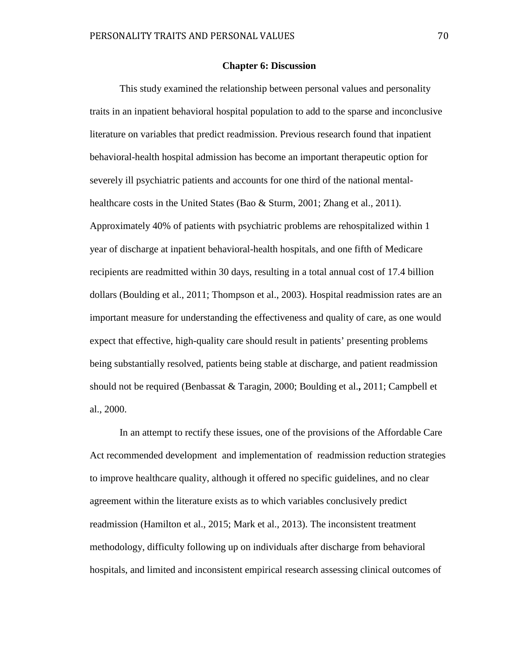#### **Chapter 6: Discussion**

This study examined the relationship between personal values and personality traits in an inpatient behavioral hospital population to add to the sparse and inconclusive literature on variables that predict readmission. Previous research found that inpatient behavioral-health hospital admission has become an important therapeutic option for severely ill psychiatric patients and accounts for one third of the national mentalhealthcare costs in the United States (Bao & Sturm, 2001; Zhang et al., 2011). Approximately 40% of patients with psychiatric problems are rehospitalized within 1 year of discharge at inpatient behavioral-health hospitals, and one fifth of Medicare recipients are readmitted within 30 days, resulting in a total annual cost of 17.4 billion dollars (Boulding et al., 2011; Thompson et al., 2003). Hospital readmission rates are an important measure for understanding the effectiveness and quality of care, as one would expect that effective, high-quality care should result in patients' presenting problems being substantially resolved, patients being stable at discharge, and patient readmission should not be required (Benbassat & Taragin, 2000; Boulding et al.**,** 2011; Campbell et al., 2000.

In an attempt to rectify these issues, one of the provisions of the Affordable Care Act recommended development and implementation of readmission reduction strategies to improve healthcare quality, although it offered no specific guidelines, and no clear agreement within the literature exists as to which variables conclusively predict readmission (Hamilton et al., 2015; Mark et al., 2013). The inconsistent treatment methodology, difficulty following up on individuals after discharge from behavioral hospitals, and limited and inconsistent empirical research assessing clinical outcomes of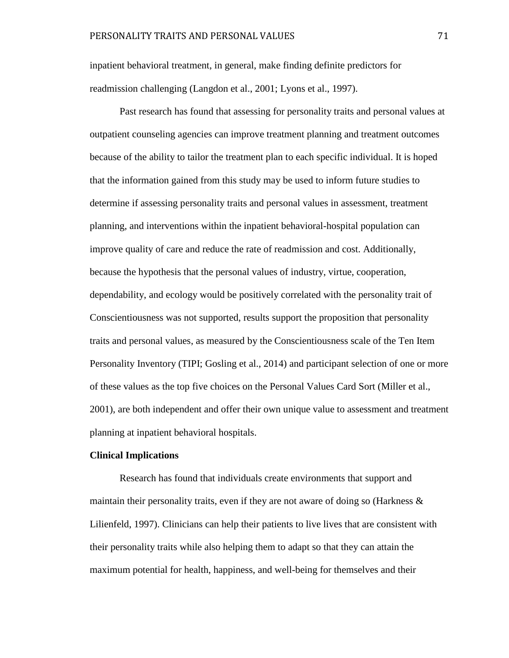inpatient behavioral treatment, in general, make finding definite predictors for readmission challenging (Langdon et al., 2001; Lyons et al., 1997).

Past research has found that assessing for personality traits and personal values at outpatient counseling agencies can improve treatment planning and treatment outcomes because of the ability to tailor the treatment plan to each specific individual. It is hoped that the information gained from this study may be used to inform future studies to determine if assessing personality traits and personal values in assessment, treatment planning, and interventions within the inpatient behavioral-hospital population can improve quality of care and reduce the rate of readmission and cost. Additionally, because the hypothesis that the personal values of industry, virtue, cooperation, dependability, and ecology would be positively correlated with the personality trait of Conscientiousness was not supported, results support the proposition that personality traits and personal values, as measured by the Conscientiousness scale of the Ten Item Personality Inventory (TIPI; Gosling et al., 2014) and participant selection of one or more of these values as the top five choices on the Personal Values Card Sort (Miller et al., 2001), are both independent and offer their own unique value to assessment and treatment planning at inpatient behavioral hospitals.

#### **Clinical Implications**

Research has found that individuals create environments that support and maintain their personality traits, even if they are not aware of doing so (Harkness  $\&$ Lilienfeld, 1997). Clinicians can help their patients to live lives that are consistent with their personality traits while also helping them to adapt so that they can attain the maximum potential for health, happiness, and well-being for themselves and their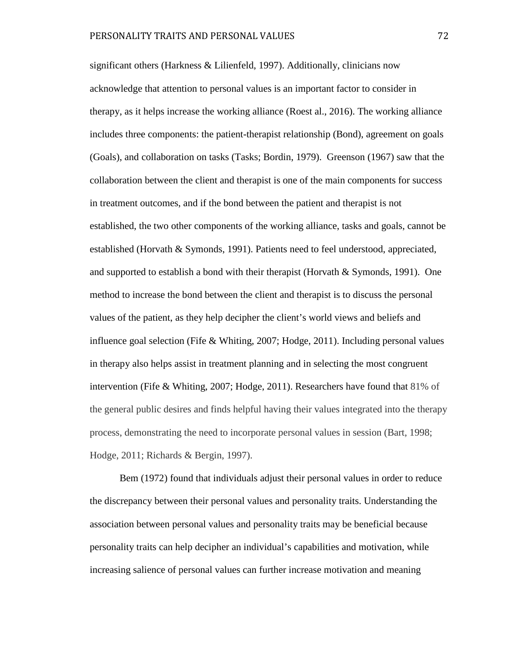significant others (Harkness & Lilienfeld, 1997). Additionally, clinicians now acknowledge that attention to personal values is an important factor to consider in therapy, as it helps increase the working alliance (Roest al., 2016). The working alliance includes three components: the patient-therapist relationship (Bond), agreement on goals (Goals), and collaboration on tasks (Tasks; Bordin, 1979). Greenson (1967) saw that the collaboration between the client and therapist is one of the main components for success in treatment outcomes, and if the bond between the patient and therapist is not established, the two other components of the working alliance, tasks and goals, cannot be established (Horvath & Symonds, 1991). Patients need to feel understood, appreciated, and supported to establish a bond with their therapist (Horvath & Symonds, 1991). One method to increase the bond between the client and therapist is to discuss the personal values of the patient, as they help decipher the client's world views and beliefs and influence goal selection (Fife & Whiting, 2007; Hodge, 2011). Including personal values in therapy also helps assist in treatment planning and in selecting the most congruent intervention (Fife & Whiting, 2007; Hodge, 2011). Researchers have found that 81% of the general public desires and finds helpful having their values integrated into the therapy process, demonstrating the need to incorporate personal values in session (Bart, 1998; Hodge, 2011; Richards & Bergin, 1997).

Bem (1972) found that individuals adjust their personal values in order to reduce the discrepancy between their personal values and personality traits. Understanding the association between personal values and personality traits may be beneficial because personality traits can help decipher an individual's capabilities and motivation, while increasing salience of personal values can further increase motivation and meaning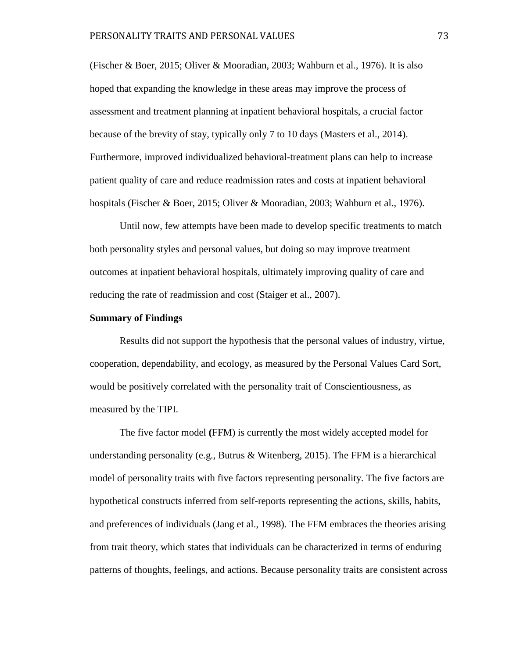(Fischer & Boer, 2015; Oliver & Mooradian, 2003; Wahburn et al., 1976). It is also hoped that expanding the knowledge in these areas may improve the process of assessment and treatment planning at inpatient behavioral hospitals, a crucial factor because of the brevity of stay, typically only 7 to 10 days (Masters et al., 2014). Furthermore, improved individualized behavioral-treatment plans can help to increase patient quality of care and reduce readmission rates and costs at inpatient behavioral hospitals (Fischer & Boer, 2015; Oliver & Mooradian, 2003; Wahburn et al., 1976).

Until now, few attempts have been made to develop specific treatments to match both personality styles and personal values, but doing so may improve treatment outcomes at inpatient behavioral hospitals, ultimately improving quality of care and reducing the rate of readmission and cost (Staiger et al., 2007).

## **Summary of Findings**

Results did not support the hypothesis that the personal values of industry, virtue, cooperation, dependability, and ecology, as measured by the Personal Values Card Sort, would be positively correlated with the personality trait of Conscientiousness, as measured by the TIPI.

The five factor model **(**FFM) is currently the most widely accepted model for understanding personality (e.g., Butrus & Witenberg, 2015). The FFM is a hierarchical model of personality traits with five factors representing personality. The five factors are hypothetical constructs inferred from self-reports representing the actions, skills, habits, and preferences of individuals (Jang et al., 1998). The FFM embraces the theories arising from trait theory, which states that individuals can be characterized in terms of enduring patterns of thoughts, feelings, and actions. Because personality traits are consistent across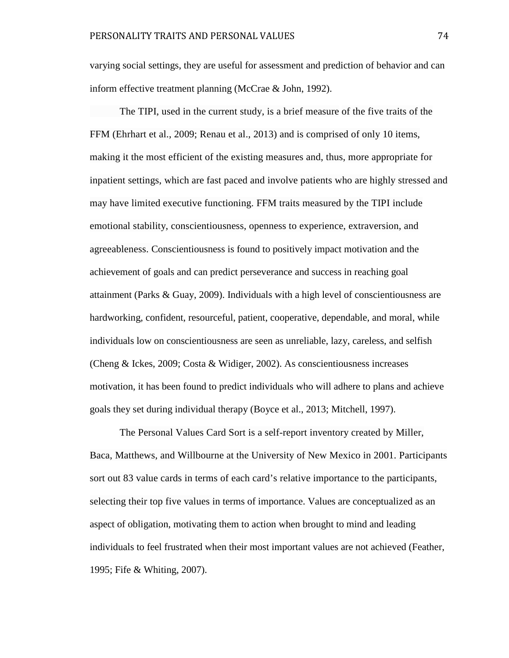varying social settings, they are useful for assessment and prediction of behavior and can inform effective treatment planning (McCrae & John, 1992).

The TIPI, used in the current study, is a brief measure of the five traits of the FFM (Ehrhart et al., 2009; Renau et al., 2013) and is comprised of only 10 items, making it the most efficient of the existing measures and, thus, more appropriate for inpatient settings, which are fast paced and involve patients who are highly stressed and may have limited executive functioning. FFM traits measured by the TIPI include emotional stability, conscientiousness, openness to experience, extraversion, and agreeableness. Conscientiousness is found to positively impact motivation and the achievement of goals and can predict perseverance and success in reaching goal attainment (Parks & Guay, 2009). Individuals with a high level of conscientiousness are hardworking, confident, resourceful, patient, cooperative, dependable, and moral, while individuals low on conscientiousness are seen as unreliable, lazy, careless, and selfish (Cheng & Ickes, 2009; Costa & Widiger, 2002). As conscientiousness increases motivation, it has been found to predict individuals who will adhere to plans and achieve goals they set during individual therapy (Boyce et al., 2013; Mitchell, 1997).

The Personal Values Card Sort is a self-report inventory created by Miller, Baca, Matthews, and Willbourne at the University of New Mexico in 2001. Participants sort out 83 value cards in terms of each card's relative importance to the participants, selecting their top five values in terms of importance. Values are conceptualized as an aspect of obligation, motivating them to action when brought to mind and leading individuals to feel frustrated when their most important values are not achieved (Feather, 1995; Fife & Whiting, 2007).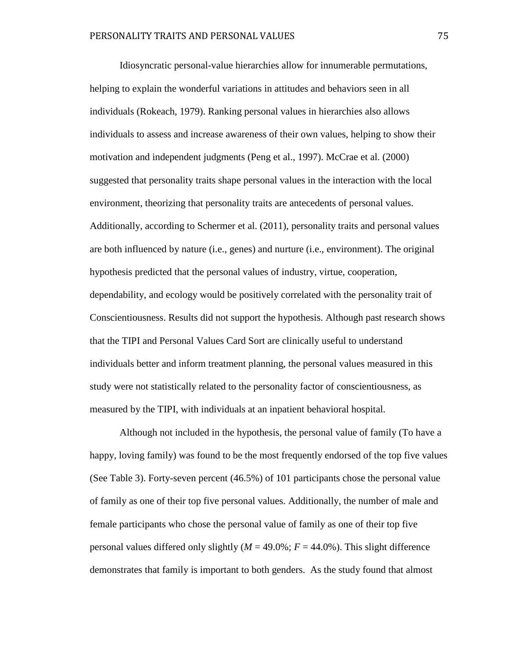Idiosyncratic personal-value hierarchies allow for innumerable permutations, helping to explain the wonderful variations in attitudes and behaviors seen in all individuals (Rokeach, 1979). Ranking personal values in hierarchies also allows individuals to assess and increase awareness of their own values, helping to show their motivation and independent judgments (Peng et al., 1997). McCrae et al. (2000) suggested that personality traits shape personal values in the interaction with the local environment, theorizing that personality traits are antecedents of personal values. Additionally, according to Schermer et al. (2011), personality traits and personal values are both influenced by nature (i.e., genes) and nurture (i.e., environment). The original hypothesis predicted that the personal values of industry, virtue, cooperation, dependability, and ecology would be positively correlated with the personality trait of Conscientiousness. Results did not support the hypothesis. Although past research shows that the TIPI and Personal Values Card Sort are clinically useful to understand individuals better and inform treatment planning, the personal values measured in this study were not statistically related to the personality factor of conscientiousness, as measured by the TIPI, with individuals at an inpatient behavioral hospital.

Although not included in the hypothesis, the personal value of family (To have a happy, loving family) was found to be the most frequently endorsed of the top five values (See Table 3). Forty-seven percent (46.5%) of 101 participants chose the personal value of family as one of their top five personal values. Additionally, the number of male and female participants who chose the personal value of family as one of their top five personal values differed only slightly ( $M = 49.0\%$ ;  $F = 44.0\%$ ). This slight difference demonstrates that family is important to both genders. As the study found that almost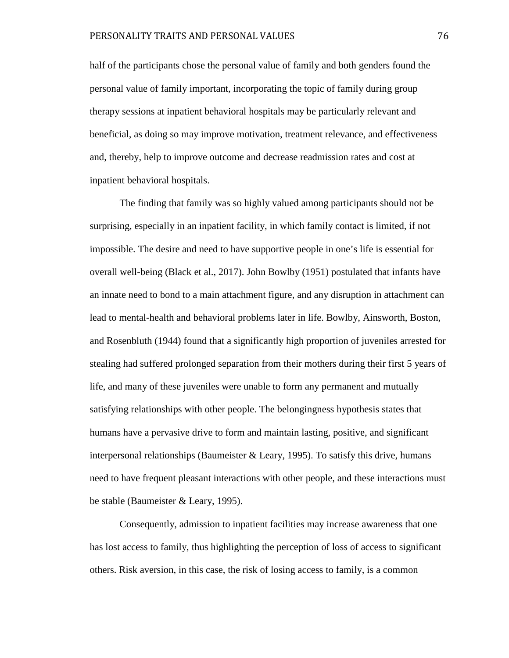half of the participants chose the personal value of family and both genders found the personal value of family important, incorporating the topic of family during group therapy sessions at inpatient behavioral hospitals may be particularly relevant and beneficial, as doing so may improve motivation, treatment relevance, and effectiveness and, thereby, help to improve outcome and decrease readmission rates and cost at inpatient behavioral hospitals.

The finding that family was so highly valued among participants should not be surprising, especially in an inpatient facility, in which family contact is limited, if not impossible. The desire and need to have supportive people in one's life is essential for overall well-being (Black et al., 2017). John Bowlby (1951) postulated that infants have an innate need to bond to a main attachment figure, and any disruption in attachment can lead to mental-health and behavioral problems later in life. Bowlby, Ainsworth, Boston, and Rosenbluth (1944) found that a significantly high proportion of juveniles arrested for stealing had suffered prolonged separation from their mothers during their first 5 years of life, and many of these juveniles were unable to form any permanent and mutually satisfying relationships with other people. The belongingness hypothesis states that humans have a pervasive drive to form and maintain lasting, positive, and significant interpersonal relationships (Baumeister  $&$  Leary, 1995). To satisfy this drive, humans need to have frequent pleasant interactions with other people, and these interactions must be stable (Baumeister & Leary, 1995).

Consequently, admission to inpatient facilities may increase awareness that one has lost access to family, thus highlighting the perception of loss of access to significant others. Risk aversion, in this case, the risk of losing access to family, is a common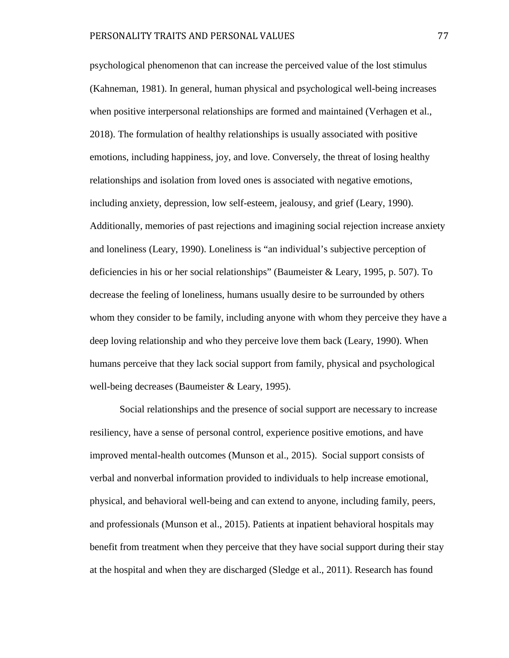psychological phenomenon that can increase the perceived value of the lost stimulus (Kahneman, 1981). In general, human physical and psychological well-being increases when positive interpersonal relationships are formed and maintained (Verhagen et al., 2018). The formulation of healthy relationships is usually associated with positive emotions, including happiness, joy, and love. Conversely, the threat of losing healthy relationships and isolation from loved ones is associated with negative emotions, including anxiety, depression, low self-esteem, jealousy, and grief (Leary, 1990). Additionally, memories of past rejections and imagining social rejection increase anxiety and loneliness (Leary, 1990). Loneliness is "an individual's subjective perception of deficiencies in his or her social relationships" (Baumeister & Leary, 1995, p. 507). To decrease the feeling of loneliness, humans usually desire to be surrounded by others whom they consider to be family, including anyone with whom they perceive they have a deep loving relationship and who they perceive love them back (Leary, 1990). When humans perceive that they lack social support from family, physical and psychological well-being decreases (Baumeister & Leary, 1995).

Social relationships and the presence of social support are necessary to increase resiliency, have a sense of personal control, experience positive emotions, and have improved mental-health outcomes (Munson et al., 2015). Social support consists of verbal and nonverbal information provided to individuals to help increase emotional, physical, and behavioral well-being and can extend to anyone, including family, peers, and professionals (Munson et al., 2015). Patients at inpatient behavioral hospitals may benefit from treatment when they perceive that they have social support during their stay at the hospital and when they are discharged (Sledge et al., 2011). Research has found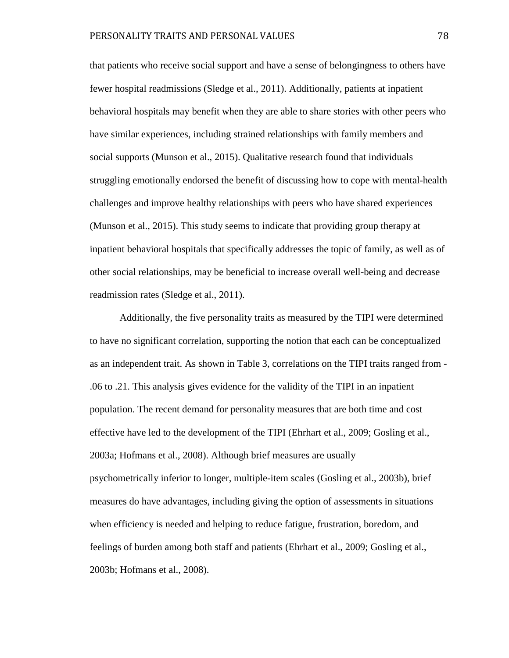that patients who receive social support and have a sense of belongingness to others have fewer hospital readmissions (Sledge et al., 2011). Additionally, patients at inpatient behavioral hospitals may benefit when they are able to share stories with other peers who have similar experiences, including strained relationships with family members and social supports (Munson et al., 2015). Qualitative research found that individuals struggling emotionally endorsed the benefit of discussing how to cope with mental-health challenges and improve healthy relationships with peers who have shared experiences (Munson et al., 2015). This study seems to indicate that providing group therapy at inpatient behavioral hospitals that specifically addresses the topic of family, as well as of other social relationships, may be beneficial to increase overall well-being and decrease readmission rates (Sledge et al., 2011).

Additionally, the five personality traits as measured by the TIPI were determined to have no significant correlation, supporting the notion that each can be conceptualized as an independent trait. As shown in Table 3, correlations on the TIPI traits ranged from - .06 to .21. This analysis gives evidence for the validity of the TIPI in an inpatient population. The recent demand for personality measures that are both time and cost effective have led to the development of the TIPI (Ehrhart et al., 2009; Gosling et al., 2003a; Hofmans et al., 2008). Although brief measures are usually psychometrically inferior to longer, multiple-item scales (Gosling et al., 2003b), brief measures do have advantages, including giving the option of assessments in situations when efficiency is needed and helping to reduce fatigue, frustration, boredom, and feelings of burden among both staff and patients (Ehrhart et al., 2009; Gosling et al., 2003b; Hofmans et al., 2008).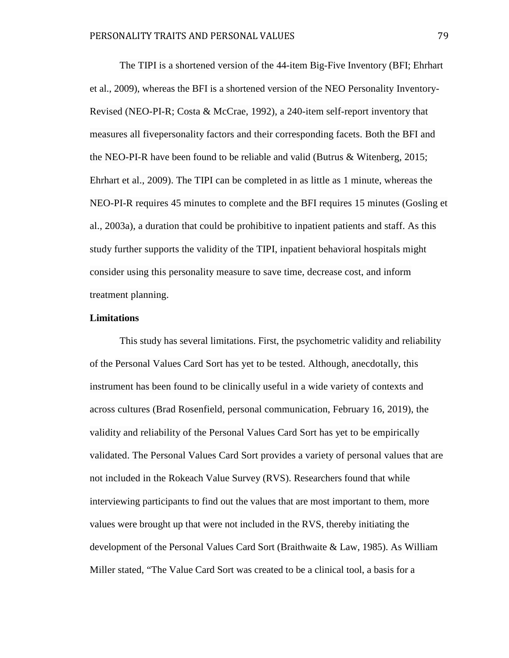The TIPI is a shortened version of the 44-item Big-Five Inventory (BFI; Ehrhart et al., 2009), whereas the BFI is a shortened version of the NEO Personality Inventory-Revised (NEO-PI-R; Costa & McCrae, 1992), a 240-item self-report inventory that measures all fivepersonality factors and their corresponding facets. Both the BFI and the NEO-PI-R have been found to be reliable and valid (Butrus & Witenberg, 2015; Ehrhart et al., 2009). The TIPI can be completed in as little as 1 minute, whereas the NEO-PI-R requires 45 minutes to complete and the BFI requires 15 minutes (Gosling et al., 2003a), a duration that could be prohibitive to inpatient patients and staff. As this study further supports the validity of the TIPI, inpatient behavioral hospitals might consider using this personality measure to save time, decrease cost, and inform treatment planning.

## **Limitations**

This study has several limitations. First, the psychometric validity and reliability of the Personal Values Card Sort has yet to be tested. Although, anecdotally, this instrument has been found to be clinically useful in a wide variety of contexts and across cultures (Brad Rosenfield, personal communication, February 16, 2019), the validity and reliability of the Personal Values Card Sort has yet to be empirically validated. The Personal Values Card Sort provides a variety of personal values that are not included in the Rokeach Value Survey (RVS). Researchers found that while interviewing participants to find out the values that are most important to them, more values were brought up that were not included in the RVS, thereby initiating the development of the Personal Values Card Sort (Braithwaite & Law, 1985). As William Miller stated, "The Value Card Sort was created to be a clinical tool, a basis for a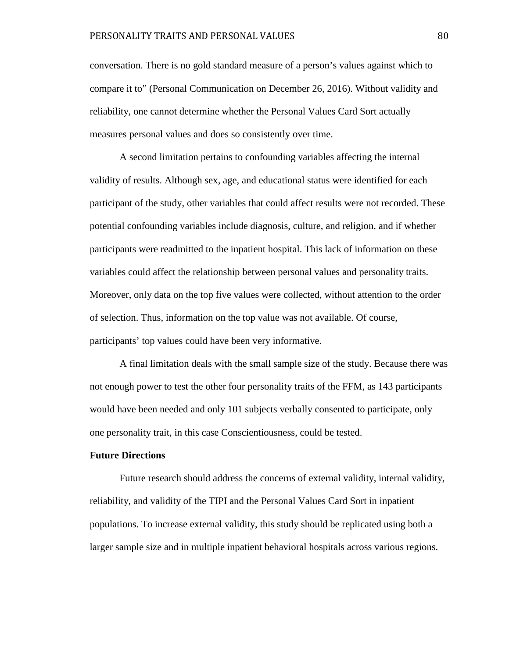conversation. There is no gold standard measure of a person's values against which to compare it to" (Personal Communication on December 26, 2016). Without validity and reliability, one cannot determine whether the Personal Values Card Sort actually measures personal values and does so consistently over time.

A second limitation pertains to confounding variables affecting the internal validity of results. Although sex, age, and educational status were identified for each participant of the study, other variables that could affect results were not recorded. These potential confounding variables include diagnosis, culture, and religion, and if whether participants were readmitted to the inpatient hospital. This lack of information on these variables could affect the relationship between personal values and personality traits. Moreover, only data on the top five values were collected, without attention to the order of selection. Thus, information on the top value was not available. Of course, participants' top values could have been very informative.

A final limitation deals with the small sample size of the study. Because there was not enough power to test the other four personality traits of the FFM, as 143 participants would have been needed and only 101 subjects verbally consented to participate, only one personality trait, in this case Conscientiousness, could be tested.

## **Future Directions**

Future research should address the concerns of external validity, internal validity, reliability, and validity of the TIPI and the Personal Values Card Sort in inpatient populations. To increase external validity, this study should be replicated using both a larger sample size and in multiple inpatient behavioral hospitals across various regions.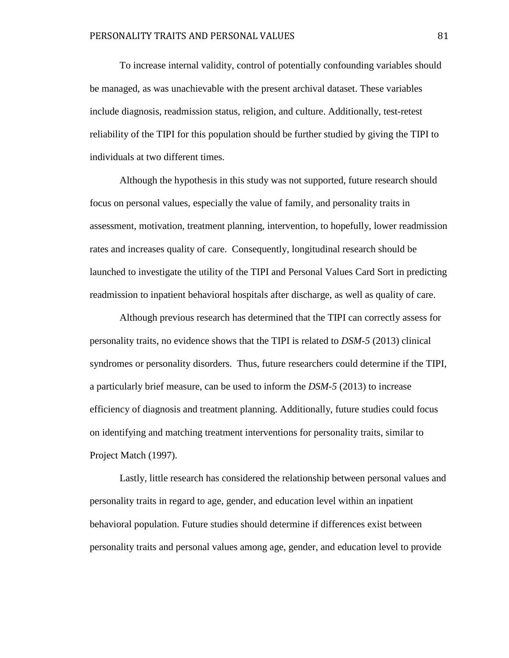To increase internal validity, control of potentially confounding variables should be managed, as was unachievable with the present archival dataset. These variables include diagnosis, readmission status, religion, and culture. Additionally, test-retest reliability of the TIPI for this population should be further studied by giving the TIPI to individuals at two different times.

Although the hypothesis in this study was not supported, future research should focus on personal values, especially the value of family, and personality traits in assessment, motivation, treatment planning, intervention, to hopefully, lower readmission rates and increases quality of care. Consequently, longitudinal research should be launched to investigate the utility of the TIPI and Personal Values Card Sort in predicting readmission to inpatient behavioral hospitals after discharge, as well as quality of care.

Although previous research has determined that the TIPI can correctly assess for personality traits, no evidence shows that the TIPI is related to *DSM-5* (2013) clinical syndromes or personality disorders. Thus, future researchers could determine if the TIPI, a particularly brief measure, can be used to inform the *DSM-5* (2013) to increase efficiency of diagnosis and treatment planning. Additionally, future studies could focus on identifying and matching treatment interventions for personality traits, similar to Project Match (1997).

Lastly, little research has considered the relationship between personal values and personality traits in regard to age, gender, and education level within an inpatient behavioral population. Future studies should determine if differences exist between personality traits and personal values among age, gender, and education level to provide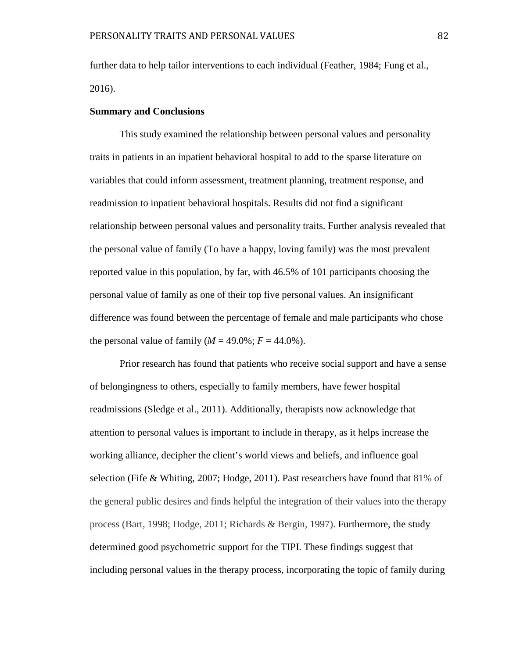further data to help tailor interventions to each individual (Feather, 1984; Fung et al., 2016).

## **Summary and Conclusions**

This study examined the relationship between personal values and personality traits in patients in an inpatient behavioral hospital to add to the sparse literature on variables that could inform assessment, treatment planning, treatment response, and readmission to inpatient behavioral hospitals. Results did not find a significant relationship between personal values and personality traits. Further analysis revealed that the personal value of family (To have a happy, loving family) was the most prevalent reported value in this population, by far, with 46.5% of 101 participants choosing the personal value of family as one of their top five personal values. An insignificant difference was found between the percentage of female and male participants who chose the personal value of family ( $M = 49.0\%$ ;  $F = 44.0\%$ ).

Prior research has found that patients who receive social support and have a sense of belongingness to others, especially to family members, have fewer hospital readmissions (Sledge et al., 2011). Additionally, therapists now acknowledge that attention to personal values is important to include in therapy, as it helps increase the working alliance, decipher the client's world views and beliefs, and influence goal selection (Fife & Whiting, 2007; Hodge, 2011). Past researchers have found that 81% of the general public desires and finds helpful the integration of their values into the therapy process (Bart, 1998; Hodge, 2011; Richards & Bergin, 1997). Furthermore, the study determined good psychometric support for the TIPI. These findings suggest that including personal values in the therapy process, incorporating the topic of family during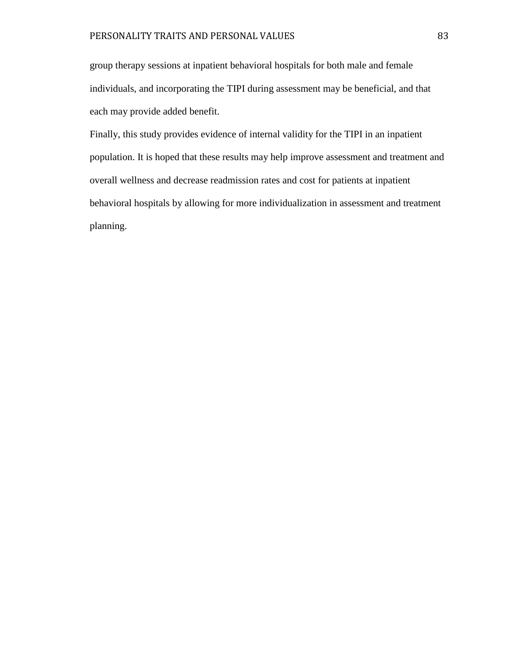group therapy sessions at inpatient behavioral hospitals for both male and female individuals, and incorporating the TIPI during assessment may be beneficial, and that each may provide added benefit.

Finally, this study provides evidence of internal validity for the TIPI in an inpatient population. It is hoped that these results may help improve assessment and treatment and overall wellness and decrease readmission rates and cost for patients at inpatient behavioral hospitals by allowing for more individualization in assessment and treatment planning.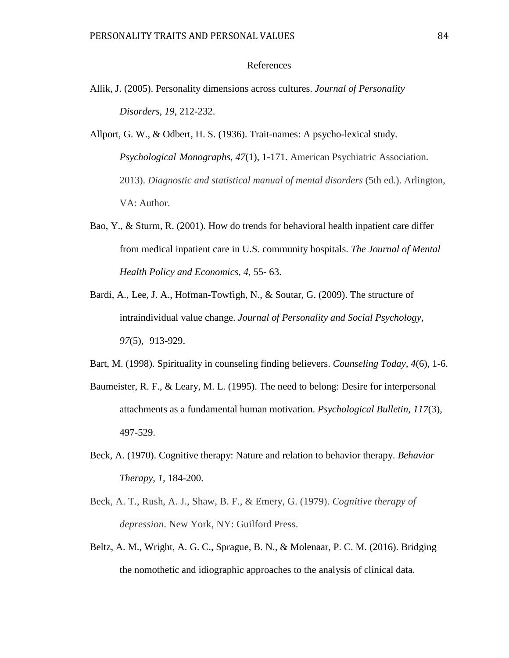#### References

- Allik, J. (2005). Personality dimensions across cultures. *Journal of Personality Disorders, 19*, 212-232.
- Allport, G. W., & Odbert, H. S. (1936). Trait-names: A psycho-lexical study. *Psychological Monographs, 47*(1), 1-171. American Psychiatric Association. 2013). *Diagnostic and statistical manual of mental disorders* (5th ed.). Arlington, VA: Author.
- Bao, Y., & Sturm, R. (2001). How do trends for behavioral health inpatient care differ from medical inpatient care in U.S. community hospitals. *The Journal of Mental Health Policy and Economics, 4*, 55- 63.
- Bardi, A., Lee, J. A., Hofman-Towfigh, N., & Soutar, G. (2009). The structure of intraindividual value change. *Journal of Personality and Social Psychology, 97*(5), 913-929.
- Bart, M. (1998). Spirituality in counseling finding believers. *Counseling Today, 4*(6), 1-6.
- Baumeister, R. F., & Leary, M. L. (1995). The need to belong: Desire for interpersonal attachments as a fundamental human motivation. *Psychological Bulletin, 117*(3), 497-529.
- Beck, A. (1970). Cognitive therapy: Nature and relation to behavior therapy. *Behavior Therapy, 1,* 184-200.
- Beck, A. T., Rush, A. J., Shaw, B. F., & Emery, G. (1979). *Cognitive therapy of depression*. New York, NY: Guilford Press.
- Beltz, A. M., Wright, A. G. C., Sprague, B. N., & Molenaar, P. C. M. (2016). Bridging the nomothetic and idiographic approaches to the analysis of clinical data.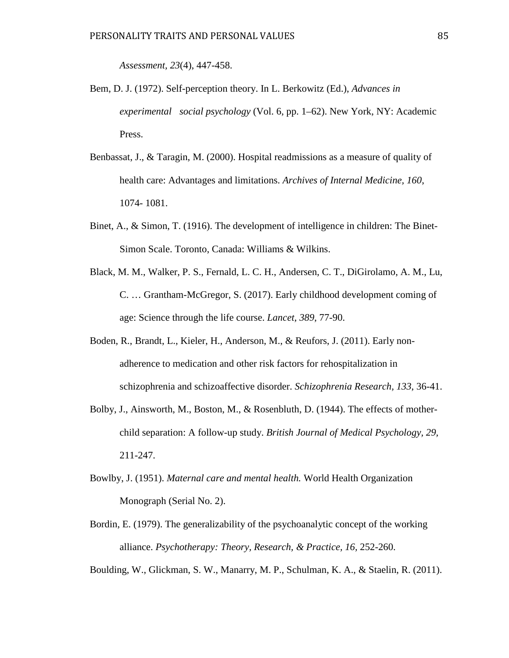*Assessment, 23*(4), 447-458.

- Bem, D. J. (1972). Self-perception theory. In L. Berkowitz (Ed.), *Advances in experimental social psychology* (Vol. 6, pp. 1–62). New York, NY: Academic Press.
- Benbassat, J., & Taragin, M. (2000). Hospital readmissions as a measure of quality of health care: Advantages and limitations. *Archives of Internal Medicine, 160*, 1074- 1081.
- Binet, A., & Simon, T. (1916). The development of intelligence in children: The Binet-Simon Scale. Toronto, Canada: Williams & Wilkins.
- Black, M. M., Walker, P. S., Fernald, L. C. H., Andersen, C. T., DiGirolamo, A. M., Lu, C. … Grantham-McGregor, S. (2017). Early childhood development coming of age: Science through the life course. *Lancet, 389*, 77-90.
- Boden, R., Brandt, L., Kieler, H., Anderson, M., & Reufors, J. (2011). Early nonadherence to medication and other risk factors for rehospitalization in schizophrenia and schizoaffective disorder. *Schizophrenia Research, 133*, 36-41.
- Bolby, J., Ainsworth, M., Boston, M., & Rosenbluth, D. (1944). The effects of motherchild separation: A follow-up study. *British Journal of Medical Psychology, 29,* 211-247.
- Bowlby, J. (1951). *Maternal care and mental health.* World Health Organization Monograph (Serial No. 2).
- Bordin, E. (1979). The generalizability of the psychoanalytic concept of the working alliance. *Psychotherapy: Theory, Research, & Practice, 16,* 252-260.

Boulding, W., Glickman, S. W., Manarry, M. P., Schulman, K. A., & Staelin, R. (2011).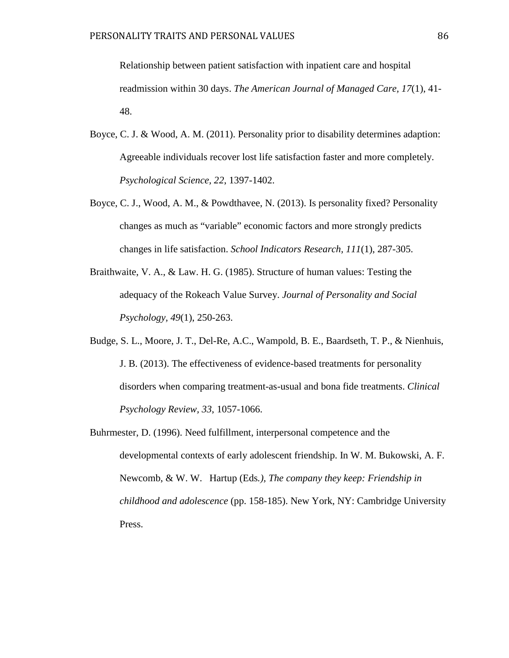Relationship between patient satisfaction with inpatient care and hospital readmission within 30 days. *The American Journal of Managed Care, 17*(1), 41- 48.

- Boyce, C. J. & Wood, A. M. (2011). Personality prior to disability determines adaption: Agreeable individuals recover lost life satisfaction faster and more completely. *Psychological Science, 22*, 1397-1402.
- Boyce, C. J., Wood, A. M., & Powdthavee, N. (2013). Is personality fixed? Personality changes as much as "variable" economic factors and more strongly predicts changes in life satisfaction. *School Indicators Research, 111*(1), 287-305.
- Braithwaite, V. A., & Law. H. G. (1985). Structure of human values: Testing the adequacy of the Rokeach Value Survey. *Journal of Personality and Social Psychology, 49*(1), 250-263.
- Budge, S. L., Moore, J. T., Del-Re, A.C., Wampold, B. E., Baardseth, T. P., & Nienhuis, J. B. (2013). The effectiveness of evidence-based treatments for personality disorders when comparing treatment-as-usual and bona fide treatments. *Clinical Psychology Review, 33*, 1057-1066.
- Buhrmester, D. (1996). Need fulfillment, interpersonal competence and the developmental contexts of early adolescent friendship. In W. M. Bukowski, A. F. Newcomb, & W. W. Hartup (Eds*.), The company they keep: Friendship in childhood and adolescence* (pp. 158-185). New York, NY: Cambridge University Press.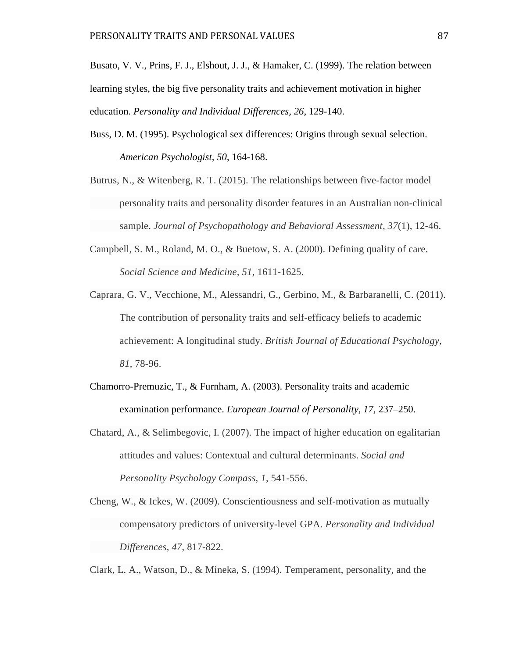Busato, V. V., Prins, F. J., Elshout, J. J., & Hamaker, C. (1999). The relation between learning styles, the big five personality traits and achievement motivation in higher education. *Personality and Individual Differences, 26*, 129-140.

- Buss, D. M. (1995). Psychological sex differences: Origins through sexual selection. *American Psychologist, 50*, 164-168.
- Butrus, N., & Witenberg, R. T. (2015). The relationships between five-factor model personality traits and personality disorder features in an Australian non-clinical sample. *Journal of Psychopathology and Behavioral Assessment, 37*(1), 12-46.
- Campbell, S. M., Roland, M. O., & Buetow, S. A. (2000). Defining quality of care. *Social Science and Medicine, 51*, 1611-1625.
- Caprara, G. V., Vecchione, M., Alessandri, G., Gerbino, M., & Barbaranelli, C. (2011). The contribution of personality traits and self-efficacy beliefs to academic achievement: A longitudinal study. *British Journal of Educational Psychology, 81*, 78-96.
- Chamorro-Premuzic, T., & Furnham, A. (2003). Personality traits and academic examination performance. *European Journal of Personality, 17,* 237–250.
- Chatard, A., & Selimbegovic, I. (2007). The impact of higher education on egalitarian attitudes and values: Contextual and cultural determinants. *Social and Personality Psychology Compass, 1*, 541-556.
- Cheng, W., & Ickes, W. (2009). Conscientiousness and self-motivation as mutually compensatory predictors of university-level GPA. *Personality and Individual Differences, 47*, 817-822.

Clark, L. A., Watson, D., & Mineka, S. (1994). Temperament, personality, and the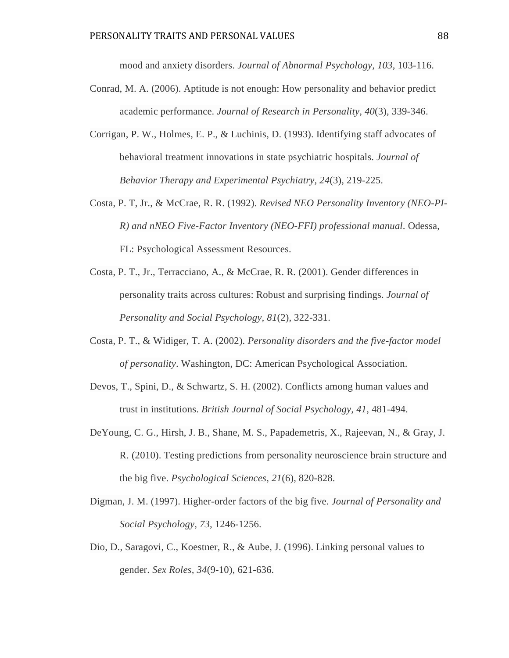mood and anxiety disorders. *Journal of Abnormal Psychology, 103*, 103-116.

- Conrad, M. A. (2006). Aptitude is not enough: How personality and behavior predict academic performance. *Journal of Research in Personality, 40*(3), 339-346.
- Corrigan, P. W., Holmes, E. P., & Luchinis, D. (1993). Identifying staff advocates of behavioral treatment innovations in state psychiatric hospitals. *Journal of Behavior Therapy and Experimental Psychiatry, 24*(3), 219-225.
- Costa, P. T, Jr., & McCrae, R. R. (1992). *Revised NEO Personality Inventory (NEO-PI-R) and nNEO Five-Factor Inventory (NEO-FFI) professional manual*. Odessa, FL: Psychological Assessment Resources.
- Costa, P. T., Jr., Terracciano, A., & McCrae, R. R. (2001). Gender differences in personality traits across cultures: Robust and surprising findings. *Journal of Personality and Social Psychology, 81*(2), 322-331.
- Costa, P. T., & Widiger, T. A. (2002). *Personality disorders and the five-factor model of personality*. Washington, DC: American Psychological Association.
- Devos, T., Spini, D., & Schwartz, S. H. (2002). Conflicts among human values and trust in institutions. *British Journal of Social Psychology, 41*, 481-494.
- DeYoung, C. G., Hirsh, J. B., Shane, M. S., Papademetris, X., Rajeevan, N., & Gray, J. R. (2010). Testing predictions from personality neuroscience brain structure and the big five. *Psychological Sciences, 21*(6), 820-828.
- Digman, J. M. (1997). Higher-order factors of the big five. *Journal of Personality and Social Psychology, 73*, 1246-1256.
- Dio, D., Saragovi, C., Koestner, R., & Aube, J. (1996). Linking personal values to gender. *Sex Roles, 34*(9-10), 621-636.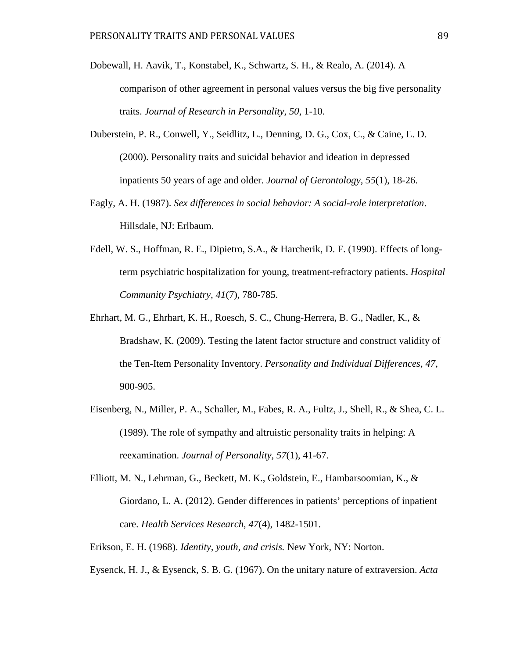- Dobewall, H. Aavik, T., Konstabel, K., Schwartz, S. H., & Realo, A. (2014). A comparison of other agreement in personal values versus the big five personality traits. *Journal of Research in Personality, 50*, 1-10.
- Duberstein, P. R., Conwell, Y., Seidlitz, L., Denning, D. G., Cox, C., & Caine, E. D. (2000). Personality traits and suicidal behavior and ideation in depressed inpatients 50 years of age and older. *Journal of Gerontology, 55*(1), 18-26.
- Eagly, A. H. (1987). *Sex differences in social behavior: A social-role interpretation*. Hillsdale, NJ: Erlbaum.
- Edell, W. S., Hoffman, R. E., Dipietro, S.A., & Harcherik, D. F. (1990). Effects of longterm psychiatric hospitalization for young, treatment-refractory patients. *Hospital Community Psychiatry, 41*(7), 780-785.
- Ehrhart, M. G., Ehrhart, K. H., Roesch, S. C., Chung-Herrera, B. G., Nadler, K., & Bradshaw, K. (2009). Testing the latent factor structure and construct validity of the Ten-Item Personality Inventory. *Personality and Individual Differences, 47*, 900-905.
- Eisenberg, N., Miller, P. A., Schaller, M., Fabes, R. A., Fultz, J., Shell, R., & Shea, C. L. (1989). The role of sympathy and altruistic personality traits in helping: A reexamination. *Journal of Personality, 57*(1), 41-67.
- Elliott, M. N., Lehrman, G., Beckett, M. K., Goldstein, E., Hambarsoomian, K., & Giordano, L. A. (2012). Gender differences in patients' perceptions of inpatient care. *Health Services Research, 47*(4), 1482-1501.
- Erikson, E. H. (1968). *Identity, youth, and crisis.* New York, NY: Norton.
- Eysenck, H. J., & Eysenck, S. B. G. (1967). On the unitary nature of extraversion. *Acta*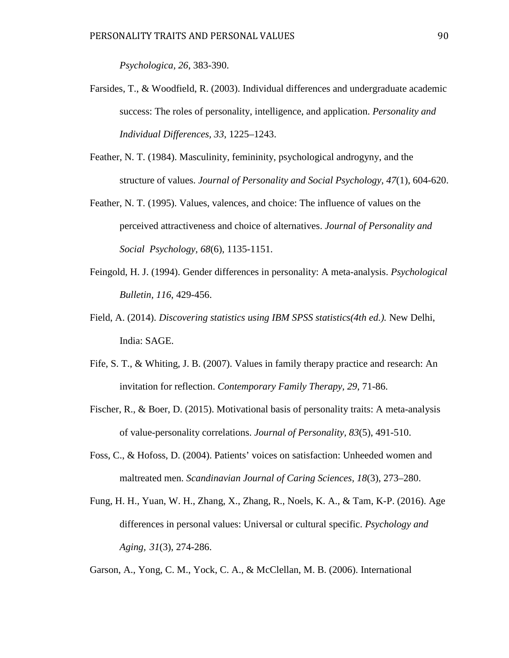*Psychologica, 26*, 383-390.

- Farsides, T., & Woodfield, R. (2003). Individual differences and undergraduate academic success: The roles of personality, intelligence, and application. *Personality and Individual Differences, 33*, 1225–1243.
- Feather, N. T. (1984). Masculinity, femininity, psychological androgyny, and the structure of values. *Journal of Personality and Social Psychology, 47*(1), 604-620.
- Feather, N. T. (1995). Values, valences, and choice: The influence of values on the perceived attractiveness and choice of alternatives. *Journal of Personality and Social Psychology, 68*(6), 1135-1151.
- Feingold, H. J. (1994). Gender differences in personality: A meta-analysis. *Psychological Bulletin, 116*, 429-456.
- Field, A. (2014). *Discovering statistics using IBM SPSS statistics(4th ed.).* New Delhi, India: SAGE.
- Fife, S. T., & Whiting, J. B. (2007). Values in family therapy practice and research: An invitation for reflection. *Contemporary Family Therapy, 29*, 71-86.
- Fischer, R., & Boer, D. (2015). Motivational basis of personality traits: A meta-analysis of value-personality correlations. *Journal of Personality, 83*(5), 491-510.
- Foss, C., & Hofoss, D. (2004). Patients' voices on satisfaction: Unheeded women and maltreated men. *Scandinavian Journal of Caring Sciences, 18*(3), 273–280.
- Fung, H. H., Yuan, W. H., Zhang, X., Zhang, R., Noels, K. A., & Tam, K-P. (2016). Age differences in personal values: Universal or cultural specific. *Psychology and Aging, 31*(3), 274-286.
- Garson, A., Yong, C. M., Yock, C. A., & McClellan, M. B. (2006). International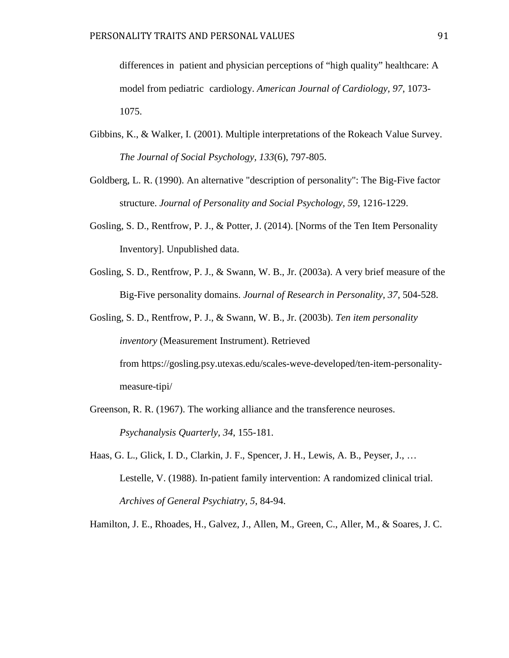differences in patient and physician perceptions of "high quality" healthcare: A model from pediatric cardiology. *American Journal of Cardiology, 97*, 1073- 1075.

- Gibbins, K., & Walker, I. (2001). Multiple interpretations of the Rokeach Value Survey. *The Journal of Social Psychology, 133*(6), 797-805.
- Goldberg, L. R. (1990). An alternative "description of personality": The Big-Five factor structure. *Journal of Personality and Social Psychology, 59*, 1216-1229.
- Gosling, S. D., Rentfrow, P. J., & Potter, J. (2014). [Norms of the Ten Item Personality Inventory]. Unpublished data.
- Gosling, S. D., Rentfrow, P. J., & Swann, W. B., Jr. (2003a). A very brief measure of the Big-Five personality domains. *Journal of Research in Personality, 37,* 504-528.

Gosling, S. D., Rentfrow, P. J., & Swann, W. B., Jr. (2003b). *Ten item personality inventory* (Measurement Instrument). Retrieved from [https://gosling.psy.utexas.edu/scales-weve-d](https://gosling.psy.utexas.edu/scales-weve-)eveloped/ten-item-personalitymeasure-tipi/

- Greenson, R. R. (1967). The working alliance and the transference neuroses. *Psychanalysis Quarterly, 34*, 155-181.
- Haas, G. L., Glick, I. D., Clarkin, J. F., Spencer, J. H., Lewis, A. B., Peyser, J., … Lestelle, V. (1988). In-patient family intervention: A randomized clinical trial. *Archives of General Psychiatry, 5*, 84-94.

Hamilton, J. E., Rhoades, H., Galvez, J., Allen, M., Green, C., Aller, M., & Soares, J. C.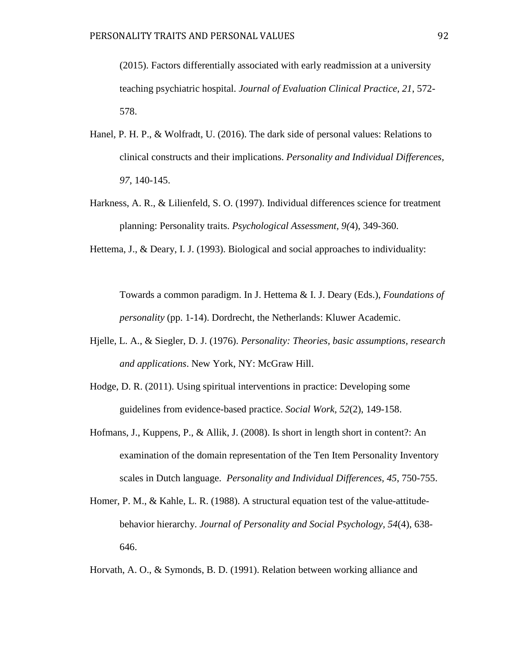(2015). Factors differentially associated with early readmission at a university teaching psychiatric hospital. *Journal of Evaluation Clinical Practice, 21*, 572- 578.

- Hanel, P. H. P., & Wolfradt, U. (2016). The dark side of personal values: Relations to clinical constructs and their implications. *Personality and Individual Differences, 97*, 140-145.
- Harkness, A. R., & Lilienfeld, S. O. (1997). Individual differences science for treatment planning: Personality traits. *Psychological Assessment, 9(*4), 349-360.

Hettema, J., & Deary, I. J. (1993). Biological and social approaches to individuality:

Towards a common paradigm. In J. Hettema & I. J. Deary (Eds.), *Foundations of personality* (pp. 1-14). Dordrecht, the Netherlands: Kluwer Academic.

- Hjelle, L. A., & Siegler, D. J. (1976). *Personality: Theories, basic assumptions, research and applications*. New York, NY: McGraw Hill.
- Hodge, D. R. (2011). Using spiritual interventions in practice: Developing some guidelines from evidence-based practice. *Social Work, 52*(2), 149-158.
- Hofmans, J., Kuppens, P., & Allik, J. (2008). Is short in length short in content?: An examination of the domain representation of the Ten Item Personality Inventory scales in Dutch language. *Personality and Individual Differences, 45*, 750-755.
- Homer, P. M., & Kahle, L. R. (1988). A structural equation test of the value-attitudebehavior hierarchy. *Journal of Personality and Social Psychology, 54*(4), 638- 646.

Horvath, A. O., & Symonds, B. D. (1991). Relation between working alliance and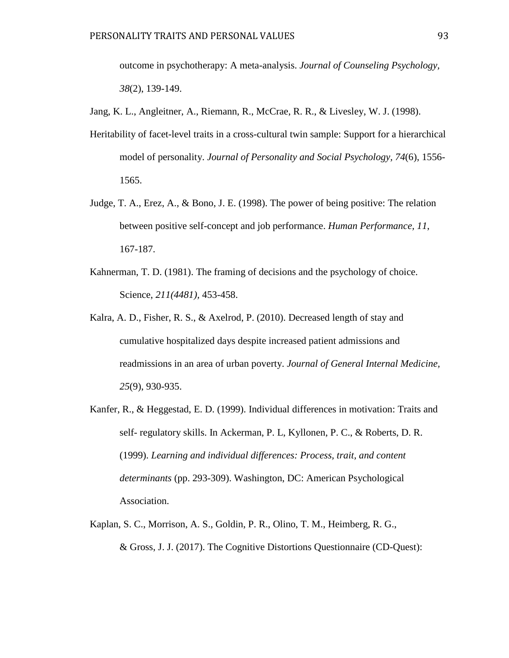outcome in psychotherapy: A meta-analysis. *Journal of Counseling Psychology, 38*(2), 139-149.

- Jang, K. L., Angleitner, A., Riemann, R., McCrae, R. R., & Livesley, W. J. (1998).
- Heritability of facet-level traits in a cross-cultural twin sample: Support for a hierarchical model of personality. *Journal of Personality and Social Psychology, 74*(6), 1556- 1565.
- Judge, T. A., Erez, A., & Bono, J. E. (1998). The power of being positive: The relation between positive self-concept and job performance. *Human Performance, 11*, 167-187.
- Kahnerman, T. D. (1981). The framing of decisions and the psychology of choice. Science, *211(4481),* 453-458.
- Kalra, A. D., Fisher, R. S., & Axelrod, P. (2010). Decreased length of stay and cumulative hospitalized days despite increased patient admissions and readmissions in an area of urban poverty. *Journal of General Internal Medicine, 25*(9), 930-935.
- Kanfer, R., & Heggestad, E. D. (1999). Individual differences in motivation: Traits and self- regulatory skills. In Ackerman, P. L, Kyllonen, P. C., & Roberts, D. R. (1999). *Learning and individual differences: Process, trait, and content determinants* (pp. 293-309). Washington, DC: American Psychological Association.
- Kaplan, S. C., Morrison, A. S., Goldin, P. R., Olino, T. M., Heimberg, R. G., & Gross, J. J. (2017). The Cognitive Distortions Questionnaire (CD-Quest):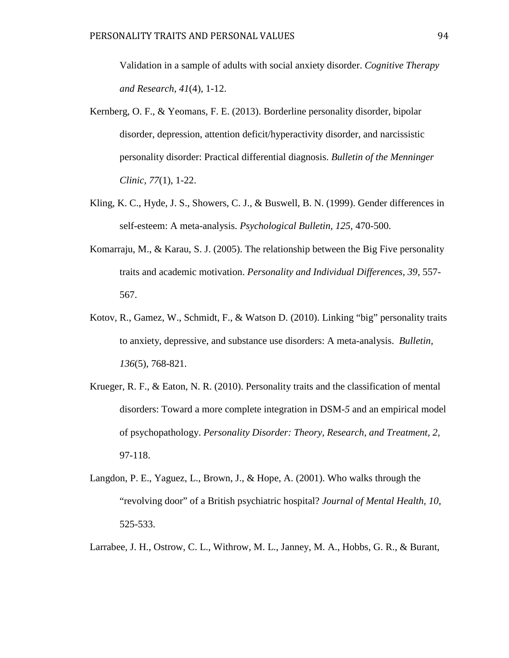Validation in a sample of adults with social anxiety disorder. *Cognitive Therapy and Research*, *41*(4), 1-12.

- Kernberg, O. F., & Yeomans, F. E. (2013). Borderline personality disorder, bipolar disorder, depression, attention deficit/hyperactivity disorder, and narcissistic personality disorder: Practical differential diagnosis. *Bulletin of the Menninger Clinic, 77*(1), 1-22.
- Kling, K. C., Hyde, J. S., Showers, C. J., & Buswell, B. N. (1999). Gender differences in self-esteem: A meta-analysis. *Psychological Bulletin, 125*, 470-500.
- Komarraju, M., & Karau, S. J. (2005). The relationship between the Big Five personality traits and academic motivation. *Personality and Individual Differences, 39*, 557- 567.
- Kotov, R., Gamez, W., Schmidt, F., & Watson D. (2010). Linking "big" personality traits to anxiety, depressive, and substance use disorders: A meta-analysis. *Bulletin, 136*(5), 768-821.
- Krueger, R. F., & Eaton, N. R. (2010). Personality traits and the classification of mental disorders: Toward a more complete integration in DSM-*5* and an empirical model of psychopathology. *Personality Disorder: Theory, Research, and Treatment, 2,* 97-118.
- Langdon, P. E., Yaguez, L., Brown, J., & Hope, A. (2001). Who walks through the "revolving door" of a British psychiatric hospital? *Journal of Mental Health, 10*, 525-533.
- Larrabee, J. H., Ostrow, C. L., Withrow, M. L., Janney, M. A., Hobbs, G. R., & Burant,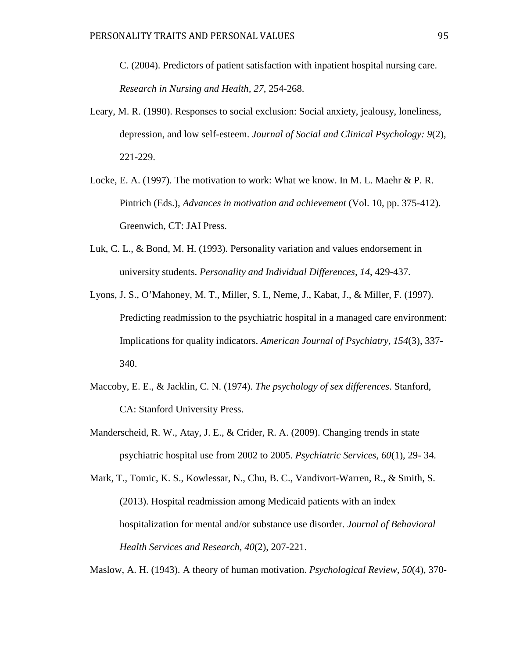C. (2004). Predictors of patient satisfaction with inpatient hospital nursing care. *Research in Nursing and Health, 27*, 254-268.

- Leary, M. R. (1990). Responses to social exclusion: Social anxiety, jealousy, loneliness, depression, and low self-esteem. *Journal of Social and Clinical Psychology: 9*(2), 221-229.
- Locke, E. A. (1997). The motivation to work: What we know. In M. L. Maehr & P. R. Pintrich (Eds.), *Advances in motivation and achievement* (Vol. 10, pp. 375-412). Greenwich, CT: JAI Press.
- Luk, C. L., & Bond, M. H. (1993). Personality variation and values endorsement in university students. *Personality and Individual Differences, 14*, 429-437.
- Lyons, J. S., O'Mahoney, M. T., Miller, S. I., Neme, J., Kabat, J., & Miller, F. (1997). Predicting readmission to the psychiatric hospital in a managed care environment: Implications for quality indicators. *American Journal of Psychiatry, 154*(3), 337- 340.
- Maccoby, E. E., & Jacklin, C. N. (1974). *The psychology of sex differences*. Stanford, CA: Stanford University Press.
- Manderscheid, R. W., Atay, J. E., & Crider, R. A. (2009). Changing trends in state psychiatric hospital use from 2002 to 2005. *Psychiatric Services, 60*(1), 29- 34.
- Mark, T., Tomic, K. S., Kowlessar, N., Chu, B. C., Vandivort-Warren, R., & Smith, S. (2013). Hospital readmission among Medicaid patients with an index hospitalization for mental and/or substance use disorder. *Journal of Behavioral Health Services and Research, 40*(2), 207-221.

Maslow, A. H. (1943). A theory of human motivation. *Psychological Review, 50*(4), 370-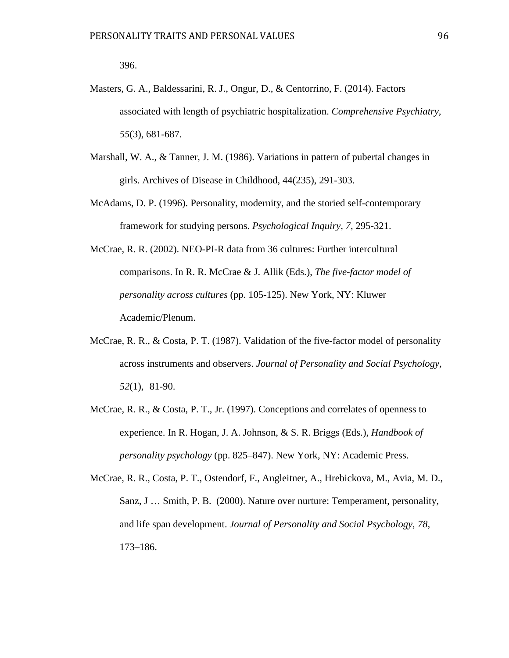396.

- Masters, G. A., Baldessarini, R. J., Ongur, D., & Centorrino, F. (2014). Factors associated with length of psychiatric hospitalization. *Comprehensive Psychiatry, 55*(3), 681-687.
- Marshall, W. A., & Tanner, J. M. (1986). Variations in pattern of pubertal changes in girls. Archives of Disease in Childhood, 44(235), 291-303.
- McAdams, D. P. (1996). Personality, modernity, and the storied self-contemporary framework for studying persons. *Psychological Inquiry, 7*, 295-321.
- McCrae, R. R. (2002). NEO-PI-R data from 36 cultures: Further intercultural comparisons. In R. R. McCrae & J. Allik (Eds.), *The five-factor model of personality across cultures* (pp. 105-125). New York, NY: Kluwer Academic/Plenum.
- McCrae, R. R., & Costa, P. T. (1987). Validation of the five-factor model of personality across instruments and observers. *Journal of Personality and Social Psychology, 52*(1), 81-90.
- McCrae, R. R., & Costa, P. T., Jr. (1997). Conceptions and correlates of openness to experience. In R. Hogan, J. A. Johnson, & S. R. Briggs (Eds.), *Handbook of personality psychology* (pp. 825–847). New York, NY: Academic Press.
- McCrae, R. R., Costa, P. T., Ostendorf, F., Angleitner, A., Hrebickova, M., Avia, M. D., Sanz, J … Smith, P. B. (2000). Nature over nurture: Temperament, personality, and life span development. *Journal of Personality and Social Psychology, 78,* 173–186.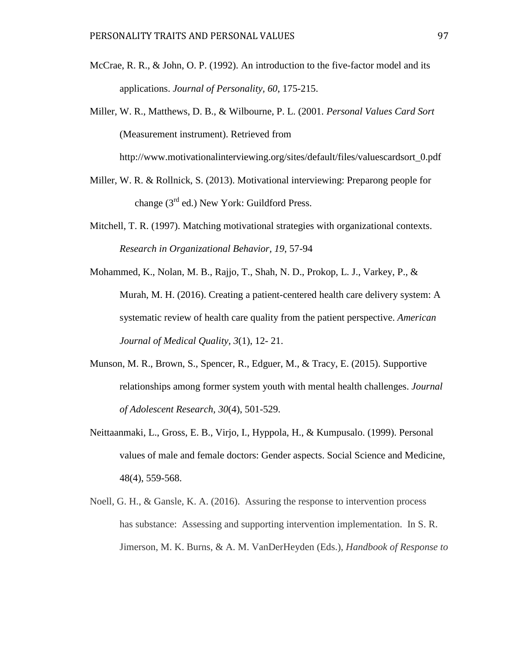- McCrae, R. R., & John, O. P. (1992). An introduction to the five-factor model and its applications. *Journal of Personality, 60*, 175-215.
- Miller, W. R., Matthews, D. B., & Wilbourne, P. L. (2001. *Personal Values Card Sort* (Measurement instrument). Retrieved from

http://www.motivationalinterviewing.org/sites/default/files/valuescardsort\_0.pdf

- Miller, W. R. & Rollnick, S. (2013). Motivational interviewing: Preparong people for change (3<sup>rd</sup> ed.) New York: Guildford Press.
- Mitchell, T. R. (1997). Matching motivational strategies with organizational contexts. *Research in Organizational Behavior, 19*, 57-94
- Mohammed, K., Nolan, M. B., Rajjo, T., Shah, N. D., Prokop, L. J., Varkey, P., & Murah, M. H. (2016). Creating a patient-centered health care delivery system: A systematic review of health care quality from the patient perspective. *American Journal of Medical Quality, 3*(1), 12- 21.
- Munson, M. R., Brown, S., Spencer, R., Edguer, M., & Tracy, E. (2015). Supportive relationships among former system youth with mental health challenges. *Journal of Adolescent Research, 30*(4), 501-529.
- Neittaanmaki, L., Gross, E. B., Virjo, I., Hyppola, H., & Kumpusalo. (1999). Personal values of male and female doctors: Gender aspects. Social Science and Medicine, 48(4), 559-568.
- Noell, G. H., & Gansle, K. A. (2016). Assuring the response to intervention process has substance: Assessing and supporting intervention implementation. In S. R. Jimerson, M. K. Burns, & A. M. VanDerHeyden (Eds.), *Handbook of Response to*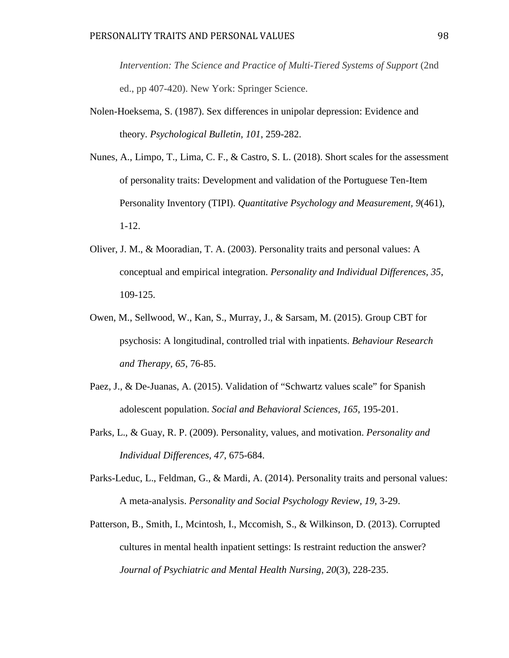*Intervention: The Science and Practice of Multi-Tiered Systems of Support* (2nd ed., pp 407-420). New York: Springer Science.

- Nolen-Hoeksema, S. (1987). Sex differences in unipolar depression: Evidence and theory. *Psychological Bulletin, 101*, 259-282.
- Nunes, A., Limpo, T., Lima, C. F., & Castro, S. L. (2018). Short scales for the assessment of personality traits: Development and validation of the Portuguese Ten-Item Personality Inventory (TIPI). *Quantitative Psychology and Measurement, 9*(461), 1-12.
- Oliver, J. M., & Mooradian, T. A. (2003). Personality traits and personal values: A conceptual and empirical integration. *Personality and Individual Differences, 35*, 109-125.
- Owen, M., Sellwood, W., Kan, S., Murray, J., & Sarsam, M. (2015). Group CBT for psychosis: A longitudinal, controlled trial with inpatients. *Behaviour Research and Therapy, 65*, 76-85.
- Paez, J., & De-Juanas, A. (2015). Validation of "Schwartz values scale" for Spanish adolescent population. *Social and Behavioral Sciences, 165*, 195-201.
- Parks, L., & Guay, R. P. (2009). Personality, values, and motivation. *Personality and Individual Differences, 47*, 675-684.
- Parks-Leduc, L., Feldman, G., & Mardi, A. (2014). Personality traits and personal values: A meta-analysis. *Personality and Social Psychology Review, 19*, 3-29.
- Patterson, B., Smith, I., Mcintosh, I., Mccomish, S., & Wilkinson, D. (2013). Corrupted cultures in mental health inpatient settings: Is restraint reduction the answer? *Journal of Psychiatric and Mental Health Nursing, 20*(3), 228-235.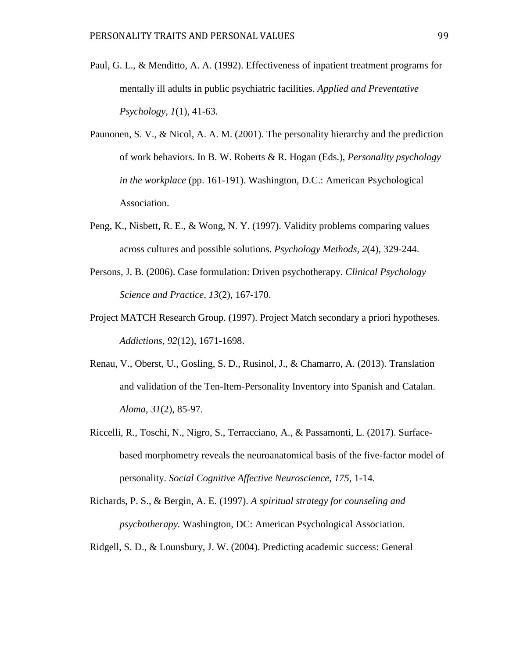- Paul, G. L., & Menditto, A. A. (1992). Effectiveness of inpatient treatment programs for mentally ill adults in public psychiatric facilities. *Applied and Preventative Psychology, 1*(1), 41-63.
- Paunonen, S. V., & Nicol, A. A. M. (2001). The personality hierarchy and the prediction of work behaviors. In B. W. Roberts & R. Hogan (Eds.), *Personality psychology in the workplace* (pp. 161-191). Washington, D.C.: American Psychological Association.
- Peng, K., Nisbett, R. E., & Wong, N. Y. (1997). Validity problems comparing values across cultures and possible solutions. *Psychology Methods, 2*(4), 329-244.
- Persons, J. B. (2006). Case formulation: Driven psychotherapy. *Clinical Psychology Science and Practice, 13*(2), 167-170.
- Project MATCH Research Group. (1997). Project Match secondary a priori hypotheses. *Addictions, 92*(12), 1671-1698.
- Renau, V., Oberst, U., Gosling, S. D., Rusinol, J., & Chamarro, A. (2013). Translation and validation of the Ten-Item-Personality Inventory into Spanish and Catalan. *Aloma, 31*(2), 85-97.
- Riccelli, R., Toschi, N., Nigro, S., Terracciano, A., & Passamonti, L. (2017). Surfacebased morphometry reveals the neuroanatomical basis of the five-factor model of personality. *Social Cognitive Affective Neuroscience, 175*, 1-14.
- Richards, P. S., & Bergin, A. E. (1997). *A spiritual strategy for counseling and psychotherapy.* Washington, DC: American Psychological Association.
- Ridgell, S. D., & Lounsbury, J. W. (2004). Predicting academic success: General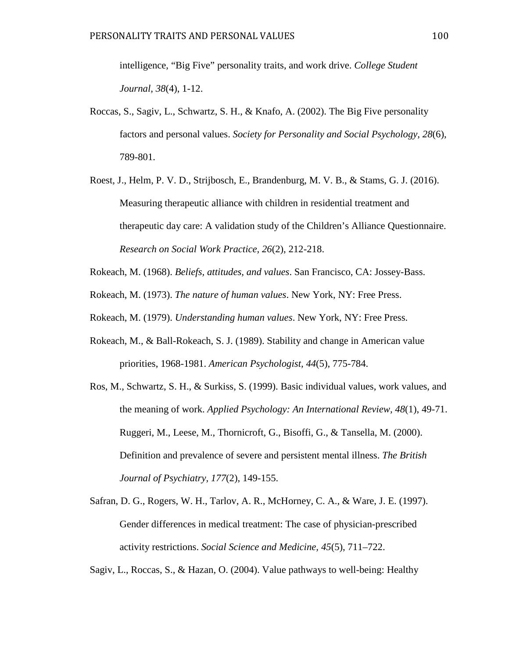intelligence, "Big Five" personality traits, and work drive. *College Student Journal, 38*(4), 1-12.

- Roccas, S., Sagiv, L., Schwartz, S. H., & Knafo, A. (2002). The Big Five personality factors and personal values. *Society for Personality and Social Psychology, 28*(6), 789-801.
- Roest, J., Helm, P. V. D., Strijbosch, E., Brandenburg, M. V. B., & Stams, G. J. (2016). Measuring therapeutic alliance with children in residential treatment and therapeutic day care: A validation study of the Children's Alliance Questionnaire. *Research on Social Work Practice, 26*(2), 212-218.
- Rokeach, M. (1968). *Beliefs, attitudes, and values*. San Francisco, CA: Jossey-Bass.
- Rokeach, M. (1973). *The nature of human values*. New York, NY: Free Press.
- Rokeach, M. (1979). *Understanding human values*. New York, NY: Free Press.
- Rokeach, M., & Ball-Rokeach, S. J. (1989). Stability and change in American value priorities, 1968-1981. *American Psychologist, 44*(5), 775-784.
- Ros, M., Schwartz, S. H., & Surkiss, S. (1999). Basic individual values, work values, and the meaning of work. *Applied Psychology: An International Review, 48*(1), 49-71. Ruggeri, M., Leese, M., Thornicroft, G., Bisoffi, G., & Tansella, M. (2000). Definition and prevalence of severe and persistent mental illness. *The British Journal of Psychiatry, 177*(2), 149-155.
- Safran, D. G., Rogers, W. H., Tarlov, A. R., McHorney, C. A., & Ware, J. E. (1997). Gender differences in medical treatment: The case of physician-prescribed activity restrictions. *Social Science and Medicine, 45*(5), 711–722.

Sagiv, L., Roccas, S., & Hazan, O. (2004). Value pathways to well-being: Healthy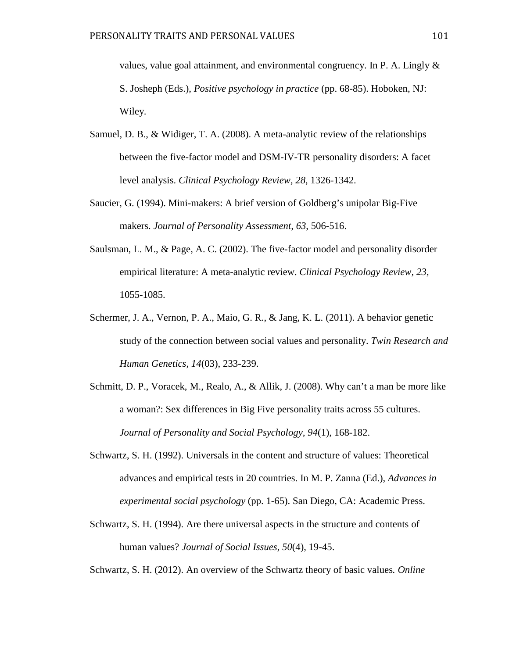values, value goal attainment, and environmental congruency. In P. A. Lingly  $\&$ S. Josheph (Eds.), *Positive psychology in practice* (pp. 68-85). Hoboken, NJ: Wiley.

- Samuel, D. B., & Widiger, T. A. (2008). A meta-analytic review of the relationships between the five-factor model and DSM-IV-TR personality disorders: A facet level analysis. *Clinical Psychology Review, 28*, 1326-1342.
- Saucier, G. (1994). Mini-makers: A brief version of Goldberg's unipolar Big-Five makers. *Journal of Personality Assessment, 63*, 506-516.
- Saulsman, L. M., & Page, A. C. (2002). The five-factor model and personality disorder empirical literature: A meta-analytic review. *Clinical Psychology Review, 23,* 1055-1085.
- Schermer, J. A., Vernon, P. A., Maio, G. R., & Jang, K. L. (2011). A behavior genetic study of the connection between social values and personality. *Twin Research and Human Genetics, 14*(03), 233-239.
- Schmitt, D. P., Voracek, M., Realo, A., & Allik, J. (2008). Why can't a man be more like a woman?: Sex differences in Big Five personality traits across 55 cultures. *Journal of Personality and Social Psychology, 94*(1), 168-182.
- Schwartz, S. H. (1992). Universals in the content and structure of values: Theoretical advances and empirical tests in 20 countries. In M. P. Zanna (Ed.), *Advances in experimental social psychology* (pp. 1-65). San Diego, CA: Academic Press.
- Schwartz, S. H. (1994). Are there universal aspects in the structure and contents of human values? *Journal of Social Issues, 50*(4), 19-45.

Schwartz, S. H. (2012). An overview of the Schwartz theory of basic values*. Online*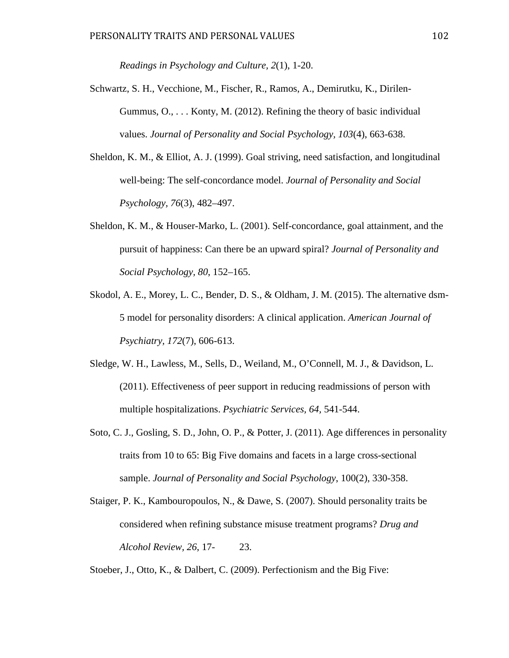*Readings in Psychology and Culture, 2*(1), 1-20.

- Schwartz, S. H., Vecchione, M., Fischer, R., Ramos, A., Demirutku, K., Dirilen-Gummus, O., . . . Konty, M. (2012). Refining the theory of basic individual values. *Journal of Personality and Social Psychology, 103*(4), 663-638.
- Sheldon, K. M., & Elliot, A. J. (1999). Goal striving, need satisfaction, and longitudinal well-being: The self-concordance model. *Journal of Personality and Social Psychology, 76*(3), 482–497.
- Sheldon, K. M., & Houser-Marko, L. (2001). Self-concordance, goal attainment, and the pursuit of happiness: Can there be an upward spiral? *Journal of Personality and Social Psychology, 80*, 152–165.
- Skodol, A. E., Morey, L. C., Bender, D. S., & Oldham, J. M. (2015). The alternative dsm-5 model for personality disorders: A clinical application. *American Journal of Psychiatry, 172*(7), 606-613.
- Sledge, W. H., Lawless, M., Sells, D., Weiland, M., O'Connell, M. J., & Davidson, L. (2011). Effectiveness of peer support in reducing readmissions of person with multiple hospitalizations. *Psychiatric Services, 64,* 541-544.
- Soto, C. J., Gosling, S. D., John, O. P., & Potter, J. (2011). Age differences in personality traits from 10 to 65: Big Five domains and facets in a large cross-sectional sample. *Journal of Personality and Social Psychology*, 100(2), 330-358.
- Staiger, P. K., Kambouropoulos, N., & Dawe, S. (2007). Should personality traits be considered when refining substance misuse treatment programs? *Drug and Alcohol Review, 26*, 17- 23.

Stoeber, J., Otto, K., & Dalbert, C. (2009). Perfectionism and the Big Five: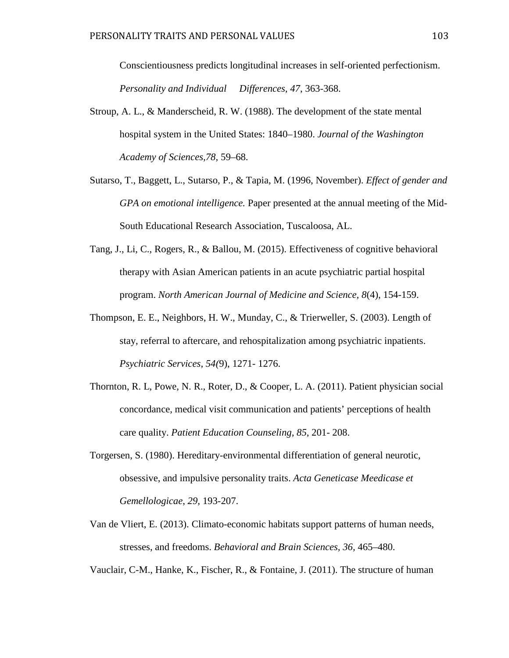Conscientiousness predicts longitudinal increases in self-oriented perfectionism. *Personality and Individual Differences, 47*, 363-368.

- Stroup, A. L., & Manderscheid, R. W. (1988). The development of the state mental hospital system in the United States: 1840–1980. *Journal of the Washington Academy of Sciences,78,* 59–68.
- Sutarso, T., Baggett, L., Sutarso, P., & Tapia, M. (1996, November). *Effect of gender and GPA on emotional intelligence.* Paper presented at the annual meeting of the Mid-South Educational Research Association, Tuscaloosa, AL.
- Tang, J., Li, C., Rogers, R., & Ballou, M. (2015). Effectiveness of cognitive behavioral therapy with Asian American patients in an acute psychiatric partial hospital program. *North American Journal of Medicine and Science, 8*(4), 154-159.
- Thompson, E. E., Neighbors, H. W., Munday, C., & Trierweller, S. (2003). Length of stay, referral to aftercare, and rehospitalization among psychiatric inpatients. *Psychiatric Services, 54(*9), 1271- 1276.
- Thornton, R. L, Powe, N. R., Roter, D., & Cooper, L. A. (2011). Patient physician social concordance, medical visit communication and patients' perceptions of health care quality. *Patient Education Counseling, 85*, 201- 208.
- Torgersen, S. (1980). Hereditary-environmental differentiation of general neurotic, obsessive, and impulsive personality traits. *Acta Geneticase Meedicase et Gemellologicae*, *29,* 193-207.
- Van de Vliert, E. (2013). Climato-economic habitats support patterns of human needs, stresses, and freedoms. *Behavioral and Brain Sciences, 36,* 465–480.

Vauclair, C-M., Hanke, K., Fischer, R., & Fontaine, J. (2011). The structure of human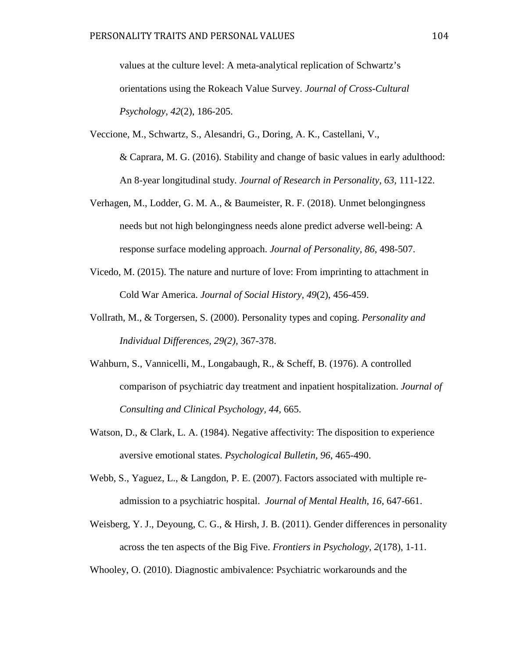values at the culture level: A meta-analytical replication of Schwartz's orientations using the Rokeach Value Survey. *Journal of Cross-Cultural Psychology, 42*(2), 186-205.

- Veccione, M., Schwartz, S., Alesandri, G., Doring, A. K., Castellani, V., & Caprara, M. G. (2016). Stability and change of basic values in early adulthood: An 8-year longitudinal study*. Journal of Research in Personality, 63,* 111-122.
- Verhagen, M., Lodder, G. M. A., & Baumeister, R. F. (2018). Unmet belongingness needs but not high belongingness needs alone predict adverse well-being: A response surface modeling approach. *Journal of Personality, 86*, 498-507.
- Vicedo, M. (2015). The nature and nurture of love: From imprinting to attachment in Cold War America. *Journal of Social History, 49*(2), 456-459.
- Vollrath, M., & Torgersen, S. (2000). Personality types and coping. *Personality and Individual Differences, 29(2),* 367-378.
- Wahburn, S., Vannicelli, M., Longabaugh, R., & Scheff, B. (1976). A controlled comparison of psychiatric day treatment and inpatient hospitalization. *Journal of Consulting and Clinical Psychology, 44*, 665.
- Watson, D., & Clark, L. A. (1984). Negative affectivity: The disposition to experience aversive emotional states. *Psychological Bulletin, 96*, 465-490.
- Webb, S., Yaguez, L., & Langdon, P. E. (2007). Factors associated with multiple readmission to a psychiatric hospital. *Journal of Mental Health, 16*, 647-661.
- Weisberg, Y. J., Deyoung, C. G., & Hirsh, J. B. (2011). Gender differences in personality across the ten aspects of the Big Five. *Frontiers in Psychology, 2*(178), 1-11.

Whooley, O. (2010). Diagnostic ambivalence: Psychiatric workarounds and the